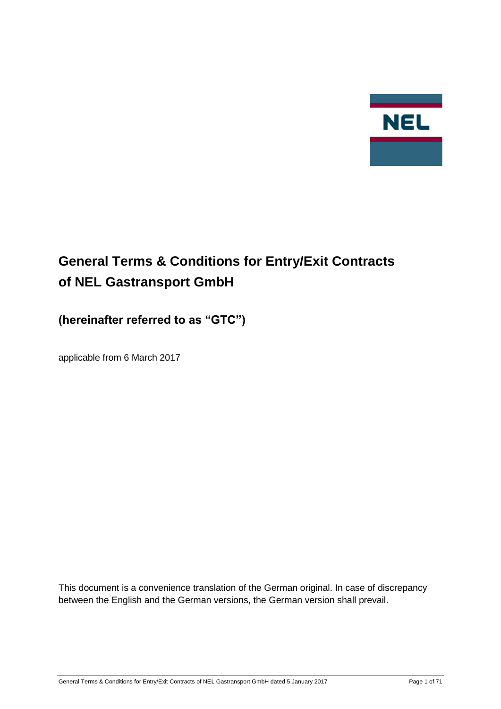

# **General Terms & Conditions for Entry/Exit Contracts of NEL Gastransport GmbH**

## **(hereinafter referred to as "GTC")**

applicable from 6 March 2017

This document is a convenience translation of the German original. In case of discrepancy between the English and the German versions, the German version shall prevail.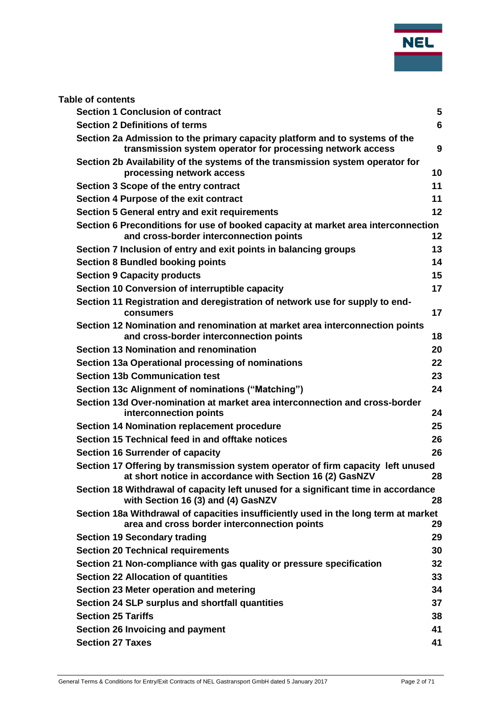

| <b>Table of contents</b>                                                                                                                     |                |
|----------------------------------------------------------------------------------------------------------------------------------------------|----------------|
| <b>Section 1 Conclusion of contract</b>                                                                                                      | 5              |
| <b>Section 2 Definitions of terms</b>                                                                                                        | $6\phantom{1}$ |
| Section 2a Admission to the primary capacity platform and to systems of the<br>transmission system operator for processing network access    | 9              |
| Section 2b Availability of the systems of the transmission system operator for<br>processing network access                                  | 10             |
| Section 3 Scope of the entry contract                                                                                                        | 11             |
| Section 4 Purpose of the exit contract                                                                                                       | 11             |
| Section 5 General entry and exit requirements                                                                                                | 12             |
| Section 6 Preconditions for use of booked capacity at market area interconnection<br>and cross-border interconnection points                 | 12             |
| Section 7 Inclusion of entry and exit points in balancing groups                                                                             | 13             |
| <b>Section 8 Bundled booking points</b>                                                                                                      | 14             |
| <b>Section 9 Capacity products</b>                                                                                                           | 15             |
| Section 10 Conversion of interruptible capacity                                                                                              | 17             |
| Section 11 Registration and deregistration of network use for supply to end-<br>consumers                                                    | 17             |
| Section 12 Nomination and renomination at market area interconnection points<br>and cross-border interconnection points                      | 18             |
| Section 13 Nomination and renomination                                                                                                       | 20             |
| Section 13a Operational processing of nominations                                                                                            | 22             |
| <b>Section 13b Communication test</b>                                                                                                        | 23             |
| Section 13c Alignment of nominations ("Matching")                                                                                            | 24             |
| Section 13d Over-nomination at market area interconnection and cross-border<br>interconnection points                                        | 24             |
| <b>Section 14 Nomination replacement procedure</b>                                                                                           | 25             |
| Section 15 Technical feed in and offtake notices                                                                                             | 26             |
| Section 16 Surrender of capacity                                                                                                             | 26             |
| Section 17 Offering by transmission system operator of firm capacity left unused<br>at short notice in accordance with Section 16 (2) GasNZV | 28             |
| Section 18 Withdrawal of capacity left unused for a significant time in accordance<br>with Section 16 (3) and (4) GasNZV                     | 28             |
| Section 18a Withdrawal of capacities insufficiently used in the long term at market<br>area and cross border interconnection points          | 29             |
| <b>Section 19 Secondary trading</b>                                                                                                          | 29             |
| <b>Section 20 Technical requirements</b>                                                                                                     | 30             |
| Section 21 Non-compliance with gas quality or pressure specification                                                                         | 32             |
| <b>Section 22 Allocation of quantities</b>                                                                                                   | 33             |
| Section 23 Meter operation and metering                                                                                                      | 34             |
| Section 24 SLP surplus and shortfall quantities                                                                                              | 37             |
| <b>Section 25 Tariffs</b>                                                                                                                    | 38             |
| Section 26 Invoicing and payment                                                                                                             | 41             |
| <b>Section 27 Taxes</b>                                                                                                                      | 41             |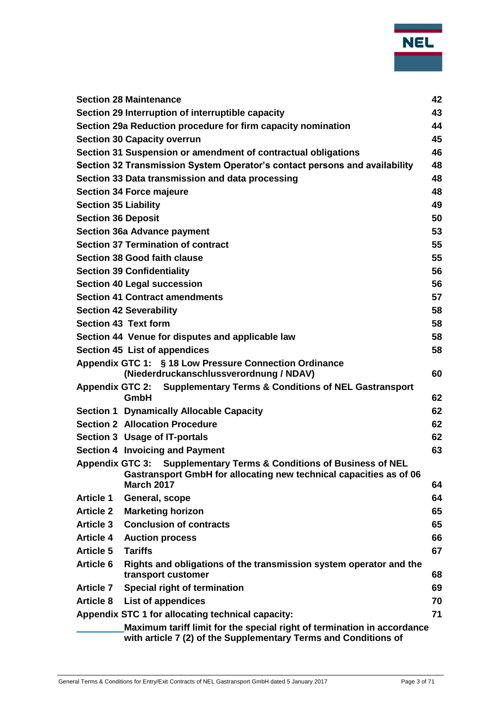

|                                                               | Maximum tariff limit for the special right of termination in accordance<br>with article 7 (2) of the Supplementary Terms and Conditions of |          |  |  |
|---------------------------------------------------------------|--------------------------------------------------------------------------------------------------------------------------------------------|----------|--|--|
|                                                               | Appendix STC 1 for allocating technical capacity:                                                                                          | 71       |  |  |
| <b>Article 8</b>                                              | List of appendices                                                                                                                         | 70       |  |  |
| <b>Article 7</b>                                              | Special right of termination                                                                                                               | 69       |  |  |
|                                                               | transport customer                                                                                                                         | 68       |  |  |
| <b>Article 6</b>                                              | Rights and obligations of the transmission system operator and the                                                                         |          |  |  |
| <b>Article 5</b><br><b>Tariffs</b>                            |                                                                                                                                            | 67       |  |  |
| <b>Article 4</b>                                              | <b>Auction process</b>                                                                                                                     | 66       |  |  |
| <b>Article 3</b>                                              | <b>Conclusion of contracts</b>                                                                                                             | 65       |  |  |
| <b>Article 2</b>                                              | <b>Marketing horizon</b>                                                                                                                   | 65       |  |  |
| <b>Article 1</b>                                              | General, scope                                                                                                                             | 64       |  |  |
| <b>March 2017</b>                                             | Appendix GTC 3: Supplementary Terms & Conditions of Business of NEL<br>Gastransport GmbH for allocating new technical capacities as of 06  | 64       |  |  |
| Section 4 Invoicing and Payment                               |                                                                                                                                            | 63       |  |  |
| Section 3 Usage of IT-portals                                 |                                                                                                                                            | 62       |  |  |
| <b>Section 2 Allocation Procedure</b>                         |                                                                                                                                            | 62       |  |  |
|                                                               | <b>Section 1 Dynamically Allocable Capacity</b>                                                                                            | 62       |  |  |
| GmbH                                                          | Appendix GTC 2: Supplementary Terms & Conditions of NEL Gastransport                                                                       | 62       |  |  |
|                                                               | (Niederdruckanschlussverordnung / NDAV)                                                                                                    | 60       |  |  |
|                                                               | Appendix GTC 1: § 18 Low Pressure Connection Ordinance                                                                                     |          |  |  |
| Section 45 List of appendices                                 |                                                                                                                                            | 58       |  |  |
|                                                               | Section 44 Venue for disputes and applicable law                                                                                           | 58       |  |  |
| <b>Section 42 Severability</b><br><b>Section 43 Text form</b> |                                                                                                                                            | 58<br>58 |  |  |
| <b>Section 41 Contract amendments</b>                         |                                                                                                                                            | 57       |  |  |
| <b>Section 40 Legal succession</b>                            |                                                                                                                                            | 56       |  |  |
| <b>Section 39 Confidentiality</b>                             |                                                                                                                                            | 56       |  |  |
| <b>Section 38 Good faith clause</b>                           |                                                                                                                                            | 55       |  |  |
|                                                               | <b>Section 37 Termination of contract</b>                                                                                                  | 55       |  |  |
| <b>Section 36a Advance payment</b>                            |                                                                                                                                            | 53       |  |  |
| <b>Section 36 Deposit</b>                                     |                                                                                                                                            | 50       |  |  |
| <b>Section 35 Liability</b>                                   |                                                                                                                                            | 49       |  |  |
| <b>Section 34 Force majeure</b>                               |                                                                                                                                            | 48       |  |  |
|                                                               | Section 33 Data transmission and data processing                                                                                           | 48       |  |  |
|                                                               | Section 32 Transmission System Operator's contact persons and availability                                                                 | 48       |  |  |
|                                                               | Section 31 Suspension or amendment of contractual obligations                                                                              | 46       |  |  |
| <b>Section 30 Capacity overrun</b>                            |                                                                                                                                            | 45       |  |  |
|                                                               | Section 29a Reduction procedure for firm capacity nomination                                                                               | 44       |  |  |
|                                                               | Section 29 Interruption of interruptible capacity                                                                                          | 43       |  |  |
| <b>Section 28 Maintenance</b>                                 |                                                                                                                                            | 42       |  |  |
|                                                               |                                                                                                                                            |          |  |  |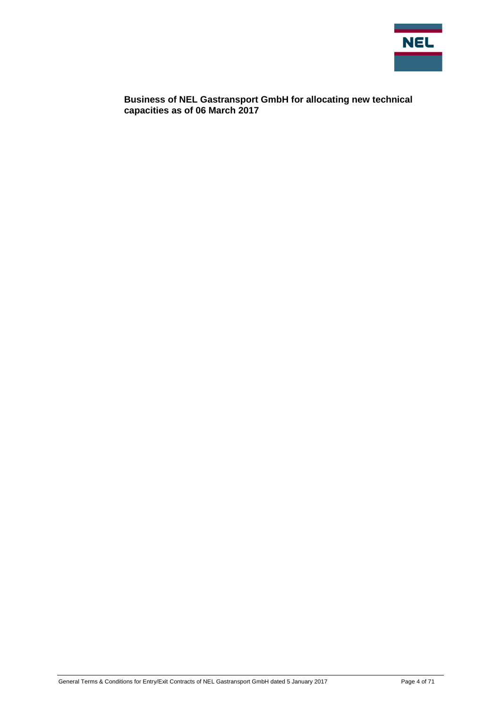

**[Business of NEL Gastransport GmbH for allocating new technical](#page-70-1)  [capacities as of 06 March 2017](#page-70-1)**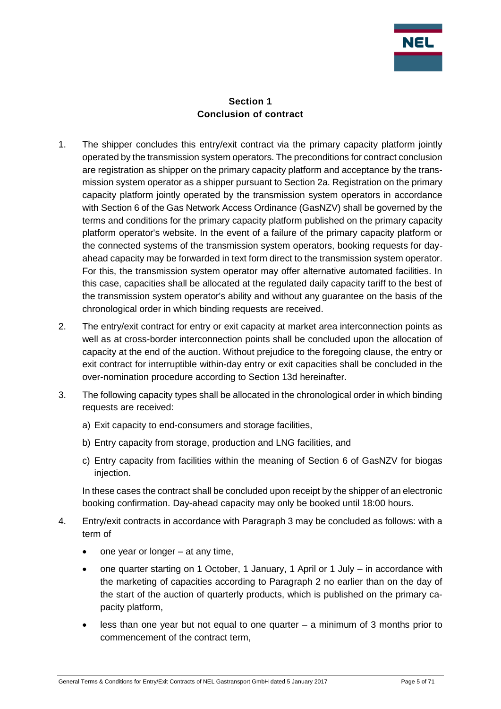

#### **Section 1 Conclusion of contract**

- <span id="page-4-0"></span>1. The shipper concludes this entry/exit contract via the primary capacity platform jointly operated by the transmission system operators. The preconditions for contract conclusion are registration as shipper on the primary capacity platform and acceptance by the transmission system operator as a shipper pursuant to Section 2a. Registration on the primary capacity platform jointly operated by the transmission system operators in accordance with Section 6 of the Gas Network Access Ordinance (GasNZV) shall be governed by the terms and conditions for the primary capacity platform published on the primary capacity platform operator's website. In the event of a failure of the primary capacity platform or the connected systems of the transmission system operators, booking requests for dayahead capacity may be forwarded in text form direct to the transmission system operator. For this, the transmission system operator may offer alternative automated facilities. In this case, capacities shall be allocated at the regulated daily capacity tariff to the best of the transmission system operator's ability and without any guarantee on the basis of the chronological order in which binding requests are received.
- 2. The entry/exit contract for entry or exit capacity at market area interconnection points as well as at cross-border interconnection points shall be concluded upon the allocation of capacity at the end of the auction. Without prejudice to the foregoing clause, the entry or exit contract for interruptible within-day entry or exit capacities shall be concluded in the over-nomination procedure according to Section 13d hereinafter.
- 3. The following capacity types shall be allocated in the chronological order in which binding requests are received:
	- a) Exit capacity to end-consumers and storage facilities,
	- b) Entry capacity from storage, production and LNG facilities, and
	- c) Entry capacity from facilities within the meaning of Section 6 of GasNZV for biogas injection.

In these cases the contract shall be concluded upon receipt by the shipper of an electronic booking confirmation. Day-ahead capacity may only be booked until 18:00 hours.

- 4. Entry/exit contracts in accordance with Paragraph 3 may be concluded as follows: with a term of
	- one year or longer at any time,
	- one quarter starting on 1 October, 1 January, 1 April or 1 July in accordance with the marketing of capacities according to Paragraph 2 no earlier than on the day of the start of the auction of quarterly products, which is published on the primary capacity platform,
	- less than one year but not equal to one quarter a minimum of 3 months prior to commencement of the contract term,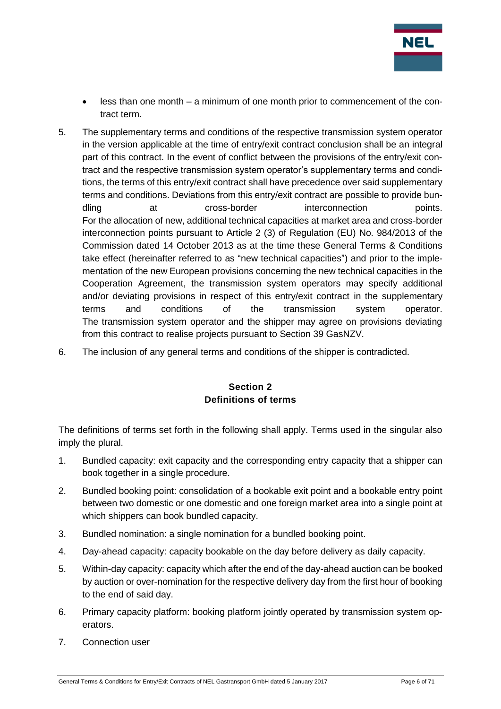

- less than one month a minimum of one month prior to commencement of the contract term.
- 5. The supplementary terms and conditions of the respective transmission system operator in the version applicable at the time of entry/exit contract conclusion shall be an integral part of this contract. In the event of conflict between the provisions of the entry/exit contract and the respective transmission system operator's supplementary terms and conditions, the terms of this entry/exit contract shall have precedence over said supplementary terms and conditions. Deviations from this entry/exit contract are possible to provide bundling at cross-border interconnection points. For the allocation of new, additional technical capacities at market area and cross-border interconnection points pursuant to Article 2 (3) of Regulation (EU) No. 984/2013 of the Commission dated 14 October 2013 as at the time these General Terms & Conditions take effect (hereinafter referred to as "new technical capacities") and prior to the implementation of the new European provisions concerning the new technical capacities in the Cooperation Agreement, the transmission system operators may specify additional and/or deviating provisions in respect of this entry/exit contract in the supplementary terms and conditions of the transmission system operator. The transmission system operator and the shipper may agree on provisions deviating from this contract to realise projects pursuant to Section 39 GasNZV.
- <span id="page-5-0"></span>6. The inclusion of any general terms and conditions of the shipper is contradicted.

## **Section 2 Definitions of terms**

The definitions of terms set forth in the following shall apply. Terms used in the singular also imply the plural.

- 1. Bundled capacity: exit capacity and the corresponding entry capacity that a shipper can book together in a single procedure.
- 2. Bundled booking point: consolidation of a bookable exit point and a bookable entry point between two domestic or one domestic and one foreign market area into a single point at which shippers can book bundled capacity.
- 3. Bundled nomination: a single nomination for a bundled booking point.
- 4. Day-ahead capacity: capacity bookable on the day before delivery as daily capacity.
- 5. Within-day capacity: capacity which after the end of the day-ahead auction can be booked by auction or over-nomination for the respective delivery day from the first hour of booking to the end of said day.
- 6. Primary capacity platform: booking platform jointly operated by transmission system operators.
- 7. Connection user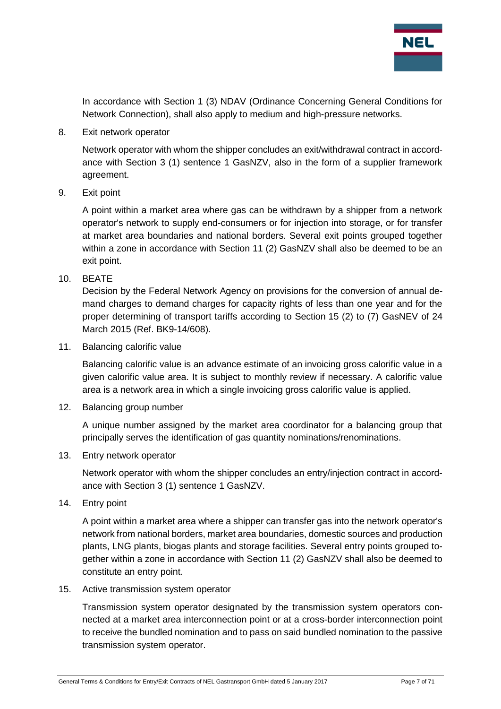

In accordance with Section 1 (3) NDAV (Ordinance Concerning General Conditions for Network Connection), shall also apply to medium and high-pressure networks.

8. Exit network operator

Network operator with whom the shipper concludes an exit/withdrawal contract in accordance with Section 3 (1) sentence 1 GasNZV, also in the form of a supplier framework agreement.

9. Exit point

A point within a market area where gas can be withdrawn by a shipper from a network operator's network to supply end-consumers or for injection into storage, or for transfer at market area boundaries and national borders. Several exit points grouped together within a zone in accordance with Section 11 (2) GasNZV shall also be deemed to be an exit point.

10. BEATE

Decision by the Federal Network Agency on provisions for the conversion of annual demand charges to demand charges for capacity rights of less than one year and for the proper determining of transport tariffs according to Section 15 (2) to (7) GasNEV of 24 March 2015 (Ref. BK9-14/608).

11. Balancing calorific value

Balancing calorific value is an advance estimate of an invoicing gross calorific value in a given calorific value area. It is subject to monthly review if necessary. A calorific value area is a network area in which a single invoicing gross calorific value is applied.

12. Balancing group number

A unique number assigned by the market area coordinator for a balancing group that principally serves the identification of gas quantity nominations/renominations.

13. Entry network operator

Network operator with whom the shipper concludes an entry/injection contract in accordance with Section 3 (1) sentence 1 GasNZV.

14. Entry point

A point within a market area where a shipper can transfer gas into the network operator's network from national borders, market area boundaries, domestic sources and production plants, LNG plants, biogas plants and storage facilities. Several entry points grouped together within a zone in accordance with Section 11 (2) GasNZV shall also be deemed to constitute an entry point.

15. Active transmission system operator

Transmission system operator designated by the transmission system operators connected at a market area interconnection point or at a cross-border interconnection point to receive the bundled nomination and to pass on said bundled nomination to the passive transmission system operator.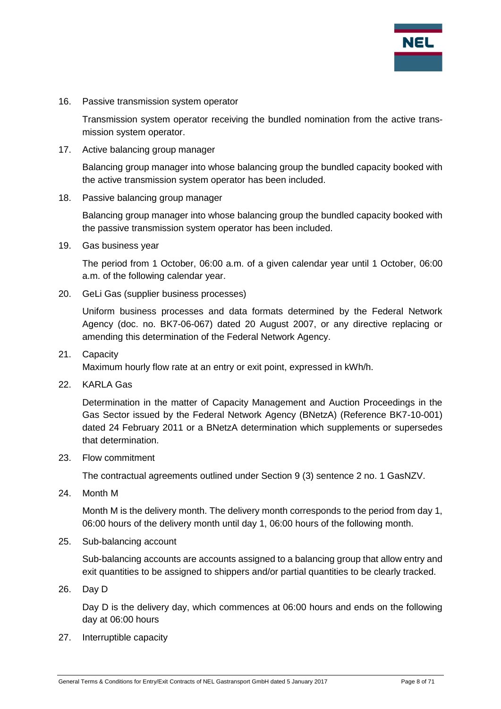

16. Passive transmission system operator

Transmission system operator receiving the bundled nomination from the active transmission system operator.

17. Active balancing group manager

Balancing group manager into whose balancing group the bundled capacity booked with the active transmission system operator has been included.

18. Passive balancing group manager

Balancing group manager into whose balancing group the bundled capacity booked with the passive transmission system operator has been included.

19. Gas business year

The period from 1 October, 06:00 a.m. of a given calendar year until 1 October, 06:00 a.m. of the following calendar year.

20. GeLi Gas (supplier business processes)

Uniform business processes and data formats determined by the Federal Network Agency (doc. no. BK7-06-067) dated 20 August 2007, or any directive replacing or amending this determination of the Federal Network Agency.

21. Capacity

Maximum hourly flow rate at an entry or exit point, expressed in kWh/h.

22. KARLA Gas

Determination in the matter of Capacity Management and Auction Proceedings in the Gas Sector issued by the Federal Network Agency (BNetzA) (Reference BK7-10-001) dated 24 February 2011 or a BNetzA determination which supplements or supersedes that determination.

23. Flow commitment

The contractual agreements outlined under Section 9 (3) sentence 2 no. 1 GasNZV.

24. Month M

Month M is the delivery month. The delivery month corresponds to the period from day 1, 06:00 hours of the delivery month until day 1, 06:00 hours of the following month.

25. Sub-balancing account

Sub-balancing accounts are accounts assigned to a balancing group that allow entry and exit quantities to be assigned to shippers and/or partial quantities to be clearly tracked.

26. Day D

Day D is the delivery day, which commences at 06:00 hours and ends on the following day at 06:00 hours

27. Interruptible capacity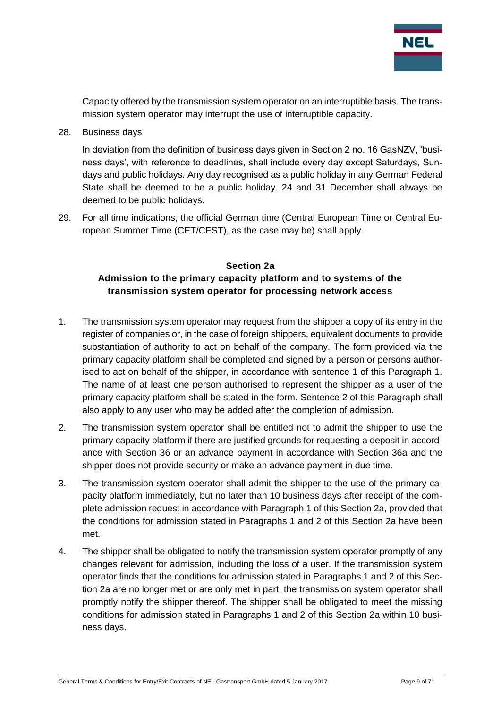

Capacity offered by the transmission system operator on an interruptible basis. The transmission system operator may interrupt the use of interruptible capacity.

28. Business days

In deviation from the definition of business days given in Section 2 no. 16 GasNZV, 'business days', with reference to deadlines, shall include every day except Saturdays, Sundays and public holidays. Any day recognised as a public holiday in any German Federal State shall be deemed to be a public holiday. 24 and 31 December shall always be deemed to be public holidays.

29. For all time indications, the official German time (Central European Time or Central European Summer Time (CET/CEST), as the case may be) shall apply.

## <span id="page-8-0"></span>**Section 2a Admission to the primary capacity platform and to systems of the transmission system operator for processing network access**

- 1. The transmission system operator may request from the shipper a copy of its entry in the register of companies or, in the case of foreign shippers, equivalent documents to provide substantiation of authority to act on behalf of the company. The form provided via the primary capacity platform shall be completed and signed by a person or persons authorised to act on behalf of the shipper, in accordance with sentence 1 of this Paragraph 1. The name of at least one person authorised to represent the shipper as a user of the primary capacity platform shall be stated in the form. Sentence 2 of this Paragraph shall also apply to any user who may be added after the completion of admission.
- 2. The transmission system operator shall be entitled not to admit the shipper to use the primary capacity platform if there are justified grounds for requesting a deposit in accordance with Section 36 or an advance payment in accordance with Section 36a and the shipper does not provide security or make an advance payment in due time.
- 3. The transmission system operator shall admit the shipper to the use of the primary capacity platform immediately, but no later than 10 business days after receipt of the complete admission request in accordance with Paragraph 1 of this Section 2a, provided that the conditions for admission stated in Paragraphs 1 and 2 of this Section 2a have been met.
- 4. The shipper shall be obligated to notify the transmission system operator promptly of any changes relevant for admission, including the loss of a user. If the transmission system operator finds that the conditions for admission stated in Paragraphs 1 and 2 of this Section 2a are no longer met or are only met in part, the transmission system operator shall promptly notify the shipper thereof. The shipper shall be obligated to meet the missing conditions for admission stated in Paragraphs 1 and 2 of this Section 2a within 10 business days.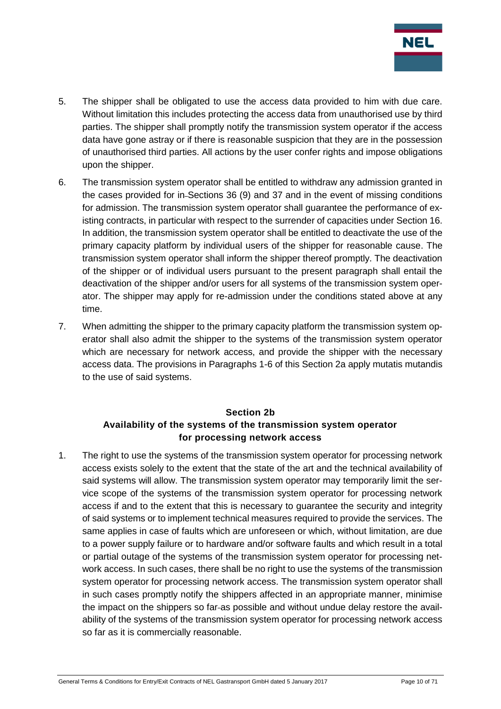

- 5. The shipper shall be obligated to use the access data provided to him with due care. Without limitation this includes protecting the access data from unauthorised use by third parties. The shipper shall promptly notify the transmission system operator if the access data have gone astray or if there is reasonable suspicion that they are in the possession of unauthorised third parties. All actions by the user confer rights and impose obligations upon the shipper.
- 6. The transmission system operator shall be entitled to withdraw any admission granted in the cases provided for in Sections 36 (9) and 37 and in the event of missing conditions for admission. The transmission system operator shall guarantee the performance of existing contracts, in particular with respect to the surrender of capacities under Section 16. In addition, the transmission system operator shall be entitled to deactivate the use of the primary capacity platform by individual users of the shipper for reasonable cause. The transmission system operator shall inform the shipper thereof promptly. The deactivation of the shipper or of individual users pursuant to the present paragraph shall entail the deactivation of the shipper and/or users for all systems of the transmission system operator. The shipper may apply for re-admission under the conditions stated above at any time.
- 7. When admitting the shipper to the primary capacity platform the transmission system operator shall also admit the shipper to the systems of the transmission system operator which are necessary for network access, and provide the shipper with the necessary access data. The provisions in Paragraphs 1-6 of this Section 2a apply mutatis mutandis to the use of said systems.

## **Section 2b Availability of the systems of the transmission system operator for processing network access**

<span id="page-9-0"></span>1. The right to use the systems of the transmission system operator for processing network access exists solely to the extent that the state of the art and the technical availability of said systems will allow. The transmission system operator may temporarily limit the service scope of the systems of the transmission system operator for processing network access if and to the extent that this is necessary to guarantee the security and integrity of said systems or to implement technical measures required to provide the services. The same applies in case of faults which are unforeseen or which, without limitation, are due to a power supply failure or to hardware and/or software faults and which result in a total or partial outage of the systems of the transmission system operator for processing network access. In such cases, there shall be no right to use the systems of the transmission system operator for processing network access. The transmission system operator shall in such cases promptly notify the shippers affected in an appropriate manner, minimise the impact on the shippers so far-as possible and without undue delay restore the availability of the systems of the transmission system operator for processing network access so far as it is commercially reasonable.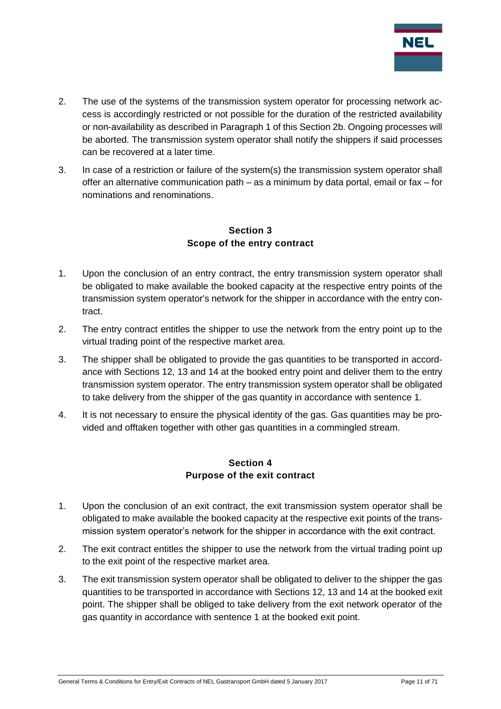

- 2. The use of the systems of the transmission system operator for processing network access is accordingly restricted or not possible for the duration of the restricted availability or non-availability as described in Paragraph 1 of this Section 2b. Ongoing processes will be aborted. The transmission system operator shall notify the shippers if said processes can be recovered at a later time.
- 3. In case of a restriction or failure of the system(s) the transmission system operator shall offer an alternative communication path – as a minimum by data portal, email or fax – for nominations and renominations.

## **Section 3 Scope of the entry contract**

- <span id="page-10-0"></span>1. Upon the conclusion of an entry contract, the entry transmission system operator shall be obligated to make available the booked capacity at the respective entry points of the transmission system operator's network for the shipper in accordance with the entry contract.
- 2. The entry contract entitles the shipper to use the network from the entry point up to the virtual trading point of the respective market area.
- 3. The shipper shall be obligated to provide the gas quantities to be transported in accordance with Sections 12, 13 and 14 at the booked entry point and deliver them to the entry transmission system operator. The entry transmission system operator shall be obligated to take delivery from the shipper of the gas quantity in accordance with sentence 1.
- 4. It is not necessary to ensure the physical identity of the gas. Gas quantities may be provided and offtaken together with other gas quantities in a commingled stream.

#### **Section 4 Purpose of the exit contract**

- <span id="page-10-1"></span>1. Upon the conclusion of an exit contract, the exit transmission system operator shall be obligated to make available the booked capacity at the respective exit points of the transmission system operator's network for the shipper in accordance with the exit contract.
- 2. The exit contract entitles the shipper to use the network from the virtual trading point up to the exit point of the respective market area.
- 3. The exit transmission system operator shall be obligated to deliver to the shipper the gas quantities to be transported in accordance with Sections 12, 13 and 14 at the booked exit point. The shipper shall be obliged to take delivery from the exit network operator of the gas quantity in accordance with sentence 1 at the booked exit point.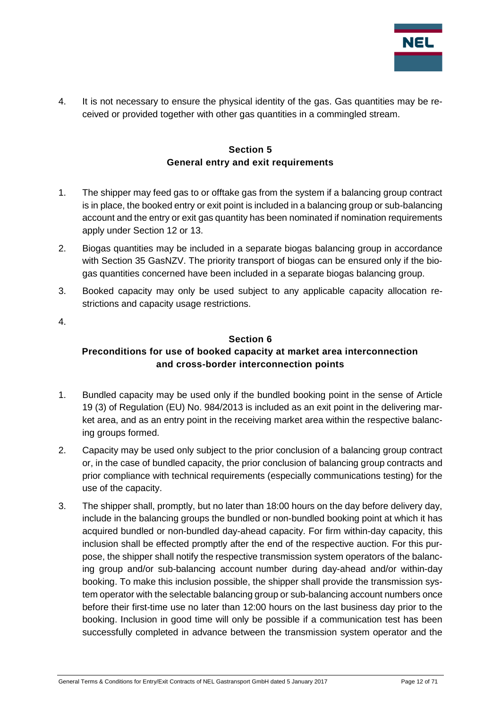

4. It is not necessary to ensure the physical identity of the gas. Gas quantities may be received or provided together with other gas quantities in a commingled stream.

#### **Section 5 General entry and exit requirements**

- <span id="page-11-0"></span>1. The shipper may feed gas to or offtake gas from the system if a balancing group contract is in place, the booked entry or exit point is included in a balancing group or sub-balancing account and the entry or exit gas quantity has been nominated if nomination requirements apply under Section 12 or 13.
- 2. Biogas quantities may be included in a separate biogas balancing group in accordance with Section 35 GasNZV. The priority transport of biogas can be ensured only if the biogas quantities concerned have been included in a separate biogas balancing group.
- 3. Booked capacity may only be used subject to any applicable capacity allocation restrictions and capacity usage restrictions.
- <span id="page-11-1"></span>4.

#### **Section 6**

## **Preconditions for use of booked capacity at market area interconnection and cross-border interconnection points**

- 1. Bundled capacity may be used only if the bundled booking point in the sense of Article 19 (3) of Regulation (EU) No. 984/2013 is included as an exit point in the delivering market area, and as an entry point in the receiving market area within the respective balancing groups formed.
- 2. Capacity may be used only subject to the prior conclusion of a balancing group contract or, in the case of bundled capacity, the prior conclusion of balancing group contracts and prior compliance with technical requirements (especially communications testing) for the use of the capacity.
- 3. The shipper shall, promptly, but no later than 18:00 hours on the day before delivery day, include in the balancing groups the bundled or non-bundled booking point at which it has acquired bundled or non-bundled day-ahead capacity. For firm within-day capacity, this inclusion shall be effected promptly after the end of the respective auction. For this purpose, the shipper shall notify the respective transmission system operators of the balancing group and/or sub-balancing account number during day-ahead and/or within-day booking. To make this inclusion possible, the shipper shall provide the transmission system operator with the selectable balancing group or sub-balancing account numbers once before their first-time use no later than 12:00 hours on the last business day prior to the booking. Inclusion in good time will only be possible if a communication test has been successfully completed in advance between the transmission system operator and the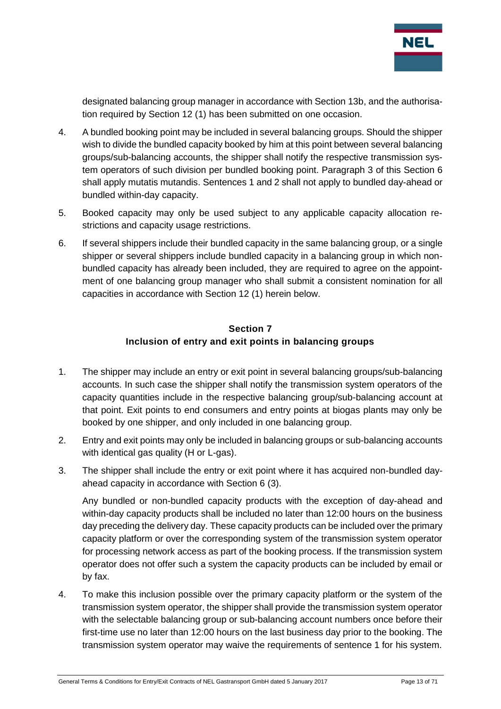

designated balancing group manager in accordance with Section 13b, and the authorisation required by Section 12 (1) has been submitted on one occasion.

- 4. A bundled booking point may be included in several balancing groups. Should the shipper wish to divide the bundled capacity booked by him at this point between several balancing groups/sub-balancing accounts, the shipper shall notify the respective transmission system operators of such division per bundled booking point. Paragraph 3 of this Section 6 shall apply mutatis mutandis. Sentences 1 and 2 shall not apply to bundled day-ahead or bundled within-day capacity.
- 5. Booked capacity may only be used subject to any applicable capacity allocation restrictions and capacity usage restrictions.
- 6. If several shippers include their bundled capacity in the same balancing group, or a single shipper or several shippers include bundled capacity in a balancing group in which nonbundled capacity has already been included, they are required to agree on the appointment of one balancing group manager who shall submit a consistent nomination for all capacities in accordance with Section 12 (1) herein below.

#### **Section 7 Inclusion of entry and exit points in balancing groups**

- <span id="page-12-0"></span>1. The shipper may include an entry or exit point in several balancing groups/sub-balancing accounts. In such case the shipper shall notify the transmission system operators of the capacity quantities include in the respective balancing group/sub-balancing account at that point. Exit points to end consumers and entry points at biogas plants may only be booked by one shipper, and only included in one balancing group.
- 2. Entry and exit points may only be included in balancing groups or sub-balancing accounts with identical gas quality (H or L-gas).
- 3. The shipper shall include the entry or exit point where it has acquired non-bundled dayahead capacity in accordance with Section 6 (3).

Any bundled or non-bundled capacity products with the exception of day-ahead and within-day capacity products shall be included no later than 12:00 hours on the business day preceding the delivery day. These capacity products can be included over the primary capacity platform or over the corresponding system of the transmission system operator for processing network access as part of the booking process. If the transmission system operator does not offer such a system the capacity products can be included by email or by fax.

4. To make this inclusion possible over the primary capacity platform or the system of the transmission system operator, the shipper shall provide the transmission system operator with the selectable balancing group or sub-balancing account numbers once before their first-time use no later than 12:00 hours on the last business day prior to the booking. The transmission system operator may waive the requirements of sentence 1 for his system.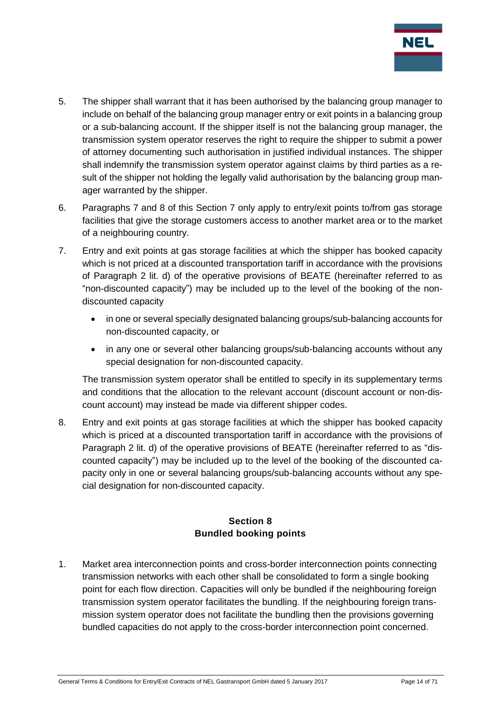

- 5. The shipper shall warrant that it has been authorised by the balancing group manager to include on behalf of the balancing group manager entry or exit points in a balancing group or a sub-balancing account. If the shipper itself is not the balancing group manager, the transmission system operator reserves the right to require the shipper to submit a power of attorney documenting such authorisation in justified individual instances. The shipper shall indemnify the transmission system operator against claims by third parties as a result of the shipper not holding the legally valid authorisation by the balancing group manager warranted by the shipper.
- 6. Paragraphs 7 and 8 of this Section 7 only apply to entry/exit points to/from gas storage facilities that give the storage customers access to another market area or to the market of a neighbouring country.
- 7. Entry and exit points at gas storage facilities at which the shipper has booked capacity which is not priced at a discounted transportation tariff in accordance with the provisions of Paragraph 2 lit. d) of the operative provisions of BEATE (hereinafter referred to as "non-discounted capacity") may be included up to the level of the booking of the nondiscounted capacity
	- in one or several specially designated balancing groups/sub-balancing accounts for non-discounted capacity, or
	- in any one or several other balancing groups/sub-balancing accounts without any special designation for non-discounted capacity.

The transmission system operator shall be entitled to specify in its supplementary terms and conditions that the allocation to the relevant account (discount account or non-discount account) may instead be made via different shipper codes.

8. Entry and exit points at gas storage facilities at which the shipper has booked capacity which is priced at a discounted transportation tariff in accordance with the provisions of Paragraph 2 lit. d) of the operative provisions of BEATE (hereinafter referred to as "discounted capacity") may be included up to the level of the booking of the discounted capacity only in one or several balancing groups/sub-balancing accounts without any special designation for non-discounted capacity.

## **Section 8 Bundled booking points**

<span id="page-13-0"></span>1. Market area interconnection points and cross-border interconnection points connecting transmission networks with each other shall be consolidated to form a single booking point for each flow direction. Capacities will only be bundled if the neighbouring foreign transmission system operator facilitates the bundling. If the neighbouring foreign transmission system operator does not facilitate the bundling then the provisions governing bundled capacities do not apply to the cross-border interconnection point concerned.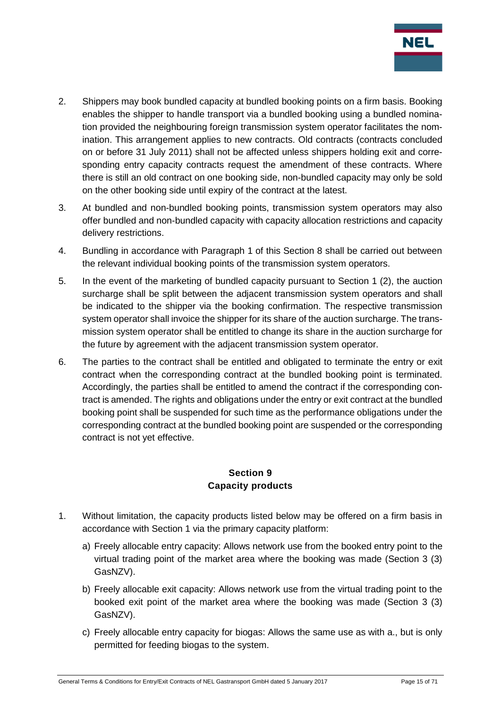

- 2. Shippers may book bundled capacity at bundled booking points on a firm basis. Booking enables the shipper to handle transport via a bundled booking using a bundled nomination provided the neighbouring foreign transmission system operator facilitates the nomination. This arrangement applies to new contracts. Old contracts (contracts concluded on or before 31 July 2011) shall not be affected unless shippers holding exit and corresponding entry capacity contracts request the amendment of these contracts. Where there is still an old contract on one booking side, non-bundled capacity may only be sold on the other booking side until expiry of the contract at the latest.
- 3. At bundled and non-bundled booking points, transmission system operators may also offer bundled and non-bundled capacity with capacity allocation restrictions and capacity delivery restrictions.
- 4. Bundling in accordance with Paragraph 1 of this Section 8 shall be carried out between the relevant individual booking points of the transmission system operators.
- 5. In the event of the marketing of bundled capacity pursuant to Section 1 (2), the auction surcharge shall be split between the adjacent transmission system operators and shall be indicated to the shipper via the booking confirmation. The respective transmission system operator shall invoice the shipper for its share of the auction surcharge. The transmission system operator shall be entitled to change its share in the auction surcharge for the future by agreement with the adjacent transmission system operator.
- 6. The parties to the contract shall be entitled and obligated to terminate the entry or exit contract when the corresponding contract at the bundled booking point is terminated. Accordingly, the parties shall be entitled to amend the contract if the corresponding contract is amended. The rights and obligations under the entry or exit contract at the bundled booking point shall be suspended for such time as the performance obligations under the corresponding contract at the bundled booking point are suspended or the corresponding contract is not yet effective.

#### **Section 9 Capacity products**

- <span id="page-14-0"></span>1. Without limitation, the capacity products listed below may be offered on a firm basis in accordance with Section 1 via the primary capacity platform:
	- a) Freely allocable entry capacity: Allows network use from the booked entry point to the virtual trading point of the market area where the booking was made (Section 3 (3) GasNZV).
	- b) Freely allocable exit capacity: Allows network use from the virtual trading point to the booked exit point of the market area where the booking was made (Section 3 (3) GasNZV).
	- c) Freely allocable entry capacity for biogas: Allows the same use as with a., but is only permitted for feeding biogas to the system.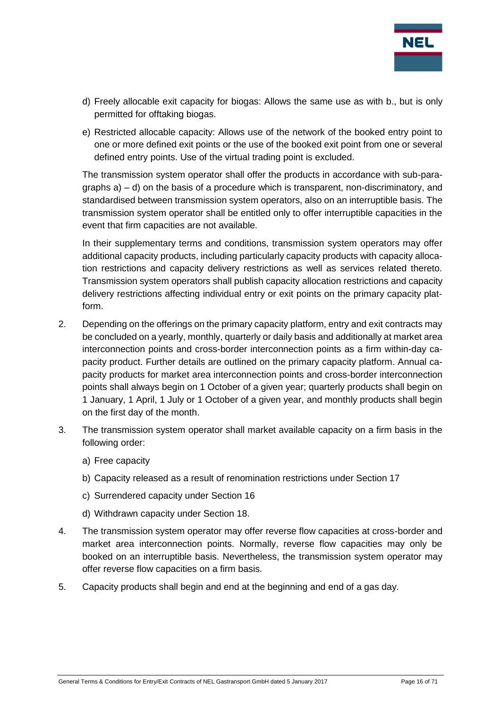

- d) Freely allocable exit capacity for biogas: Allows the same use as with b., but is only permitted for offtaking biogas.
- e) Restricted allocable capacity: Allows use of the network of the booked entry point to one or more defined exit points or the use of the booked exit point from one or several defined entry points. Use of the virtual trading point is excluded.

The transmission system operator shall offer the products in accordance with sub-paragraphs a) – d) on the basis of a procedure which is transparent, non-discriminatory, and standardised between transmission system operators, also on an interruptible basis. The transmission system operator shall be entitled only to offer interruptible capacities in the event that firm capacities are not available.

In their supplementary terms and conditions, transmission system operators may offer additional capacity products, including particularly capacity products with capacity allocation restrictions and capacity delivery restrictions as well as services related thereto. Transmission system operators shall publish capacity allocation restrictions and capacity delivery restrictions affecting individual entry or exit points on the primary capacity platform.

- 2. Depending on the offerings on the primary capacity platform, entry and exit contracts may be concluded on a yearly, monthly, quarterly or daily basis and additionally at market area interconnection points and cross-border interconnection points as a firm within-day capacity product. Further details are outlined on the primary capacity platform. Annual capacity products for market area interconnection points and cross-border interconnection points shall always begin on 1 October of a given year; quarterly products shall begin on 1 January, 1 April, 1 July or 1 October of a given year, and monthly products shall begin on the first day of the month.
- 3. The transmission system operator shall market available capacity on a firm basis in the following order:
	- a) Free capacity
	- b) Capacity released as a result of renomination restrictions under Section 17
	- c) Surrendered capacity under Section 16
	- d) Withdrawn capacity under Section 18.
- 4. The transmission system operator may offer reverse flow capacities at cross-border and market area interconnection points. Normally, reverse flow capacities may only be booked on an interruptible basis. Nevertheless, the transmission system operator may offer reverse flow capacities on a firm basis.
- 5. Capacity products shall begin and end at the beginning and end of a gas day.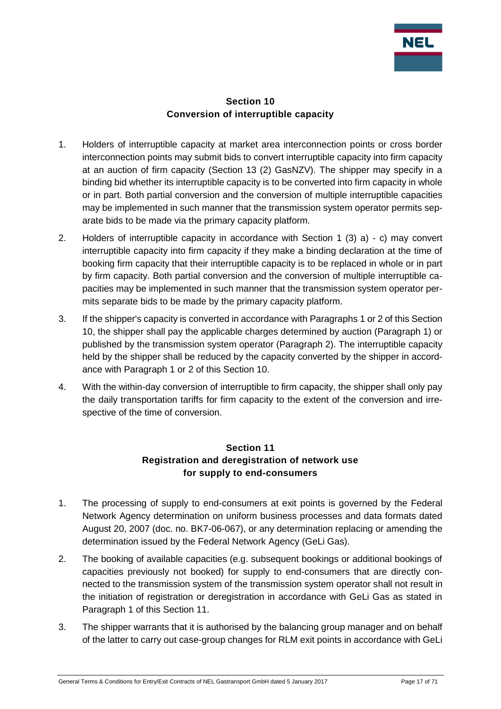

#### **Section 10 Conversion of interruptible capacity**

- <span id="page-16-0"></span>1. Holders of interruptible capacity at market area interconnection points or cross border interconnection points may submit bids to convert interruptible capacity into firm capacity at an auction of firm capacity (Section 13 (2) GasNZV). The shipper may specify in a binding bid whether its interruptible capacity is to be converted into firm capacity in whole or in part. Both partial conversion and the conversion of multiple interruptible capacities may be implemented in such manner that the transmission system operator permits separate bids to be made via the primary capacity platform.
- 2. Holders of interruptible capacity in accordance with Section 1 (3) a) c) may convert interruptible capacity into firm capacity if they make a binding declaration at the time of booking firm capacity that their interruptible capacity is to be replaced in whole or in part by firm capacity. Both partial conversion and the conversion of multiple interruptible capacities may be implemented in such manner that the transmission system operator permits separate bids to be made by the primary capacity platform.
- 3. If the shipper's capacity is converted in accordance with Paragraphs 1 or 2 of this Section 10, the shipper shall pay the applicable charges determined by auction (Paragraph 1) or published by the transmission system operator (Paragraph 2). The interruptible capacity held by the shipper shall be reduced by the capacity converted by the shipper in accordance with Paragraph 1 or 2 of this Section 10.
- 4. With the within-day conversion of interruptible to firm capacity, the shipper shall only pay the daily transportation tariffs for firm capacity to the extent of the conversion and irrespective of the time of conversion.

## **Section 11 Registration and deregistration of network use for supply to end-consumers**

- <span id="page-16-1"></span>1. The processing of supply to end-consumers at exit points is governed by the Federal Network Agency determination on uniform business processes and data formats dated August 20, 2007 (doc. no. BK7-06-067), or any determination replacing or amending the determination issued by the Federal Network Agency (GeLi Gas).
- 2. The booking of available capacities (e.g. subsequent bookings or additional bookings of capacities previously not booked) for supply to end-consumers that are directly connected to the transmission system of the transmission system operator shall not result in the initiation of registration or deregistration in accordance with GeLi Gas as stated in Paragraph 1 of this Section 11.
- 3. The shipper warrants that it is authorised by the balancing group manager and on behalf of the latter to carry out case-group changes for RLM exit points in accordance with GeLi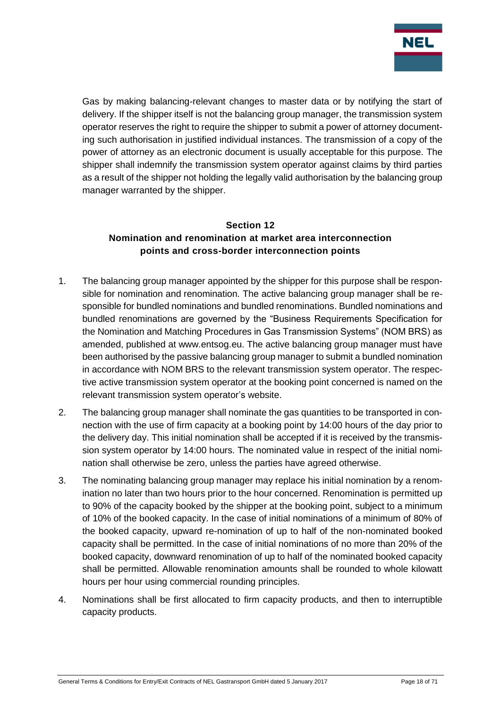

Gas by making balancing-relevant changes to master data or by notifying the start of delivery. If the shipper itself is not the balancing group manager, the transmission system operator reserves the right to require the shipper to submit a power of attorney documenting such authorisation in justified individual instances. The transmission of a copy of the power of attorney as an electronic document is usually acceptable for this purpose. The shipper shall indemnify the transmission system operator against claims by third parties as a result of the shipper not holding the legally valid authorisation by the balancing group manager warranted by the shipper.

#### <span id="page-17-0"></span>**Section 12 Nomination and renomination at market area interconnection points and cross-border interconnection points**

- 1. The balancing group manager appointed by the shipper for this purpose shall be responsible for nomination and renomination. The active balancing group manager shall be responsible for bundled nominations and bundled renominations. Bundled nominations and bundled renominations are governed by the "Business Requirements Specification for the Nomination and Matching Procedures in Gas Transmission Systems" (NOM BRS) as amended, published at www.entsog.eu. The active balancing group manager must have been authorised by the passive balancing group manager to submit a bundled nomination in accordance with NOM BRS to the relevant transmission system operator. The respective active transmission system operator at the booking point concerned is named on the relevant transmission system operator's website.
- 2. The balancing group manager shall nominate the gas quantities to be transported in connection with the use of firm capacity at a booking point by 14:00 hours of the day prior to the delivery day. This initial nomination shall be accepted if it is received by the transmission system operator by 14:00 hours. The nominated value in respect of the initial nomination shall otherwise be zero, unless the parties have agreed otherwise.
- 3. The nominating balancing group manager may replace his initial nomination by a renomination no later than two hours prior to the hour concerned. Renomination is permitted up to 90% of the capacity booked by the shipper at the booking point, subject to a minimum of 10% of the booked capacity. In the case of initial nominations of a minimum of 80% of the booked capacity, upward re-nomination of up to half of the non-nominated booked capacity shall be permitted. In the case of initial nominations of no more than 20% of the booked capacity, downward renomination of up to half of the nominated booked capacity shall be permitted. Allowable renomination amounts shall be rounded to whole kilowatt hours per hour using commercial rounding principles.
- 4. Nominations shall be first allocated to firm capacity products, and then to interruptible capacity products.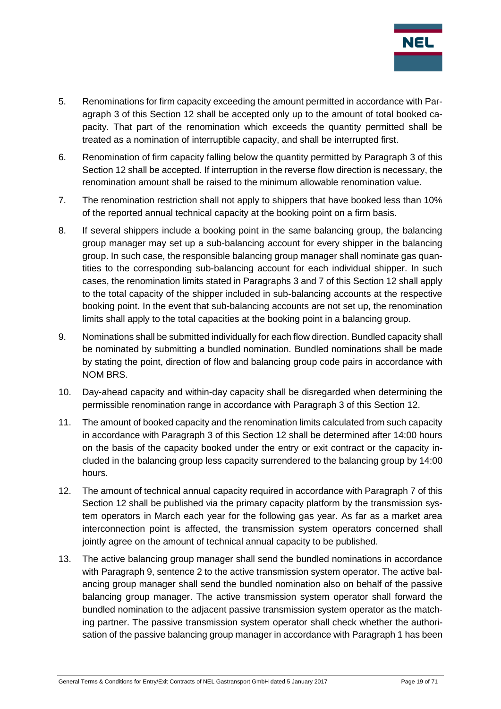

- 5. Renominations for firm capacity exceeding the amount permitted in accordance with Paragraph 3 of this Section 12 shall be accepted only up to the amount of total booked capacity. That part of the renomination which exceeds the quantity permitted shall be treated as a nomination of interruptible capacity, and shall be interrupted first.
- 6. Renomination of firm capacity falling below the quantity permitted by Paragraph 3 of this Section 12 shall be accepted. If interruption in the reverse flow direction is necessary, the renomination amount shall be raised to the minimum allowable renomination value.
- 7. The renomination restriction shall not apply to shippers that have booked less than 10% of the reported annual technical capacity at the booking point on a firm basis.
- 8. If several shippers include a booking point in the same balancing group, the balancing group manager may set up a sub-balancing account for every shipper in the balancing group. In such case, the responsible balancing group manager shall nominate gas quantities to the corresponding sub-balancing account for each individual shipper. In such cases, the renomination limits stated in Paragraphs 3 and 7 of this Section 12 shall apply to the total capacity of the shipper included in sub-balancing accounts at the respective booking point. In the event that sub-balancing accounts are not set up, the renomination limits shall apply to the total capacities at the booking point in a balancing group.
- 9. Nominations shall be submitted individually for each flow direction. Bundled capacity shall be nominated by submitting a bundled nomination. Bundled nominations shall be made by stating the point, direction of flow and balancing group code pairs in accordance with NOM BRS.
- 10. Day-ahead capacity and within-day capacity shall be disregarded when determining the permissible renomination range in accordance with Paragraph 3 of this Section 12.
- 11. The amount of booked capacity and the renomination limits calculated from such capacity in accordance with Paragraph 3 of this Section 12 shall be determined after 14:00 hours on the basis of the capacity booked under the entry or exit contract or the capacity included in the balancing group less capacity surrendered to the balancing group by 14:00 hours.
- 12. The amount of technical annual capacity required in accordance with Paragraph 7 of this Section 12 shall be published via the primary capacity platform by the transmission system operators in March each year for the following gas year. As far as a market area interconnection point is affected, the transmission system operators concerned shall jointly agree on the amount of technical annual capacity to be published.
- 13. The active balancing group manager shall send the bundled nominations in accordance with Paragraph 9, sentence 2 to the active transmission system operator. The active balancing group manager shall send the bundled nomination also on behalf of the passive balancing group manager. The active transmission system operator shall forward the bundled nomination to the adjacent passive transmission system operator as the matching partner. The passive transmission system operator shall check whether the authorisation of the passive balancing group manager in accordance with Paragraph 1 has been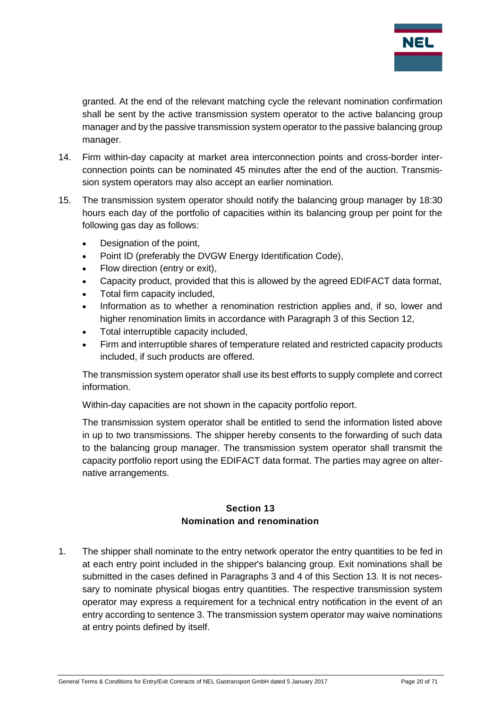

granted. At the end of the relevant matching cycle the relevant nomination confirmation shall be sent by the active transmission system operator to the active balancing group manager and by the passive transmission system operator to the passive balancing group manager.

- 14. Firm within-day capacity at market area interconnection points and cross-border interconnection points can be nominated 45 minutes after the end of the auction. Transmission system operators may also accept an earlier nomination.
- 15. The transmission system operator should notify the balancing group manager by 18:30 hours each day of the portfolio of capacities within its balancing group per point for the following gas day as follows:
	- Designation of the point.
	- Point ID (preferably the DVGW Energy Identification Code),
	- Flow direction (entry or exit),
	- Capacity product, provided that this is allowed by the agreed EDIFACT data format,
	- Total firm capacity included,
	- Information as to whether a renomination restriction applies and, if so, lower and higher renomination limits in accordance with Paragraph 3 of this Section 12,
	- Total interruptible capacity included,
	- Firm and interruptible shares of temperature related and restricted capacity products included, if such products are offered.

The transmission system operator shall use its best efforts to supply complete and correct information.

Within-day capacities are not shown in the capacity portfolio report.

The transmission system operator shall be entitled to send the information listed above in up to two transmissions. The shipper hereby consents to the forwarding of such data to the balancing group manager. The transmission system operator shall transmit the capacity portfolio report using the EDIFACT data format. The parties may agree on alternative arrangements.

#### **Section 13 Nomination and renomination**

<span id="page-19-0"></span>1. The shipper shall nominate to the entry network operator the entry quantities to be fed in at each entry point included in the shipper's balancing group. Exit nominations shall be submitted in the cases defined in Paragraphs 3 and 4 of this Section 13. It is not necessary to nominate physical biogas entry quantities. The respective transmission system operator may express a requirement for a technical entry notification in the event of an entry according to sentence 3. The transmission system operator may waive nominations at entry points defined by itself.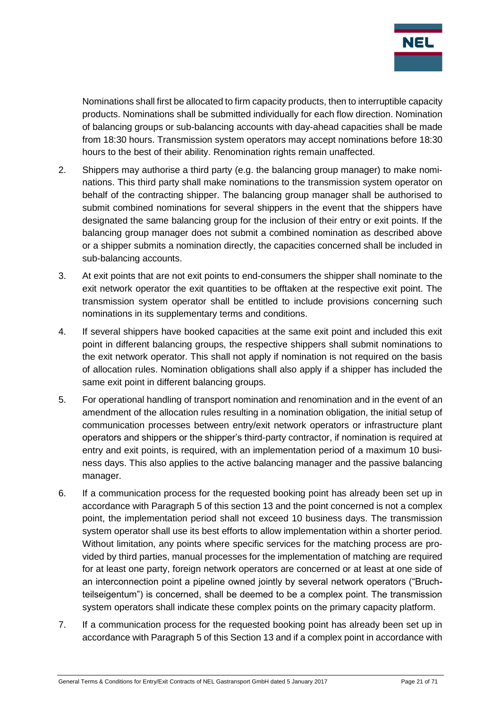

Nominations shall first be allocated to firm capacity products, then to interruptible capacity products. Nominations shall be submitted individually for each flow direction. Nomination of balancing groups or sub-balancing accounts with day-ahead capacities shall be made from 18:30 hours. Transmission system operators may accept nominations before 18:30 hours to the best of their ability. Renomination rights remain unaffected.

- 2. Shippers may authorise a third party (e.g. the balancing group manager) to make nominations. This third party shall make nominations to the transmission system operator on behalf of the contracting shipper. The balancing group manager shall be authorised to submit combined nominations for several shippers in the event that the shippers have designated the same balancing group for the inclusion of their entry or exit points. If the balancing group manager does not submit a combined nomination as described above or a shipper submits a nomination directly, the capacities concerned shall be included in sub-balancing accounts.
- 3. At exit points that are not exit points to end-consumers the shipper shall nominate to the exit network operator the exit quantities to be offtaken at the respective exit point. The transmission system operator shall be entitled to include provisions concerning such nominations in its supplementary terms and conditions.
- 4. If several shippers have booked capacities at the same exit point and included this exit point in different balancing groups, the respective shippers shall submit nominations to the exit network operator. This shall not apply if nomination is not required on the basis of allocation rules. Nomination obligations shall also apply if a shipper has included the same exit point in different balancing groups.
- 5. For operational handling of transport nomination and renomination and in the event of an amendment of the allocation rules resulting in a nomination obligation, the initial setup of communication processes between entry/exit network operators or infrastructure plant operators and shippers or the shipper's third-party contractor, if nomination is required at entry and exit points, is required, with an implementation period of a maximum 10 business days. This also applies to the active balancing manager and the passive balancing manager.
- 6. If a communication process for the requested booking point has already been set up in accordance with Paragraph 5 of this section 13 and the point concerned is not a complex point, the implementation period shall not exceed 10 business days. The transmission system operator shall use its best efforts to allow implementation within a shorter period. Without limitation, any points where specific services for the matching process are provided by third parties, manual processes for the implementation of matching are required for at least one party, foreign network operators are concerned or at least at one side of an interconnection point a pipeline owned jointly by several network operators ("Bruchteilseigentum") is concerned, shall be deemed to be a complex point. The transmission system operators shall indicate these complex points on the primary capacity platform.
- 7. If a communication process for the requested booking point has already been set up in accordance with Paragraph 5 of this Section 13 and if a complex point in accordance with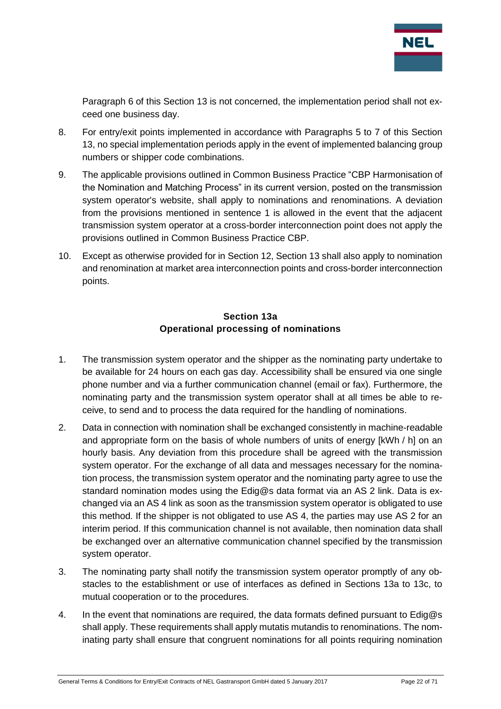

Paragraph 6 of this Section 13 is not concerned, the implementation period shall not exceed one business day.

- 8. For entry/exit points implemented in accordance with Paragraphs 5 to 7 of this Section 13, no special implementation periods apply in the event of implemented balancing group numbers or shipper code combinations.
- 9. The applicable provisions outlined in Common Business Practice "CBP Harmonisation of the Nomination and Matching Process" in its current version, posted on the transmission system operator's website, shall apply to nominations and renominations. A deviation from the provisions mentioned in sentence 1 is allowed in the event that the adjacent transmission system operator at a cross-border interconnection point does not apply the provisions outlined in Common Business Practice CBP.
- 10. Except as otherwise provided for in Section 12, Section 13 shall also apply to nomination and renomination at market area interconnection points and cross-border interconnection points.

## **Section 13a Operational processing of nominations**

- <span id="page-21-0"></span>1. The transmission system operator and the shipper as the nominating party undertake to be available for 24 hours on each gas day. Accessibility shall be ensured via one single phone number and via a further communication channel (email or fax). Furthermore, the nominating party and the transmission system operator shall at all times be able to receive, to send and to process the data required for the handling of nominations.
- 2. Data in connection with nomination shall be exchanged consistently in machine-readable and appropriate form on the basis of whole numbers of units of energy [kWh / h] on an hourly basis. Any deviation from this procedure shall be agreed with the transmission system operator. For the exchange of all data and messages necessary for the nomination process, the transmission system operator and the nominating party agree to use the standard nomination modes using the Edig@s data format via an AS 2 link. Data is exchanged via an AS 4 link as soon as the transmission system operator is obligated to use this method. If the shipper is not obligated to use AS 4, the parties may use AS 2 for an interim period. If this communication channel is not available, then nomination data shall be exchanged over an alternative communication channel specified by the transmission system operator.
- 3. The nominating party shall notify the transmission system operator promptly of any obstacles to the establishment or use of interfaces as defined in Sections 13a to 13c, to mutual cooperation or to the procedures.
- 4. In the event that nominations are required, the data formats defined pursuant to  $Ediq@s$ shall apply. These requirements shall apply mutatis mutandis to renominations. The nominating party shall ensure that congruent nominations for all points requiring nomination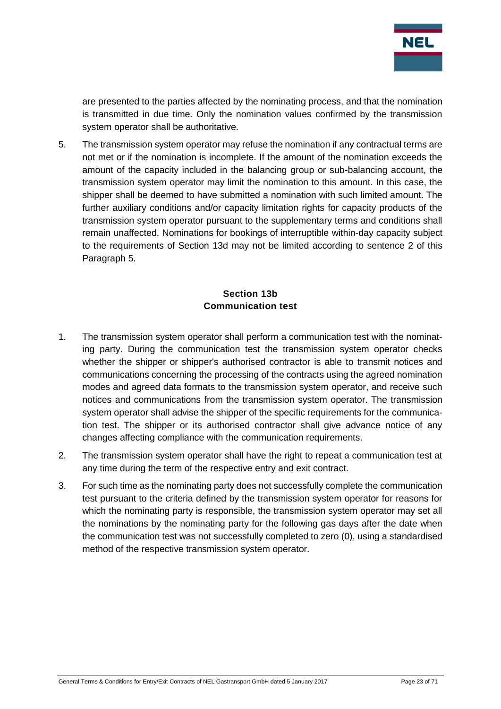

are presented to the parties affected by the nominating process, and that the nomination is transmitted in due time. Only the nomination values confirmed by the transmission system operator shall be authoritative.

5. The transmission system operator may refuse the nomination if any contractual terms are not met or if the nomination is incomplete. If the amount of the nomination exceeds the amount of the capacity included in the balancing group or sub-balancing account, the transmission system operator may limit the nomination to this amount. In this case, the shipper shall be deemed to have submitted a nomination with such limited amount. The further auxiliary conditions and/or capacity limitation rights for capacity products of the transmission system operator pursuant to the supplementary terms and conditions shall remain unaffected. Nominations for bookings of interruptible within-day capacity subject to the requirements of Section 13d may not be limited according to sentence 2 of this Paragraph 5.

## **Section 13b Communication test**

- <span id="page-22-0"></span>1. The transmission system operator shall perform a communication test with the nominating party. During the communication test the transmission system operator checks whether the shipper or shipper's authorised contractor is able to transmit notices and communications concerning the processing of the contracts using the agreed nomination modes and agreed data formats to the transmission system operator, and receive such notices and communications from the transmission system operator. The transmission system operator shall advise the shipper of the specific requirements for the communication test. The shipper or its authorised contractor shall give advance notice of any changes affecting compliance with the communication requirements.
- 2. The transmission system operator shall have the right to repeat a communication test at any time during the term of the respective entry and exit contract.
- 3. For such time as the nominating party does not successfully complete the communication test pursuant to the criteria defined by the transmission system operator for reasons for which the nominating party is responsible, the transmission system operator may set all the nominations by the nominating party for the following gas days after the date when the communication test was not successfully completed to zero (0), using a standardised method of the respective transmission system operator.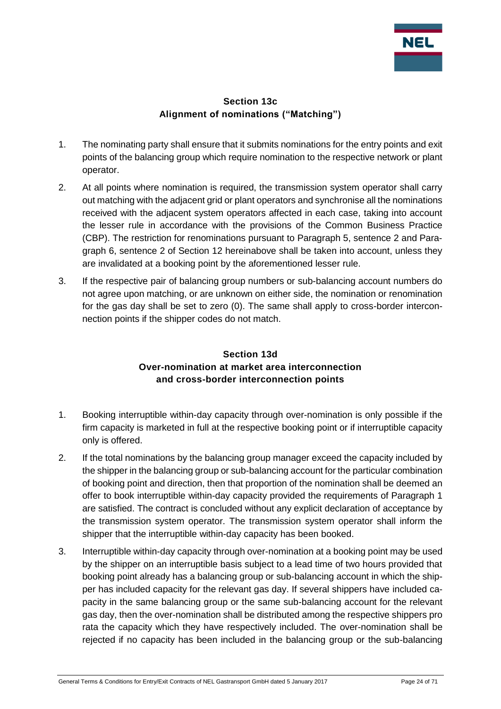

#### **Section 13c Alignment of nominations ("Matching")**

- <span id="page-23-0"></span>1. The nominating party shall ensure that it submits nominations for the entry points and exit points of the balancing group which require nomination to the respective network or plant operator.
- 2. At all points where nomination is required, the transmission system operator shall carry out matching with the adjacent grid or plant operators and synchronise all the nominations received with the adjacent system operators affected in each case, taking into account the lesser rule in accordance with the provisions of the Common Business Practice (CBP). The restriction for renominations pursuant to Paragraph 5, sentence 2 and Paragraph 6, sentence 2 of Section 12 hereinabove shall be taken into account, unless they are invalidated at a booking point by the aforementioned lesser rule.
- 3. If the respective pair of balancing group numbers or sub-balancing account numbers do not agree upon matching, or are unknown on either side, the nomination or renomination for the gas day shall be set to zero (0). The same shall apply to cross-border interconnection points if the shipper codes do not match.

## **Section 13d Over-nomination at market area interconnection and cross-border interconnection points**

- <span id="page-23-1"></span>1. Booking interruptible within-day capacity through over-nomination is only possible if the firm capacity is marketed in full at the respective booking point or if interruptible capacity only is offered.
- 2. If the total nominations by the balancing group manager exceed the capacity included by the shipper in the balancing group or sub-balancing account for the particular combination of booking point and direction, then that proportion of the nomination shall be deemed an offer to book interruptible within-day capacity provided the requirements of Paragraph 1 are satisfied. The contract is concluded without any explicit declaration of acceptance by the transmission system operator. The transmission system operator shall inform the shipper that the interruptible within-day capacity has been booked.
- 3. Interruptible within-day capacity through over-nomination at a booking point may be used by the shipper on an interruptible basis subject to a lead time of two hours provided that booking point already has a balancing group or sub-balancing account in which the shipper has included capacity for the relevant gas day. If several shippers have included capacity in the same balancing group or the same sub-balancing account for the relevant gas day, then the over-nomination shall be distributed among the respective shippers pro rata the capacity which they have respectively included. The over-nomination shall be rejected if no capacity has been included in the balancing group or the sub-balancing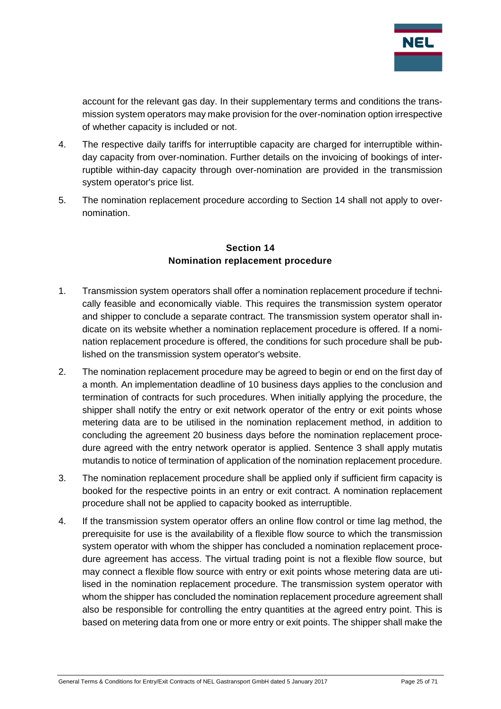

account for the relevant gas day. In their supplementary terms and conditions the transmission system operators may make provision for the over-nomination option irrespective of whether capacity is included or not.

- 4. The respective daily tariffs for interruptible capacity are charged for interruptible withinday capacity from over-nomination. Further details on the invoicing of bookings of interruptible within-day capacity through over-nomination are provided in the transmission system operator's price list.
- 5. The nomination replacement procedure according to Section 14 shall not apply to overnomination.

#### **Section 14 Nomination replacement procedure**

- <span id="page-24-0"></span>1. Transmission system operators shall offer a nomination replacement procedure if technically feasible and economically viable. This requires the transmission system operator and shipper to conclude a separate contract. The transmission system operator shall indicate on its website whether a nomination replacement procedure is offered. If a nomination replacement procedure is offered, the conditions for such procedure shall be published on the transmission system operator's website.
- 2. The nomination replacement procedure may be agreed to begin or end on the first day of a month. An implementation deadline of 10 business days applies to the conclusion and termination of contracts for such procedures. When initially applying the procedure, the shipper shall notify the entry or exit network operator of the entry or exit points whose metering data are to be utilised in the nomination replacement method, in addition to concluding the agreement 20 business days before the nomination replacement procedure agreed with the entry network operator is applied. Sentence 3 shall apply mutatis mutandis to notice of termination of application of the nomination replacement procedure.
- 3. The nomination replacement procedure shall be applied only if sufficient firm capacity is booked for the respective points in an entry or exit contract. A nomination replacement procedure shall not be applied to capacity booked as interruptible.
- 4. If the transmission system operator offers an online flow control or time lag method, the prerequisite for use is the availability of a flexible flow source to which the transmission system operator with whom the shipper has concluded a nomination replacement procedure agreement has access. The virtual trading point is not a flexible flow source, but may connect a flexible flow source with entry or exit points whose metering data are utilised in the nomination replacement procedure. The transmission system operator with whom the shipper has concluded the nomination replacement procedure agreement shall also be responsible for controlling the entry quantities at the agreed entry point. This is based on metering data from one or more entry or exit points. The shipper shall make the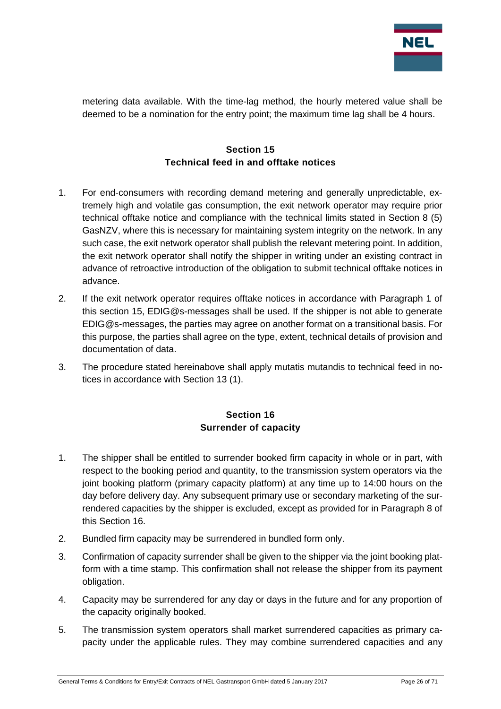

metering data available. With the time-lag method, the hourly metered value shall be deemed to be a nomination for the entry point; the maximum time lag shall be 4 hours.

## **Section 15 Technical feed in and offtake notices**

- <span id="page-25-0"></span>1. For end-consumers with recording demand metering and generally unpredictable, extremely high and volatile gas consumption, the exit network operator may require prior technical offtake notice and compliance with the technical limits stated in Section 8 (5) GasNZV, where this is necessary for maintaining system integrity on the network. In any such case, the exit network operator shall publish the relevant metering point. In addition, the exit network operator shall notify the shipper in writing under an existing contract in advance of retroactive introduction of the obligation to submit technical offtake notices in advance.
- 2. If the exit network operator requires offtake notices in accordance with Paragraph 1 of this section 15, EDIG@s-messages shall be used. If the shipper is not able to generate EDIG@s-messages, the parties may agree on another format on a transitional basis. For this purpose, the parties shall agree on the type, extent, technical details of provision and documentation of data.
- 3. The procedure stated hereinabove shall apply mutatis mutandis to technical feed in notices in accordance with Section 13 (1).

## **Section 16 Surrender of capacity**

- <span id="page-25-1"></span>1. The shipper shall be entitled to surrender booked firm capacity in whole or in part, with respect to the booking period and quantity, to the transmission system operators via the joint booking platform (primary capacity platform) at any time up to 14:00 hours on the day before delivery day. Any subsequent primary use or secondary marketing of the surrendered capacities by the shipper is excluded, except as provided for in Paragraph 8 of this Section 16.
- 2. Bundled firm capacity may be surrendered in bundled form only.
- 3. Confirmation of capacity surrender shall be given to the shipper via the joint booking platform with a time stamp. This confirmation shall not release the shipper from its payment obligation.
- 4. Capacity may be surrendered for any day or days in the future and for any proportion of the capacity originally booked.
- 5. The transmission system operators shall market surrendered capacities as primary capacity under the applicable rules. They may combine surrendered capacities and any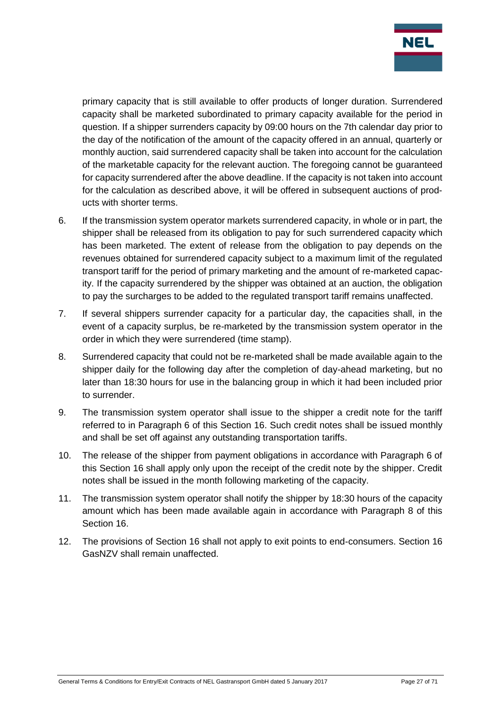

primary capacity that is still available to offer products of longer duration. Surrendered capacity shall be marketed subordinated to primary capacity available for the period in question. If a shipper surrenders capacity by 09:00 hours on the 7th calendar day prior to the day of the notification of the amount of the capacity offered in an annual, quarterly or monthly auction, said surrendered capacity shall be taken into account for the calculation of the marketable capacity for the relevant auction. The foregoing cannot be guaranteed for capacity surrendered after the above deadline. If the capacity is not taken into account for the calculation as described above, it will be offered in subsequent auctions of products with shorter terms.

- 6. If the transmission system operator markets surrendered capacity, in whole or in part, the shipper shall be released from its obligation to pay for such surrendered capacity which has been marketed. The extent of release from the obligation to pay depends on the revenues obtained for surrendered capacity subject to a maximum limit of the regulated transport tariff for the period of primary marketing and the amount of re-marketed capacity. If the capacity surrendered by the shipper was obtained at an auction, the obligation to pay the surcharges to be added to the regulated transport tariff remains unaffected.
- 7. If several shippers surrender capacity for a particular day, the capacities shall, in the event of a capacity surplus, be re-marketed by the transmission system operator in the order in which they were surrendered (time stamp).
- 8. Surrendered capacity that could not be re-marketed shall be made available again to the shipper daily for the following day after the completion of day-ahead marketing, but no later than 18:30 hours for use in the balancing group in which it had been included prior to surrender.
- 9. The transmission system operator shall issue to the shipper a credit note for the tariff referred to in Paragraph 6 of this Section 16. Such credit notes shall be issued monthly and shall be set off against any outstanding transportation tariffs.
- 10. The release of the shipper from payment obligations in accordance with Paragraph 6 of this Section 16 shall apply only upon the receipt of the credit note by the shipper. Credit notes shall be issued in the month following marketing of the capacity.
- 11. The transmission system operator shall notify the shipper by 18:30 hours of the capacity amount which has been made available again in accordance with Paragraph 8 of this Section 16.
- 12. The provisions of Section 16 shall not apply to exit points to end-consumers. Section 16 GasNZV shall remain unaffected.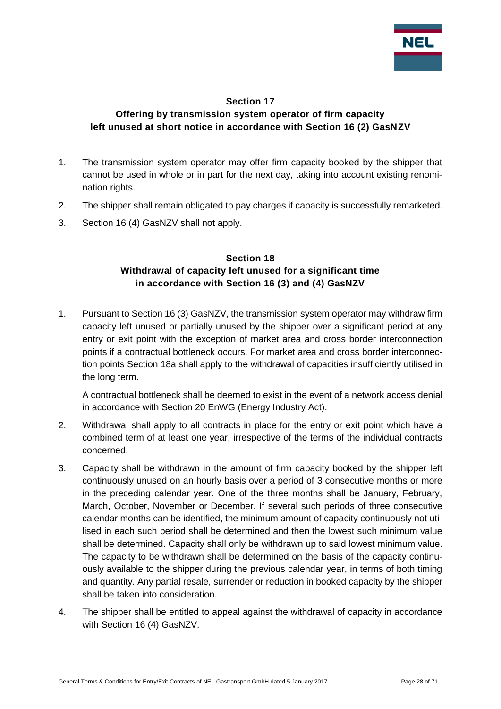

#### **Section 17**

## <span id="page-27-0"></span>**Offering by transmission system operator of firm capacity left unused at short notice in accordance with Section 16 (2) GasNZV**

- 1. The transmission system operator may offer firm capacity booked by the shipper that cannot be used in whole or in part for the next day, taking into account existing renomination rights.
- 2. The shipper shall remain obligated to pay charges if capacity is successfully remarketed.
- <span id="page-27-1"></span>3. Section 16 (4) GasNZV shall not apply.

#### **Section 18 Withdrawal of capacity left unused for a significant time in accordance with Section 16 (3) and (4) GasNZV**

1. Pursuant to Section 16 (3) GasNZV, the transmission system operator may withdraw firm capacity left unused or partially unused by the shipper over a significant period at any entry or exit point with the exception of market area and cross border interconnection points if a contractual bottleneck occurs. For market area and cross border interconnection points Section 18a shall apply to the withdrawal of capacities insufficiently utilised in the long term.

A contractual bottleneck shall be deemed to exist in the event of a network access denial in accordance with Section 20 EnWG (Energy Industry Act).

- 2. Withdrawal shall apply to all contracts in place for the entry or exit point which have a combined term of at least one year, irrespective of the terms of the individual contracts concerned.
- 3. Capacity shall be withdrawn in the amount of firm capacity booked by the shipper left continuously unused on an hourly basis over a period of 3 consecutive months or more in the preceding calendar year. One of the three months shall be January, February, March, October, November or December. If several such periods of three consecutive calendar months can be identified, the minimum amount of capacity continuously not utilised in each such period shall be determined and then the lowest such minimum value shall be determined. Capacity shall only be withdrawn up to said lowest minimum value. The capacity to be withdrawn shall be determined on the basis of the capacity continuously available to the shipper during the previous calendar year, in terms of both timing and quantity. Any partial resale, surrender or reduction in booked capacity by the shipper shall be taken into consideration.
- 4. The shipper shall be entitled to appeal against the withdrawal of capacity in accordance with Section 16 (4) GasNZV.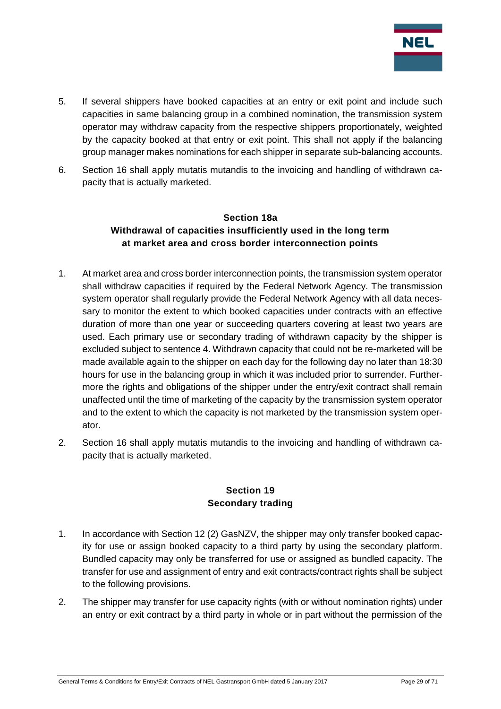

- 5. If several shippers have booked capacities at an entry or exit point and include such capacities in same balancing group in a combined nomination, the transmission system operator may withdraw capacity from the respective shippers proportionately, weighted by the capacity booked at that entry or exit point. This shall not apply if the balancing group manager makes nominations for each shipper in separate sub-balancing accounts.
- <span id="page-28-0"></span>6. Section 16 shall apply mutatis mutandis to the invoicing and handling of withdrawn capacity that is actually marketed.

## **Section 18a Withdrawal of capacities insufficiently used in the long term at market area and cross border interconnection points**

- 1. At market area and cross border interconnection points, the transmission system operator shall withdraw capacities if required by the Federal Network Agency. The transmission system operator shall regularly provide the Federal Network Agency with all data necessary to monitor the extent to which booked capacities under contracts with an effective duration of more than one year or succeeding quarters covering at least two years are used. Each primary use or secondary trading of withdrawn capacity by the shipper is excluded subject to sentence 4. Withdrawn capacity that could not be re-marketed will be made available again to the shipper on each day for the following day no later than 18:30 hours for use in the balancing group in which it was included prior to surrender. Furthermore the rights and obligations of the shipper under the entry/exit contract shall remain unaffected until the time of marketing of the capacity by the transmission system operator and to the extent to which the capacity is not marketed by the transmission system operator.
- 2. Section 16 shall apply mutatis mutandis to the invoicing and handling of withdrawn capacity that is actually marketed.

#### **Section 19 Secondary trading**

- <span id="page-28-1"></span>1. In accordance with Section 12 (2) GasNZV, the shipper may only transfer booked capacity for use or assign booked capacity to a third party by using the secondary platform. Bundled capacity may only be transferred for use or assigned as bundled capacity. The transfer for use and assignment of entry and exit contracts/contract rights shall be subject to the following provisions.
- 2. The shipper may transfer for use capacity rights (with or without nomination rights) under an entry or exit contract by a third party in whole or in part without the permission of the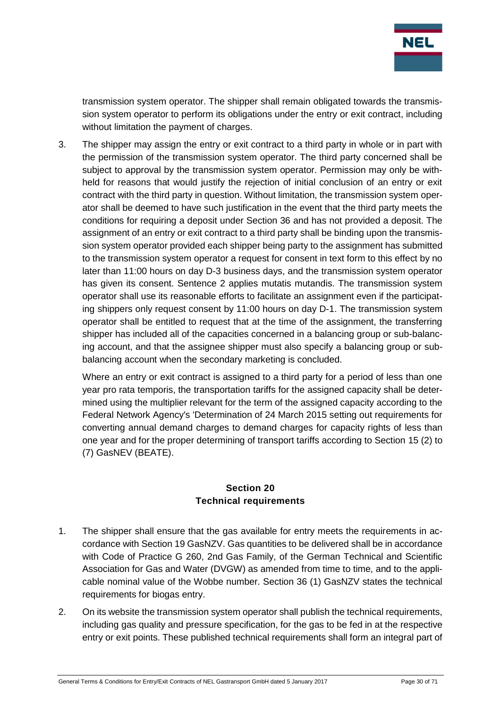

transmission system operator. The shipper shall remain obligated towards the transmission system operator to perform its obligations under the entry or exit contract, including without limitation the payment of charges.

3. The shipper may assign the entry or exit contract to a third party in whole or in part with the permission of the transmission system operator. The third party concerned shall be subject to approval by the transmission system operator. Permission may only be withheld for reasons that would justify the rejection of initial conclusion of an entry or exit contract with the third party in question. Without limitation, the transmission system operator shall be deemed to have such justification in the event that the third party meets the conditions for requiring a deposit under Section 36 and has not provided a deposit. The assignment of an entry or exit contract to a third party shall be binding upon the transmission system operator provided each shipper being party to the assignment has submitted to the transmission system operator a request for consent in text form to this effect by no later than 11:00 hours on day D-3 business days, and the transmission system operator has given its consent. Sentence 2 applies mutatis mutandis. The transmission system operator shall use its reasonable efforts to facilitate an assignment even if the participating shippers only request consent by 11:00 hours on day D-1. The transmission system operator shall be entitled to request that at the time of the assignment, the transferring shipper has included all of the capacities concerned in a balancing group or sub-balancing account, and that the assignee shipper must also specify a balancing group or subbalancing account when the secondary marketing is concluded.

Where an entry or exit contract is assigned to a third party for a period of less than one year pro rata temporis, the transportation tariffs for the assigned capacity shall be determined using the multiplier relevant for the term of the assigned capacity according to the Federal Network Agency's 'Determination of 24 March 2015 setting out requirements for converting annual demand charges to demand charges for capacity rights of less than one year and for the proper determining of transport tariffs according to Section 15 (2) to (7) GasNEV (BEATE).

#### **Section 20 Technical requirements**

- <span id="page-29-0"></span>1. The shipper shall ensure that the gas available for entry meets the requirements in accordance with Section 19 GasNZV. Gas quantities to be delivered shall be in accordance with Code of Practice G 260, 2nd Gas Family, of the German Technical and Scientific Association for Gas and Water (DVGW) as amended from time to time, and to the applicable nominal value of the Wobbe number. Section 36 (1) GasNZV states the technical requirements for biogas entry.
- 2. On its website the transmission system operator shall publish the technical requirements, including gas quality and pressure specification, for the gas to be fed in at the respective entry or exit points. These published technical requirements shall form an integral part of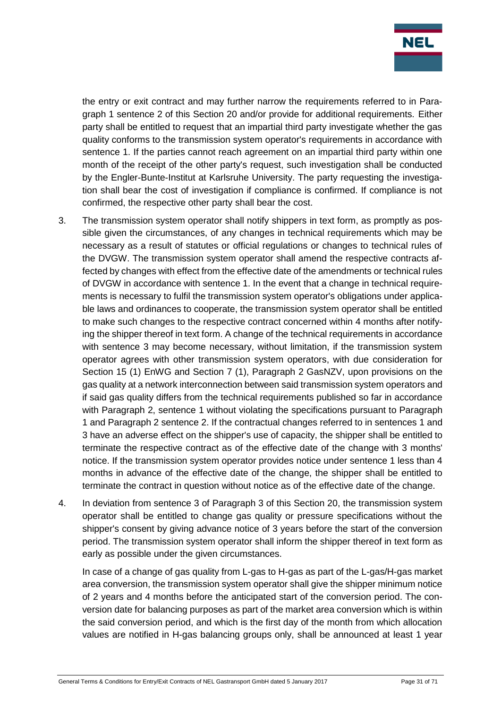

the entry or exit contract and may further narrow the requirements referred to in Paragraph 1 sentence 2 of this Section 20 and/or provide for additional requirements. Either party shall be entitled to request that an impartial third party investigate whether the gas quality conforms to the transmission system operator's requirements in accordance with sentence 1. If the parties cannot reach agreement on an impartial third party within one month of the receipt of the other party's request, such investigation shall be conducted by the Engler-Bunte-Institut at Karlsruhe University. The party requesting the investigation shall bear the cost of investigation if compliance is confirmed. If compliance is not confirmed, the respective other party shall bear the cost.

- 3. The transmission system operator shall notify shippers in text form, as promptly as possible given the circumstances, of any changes in technical requirements which may be necessary as a result of statutes or official regulations or changes to technical rules of the DVGW. The transmission system operator shall amend the respective contracts affected by changes with effect from the effective date of the amendments or technical rules of DVGW in accordance with sentence 1. In the event that a change in technical requirements is necessary to fulfil the transmission system operator's obligations under applicable laws and ordinances to cooperate, the transmission system operator shall be entitled to make such changes to the respective contract concerned within 4 months after notifying the shipper thereof in text form. A change of the technical requirements in accordance with sentence 3 may become necessary, without limitation, if the transmission system operator agrees with other transmission system operators, with due consideration for Section 15 (1) EnWG and Section 7 (1), Paragraph 2 GasNZV, upon provisions on the gas quality at a network interconnection between said transmission system operators and if said gas quality differs from the technical requirements published so far in accordance with Paragraph 2, sentence 1 without violating the specifications pursuant to Paragraph 1 and Paragraph 2 sentence 2. If the contractual changes referred to in sentences 1 and 3 have an adverse effect on the shipper's use of capacity, the shipper shall be entitled to terminate the respective contract as of the effective date of the change with 3 months' notice. If the transmission system operator provides notice under sentence 1 less than 4 months in advance of the effective date of the change, the shipper shall be entitled to terminate the contract in question without notice as of the effective date of the change.
- 4. In deviation from sentence 3 of Paragraph 3 of this Section 20, the transmission system operator shall be entitled to change gas quality or pressure specifications without the shipper's consent by giving advance notice of 3 years before the start of the conversion period. The transmission system operator shall inform the shipper thereof in text form as early as possible under the given circumstances.

In case of a change of gas quality from L-gas to H-gas as part of the L-gas/H-gas market area conversion, the transmission system operator shall give the shipper minimum notice of 2 years and 4 months before the anticipated start of the conversion period. The conversion date for balancing purposes as part of the market area conversion which is within the said conversion period, and which is the first day of the month from which allocation values are notified in H-gas balancing groups only, shall be announced at least 1 year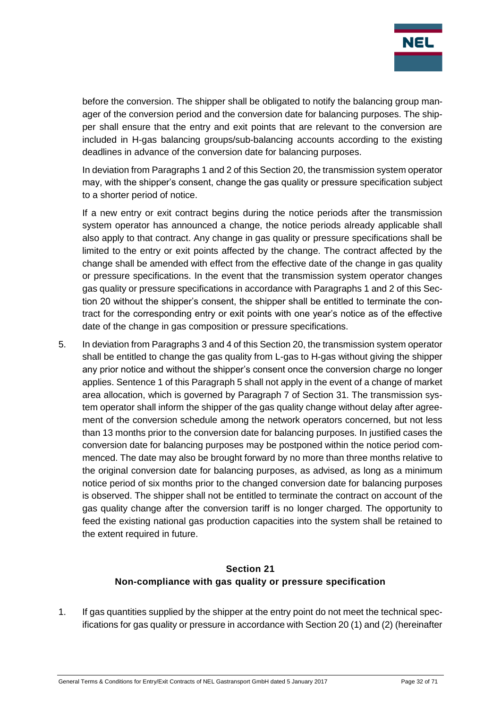

before the conversion. The shipper shall be obligated to notify the balancing group manager of the conversion period and the conversion date for balancing purposes. The shipper shall ensure that the entry and exit points that are relevant to the conversion are included in H-gas balancing groups/sub-balancing accounts according to the existing deadlines in advance of the conversion date for balancing purposes.

In deviation from Paragraphs 1 and 2 of this Section 20, the transmission system operator may, with the shipper's consent, change the gas quality or pressure specification subject to a shorter period of notice.

If a new entry or exit contract begins during the notice periods after the transmission system operator has announced a change, the notice periods already applicable shall also apply to that contract. Any change in gas quality or pressure specifications shall be limited to the entry or exit points affected by the change. The contract affected by the change shall be amended with effect from the effective date of the change in gas quality or pressure specifications. In the event that the transmission system operator changes gas quality or pressure specifications in accordance with Paragraphs 1 and 2 of this Section 20 without the shipper's consent, the shipper shall be entitled to terminate the contract for the corresponding entry or exit points with one year's notice as of the effective date of the change in gas composition or pressure specifications.

5. In deviation from Paragraphs 3 and 4 of this Section 20, the transmission system operator shall be entitled to change the gas quality from L-gas to H-gas without giving the shipper any prior notice and without the shipper's consent once the conversion charge no longer applies. Sentence 1 of this Paragraph 5 shall not apply in the event of a change of market area allocation, which is governed by Paragraph 7 of Section 31. The transmission system operator shall inform the shipper of the gas quality change without delay after agreement of the conversion schedule among the network operators concerned, but not less than 13 months prior to the conversion date for balancing purposes. In justified cases the conversion date for balancing purposes may be postponed within the notice period commenced. The date may also be brought forward by no more than three months relative to the original conversion date for balancing purposes, as advised, as long as a minimum notice period of six months prior to the changed conversion date for balancing purposes is observed. The shipper shall not be entitled to terminate the contract on account of the gas quality change after the conversion tariff is no longer charged. The opportunity to feed the existing national gas production capacities into the system shall be retained to the extent required in future.

## **Section 21 Non-compliance with gas quality or pressure specification**

<span id="page-31-0"></span>1. If gas quantities supplied by the shipper at the entry point do not meet the technical specifications for gas quality or pressure in accordance with Section 20 (1) and (2) (hereinafter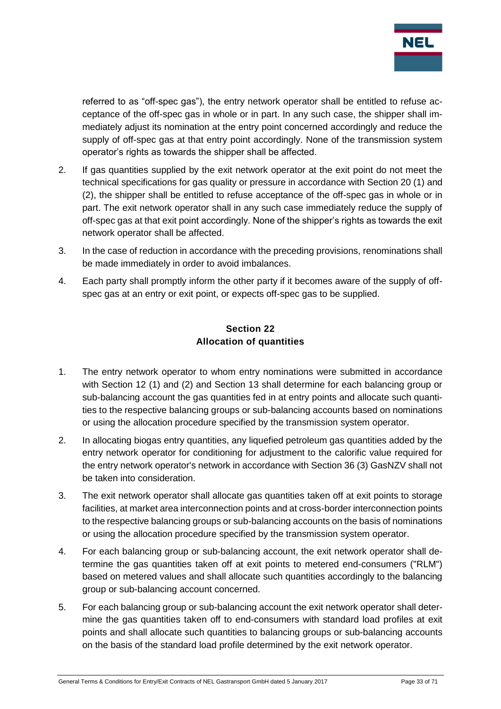

referred to as "off-spec gas"), the entry network operator shall be entitled to refuse acceptance of the off-spec gas in whole or in part. In any such case, the shipper shall immediately adjust its nomination at the entry point concerned accordingly and reduce the supply of off-spec gas at that entry point accordingly. None of the transmission system operator's rights as towards the shipper shall be affected.

- 2. If gas quantities supplied by the exit network operator at the exit point do not meet the technical specifications for gas quality or pressure in accordance with Section 20 (1) and (2), the shipper shall be entitled to refuse acceptance of the off-spec gas in whole or in part. The exit network operator shall in any such case immediately reduce the supply of off-spec gas at that exit point accordingly. None of the shipper's rights as towards the exit network operator shall be affected.
- 3. In the case of reduction in accordance with the preceding provisions, renominations shall be made immediately in order to avoid imbalances.
- 4. Each party shall promptly inform the other party if it becomes aware of the supply of offspec gas at an entry or exit point, or expects off-spec gas to be supplied.

#### **Section 22 Allocation of quantities**

- <span id="page-32-0"></span>1. The entry network operator to whom entry nominations were submitted in accordance with Section 12 (1) and (2) and Section 13 shall determine for each balancing group or sub-balancing account the gas quantities fed in at entry points and allocate such quantities to the respective balancing groups or sub-balancing accounts based on nominations or using the allocation procedure specified by the transmission system operator.
- 2. In allocating biogas entry quantities, any liquefied petroleum gas quantities added by the entry network operator for conditioning for adjustment to the calorific value required for the entry network operator's network in accordance with Section 36 (3) GasNZV shall not be taken into consideration.
- 3. The exit network operator shall allocate gas quantities taken off at exit points to storage facilities, at market area interconnection points and at cross-border interconnection points to the respective balancing groups or sub-balancing accounts on the basis of nominations or using the allocation procedure specified by the transmission system operator.
- 4. For each balancing group or sub-balancing account, the exit network operator shall determine the gas quantities taken off at exit points to metered end-consumers ("RLM") based on metered values and shall allocate such quantities accordingly to the balancing group or sub-balancing account concerned.
- 5. For each balancing group or sub-balancing account the exit network operator shall determine the gas quantities taken off to end-consumers with standard load profiles at exit points and shall allocate such quantities to balancing groups or sub-balancing accounts on the basis of the standard load profile determined by the exit network operator.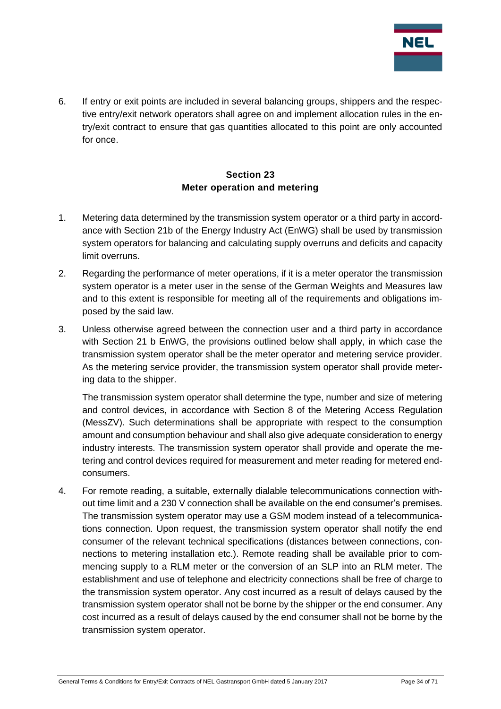

6. If entry or exit points are included in several balancing groups, shippers and the respective entry/exit network operators shall agree on and implement allocation rules in the entry/exit contract to ensure that gas quantities allocated to this point are only accounted for once.

## **Section 23 Meter operation and metering**

- <span id="page-33-0"></span>1. Metering data determined by the transmission system operator or a third party in accordance with Section 21b of the Energy Industry Act (EnWG) shall be used by transmission system operators for balancing and calculating supply overruns and deficits and capacity limit overruns.
- 2. Regarding the performance of meter operations, if it is a meter operator the transmission system operator is a meter user in the sense of the German Weights and Measures law and to this extent is responsible for meeting all of the requirements and obligations imposed by the said law.
- 3. Unless otherwise agreed between the connection user and a third party in accordance with Section 21 b EnWG, the provisions outlined below shall apply, in which case the transmission system operator shall be the meter operator and metering service provider. As the metering service provider, the transmission system operator shall provide metering data to the shipper.

The transmission system operator shall determine the type, number and size of metering and control devices, in accordance with Section 8 of the Metering Access Regulation (MessZV). Such determinations shall be appropriate with respect to the consumption amount and consumption behaviour and shall also give adequate consideration to energy industry interests. The transmission system operator shall provide and operate the metering and control devices required for measurement and meter reading for metered endconsumers.

4. For remote reading, a suitable, externally dialable telecommunications connection without time limit and a 230 V connection shall be available on the end consumer's premises. The transmission system operator may use a GSM modem instead of a telecommunications connection. Upon request, the transmission system operator shall notify the end consumer of the relevant technical specifications (distances between connections, connections to metering installation etc.). Remote reading shall be available prior to commencing supply to a RLM meter or the conversion of an SLP into an RLM meter. The establishment and use of telephone and electricity connections shall be free of charge to the transmission system operator. Any cost incurred as a result of delays caused by the transmission system operator shall not be borne by the shipper or the end consumer. Any cost incurred as a result of delays caused by the end consumer shall not be borne by the transmission system operator.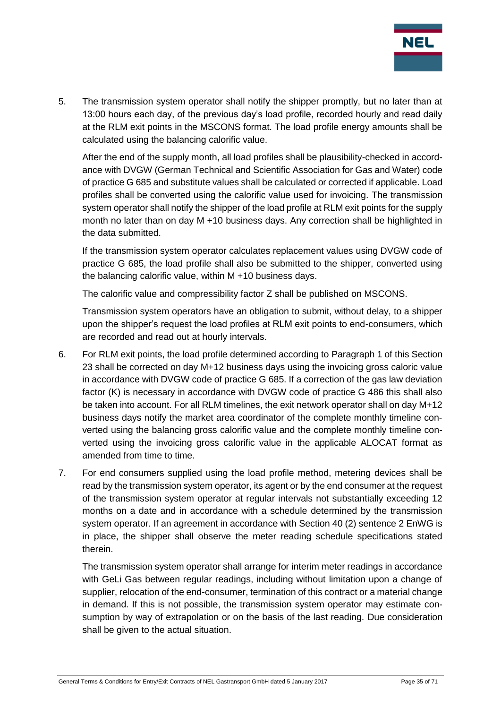

5. The transmission system operator shall notify the shipper promptly, but no later than at 13:00 hours each day, of the previous day's load profile, recorded hourly and read daily at the RLM exit points in the MSCONS format. The load profile energy amounts shall be calculated using the balancing calorific value.

After the end of the supply month, all load profiles shall be plausibility-checked in accordance with DVGW (German Technical and Scientific Association for Gas and Water) code of practice G 685 and substitute values shall be calculated or corrected if applicable. Load profiles shall be converted using the calorific value used for invoicing. The transmission system operator shall notify the shipper of the load profile at RLM exit points for the supply month no later than on day M +10 business days. Any correction shall be highlighted in the data submitted.

If the transmission system operator calculates replacement values using DVGW code of practice G 685, the load profile shall also be submitted to the shipper, converted using the balancing calorific value, within M +10 business days.

The calorific value and compressibility factor Z shall be published on MSCONS.

Transmission system operators have an obligation to submit, without delay, to a shipper upon the shipper's request the load profiles at RLM exit points to end-consumers, which are recorded and read out at hourly intervals.

- 6. For RLM exit points, the load profile determined according to Paragraph 1 of this Section 23 shall be corrected on day M+12 business days using the invoicing gross caloric value in accordance with DVGW code of practice G 685. If a correction of the gas law deviation factor (K) is necessary in accordance with DVGW code of practice G 486 this shall also be taken into account. For all RLM timelines, the exit network operator shall on day M+12 business days notify the market area coordinator of the complete monthly timeline converted using the balancing gross calorific value and the complete monthly timeline converted using the invoicing gross calorific value in the applicable ALOCAT format as amended from time to time.
- 7. For end consumers supplied using the load profile method, metering devices shall be read by the transmission system operator, its agent or by the end consumer at the request of the transmission system operator at regular intervals not substantially exceeding 12 months on a date and in accordance with a schedule determined by the transmission system operator. If an agreement in accordance with Section 40 (2) sentence 2 EnWG is in place, the shipper shall observe the meter reading schedule specifications stated therein.

The transmission system operator shall arrange for interim meter readings in accordance with GeLi Gas between regular readings, including without limitation upon a change of supplier, relocation of the end-consumer, termination of this contract or a material change in demand. If this is not possible, the transmission system operator may estimate consumption by way of extrapolation or on the basis of the last reading. Due consideration shall be given to the actual situation.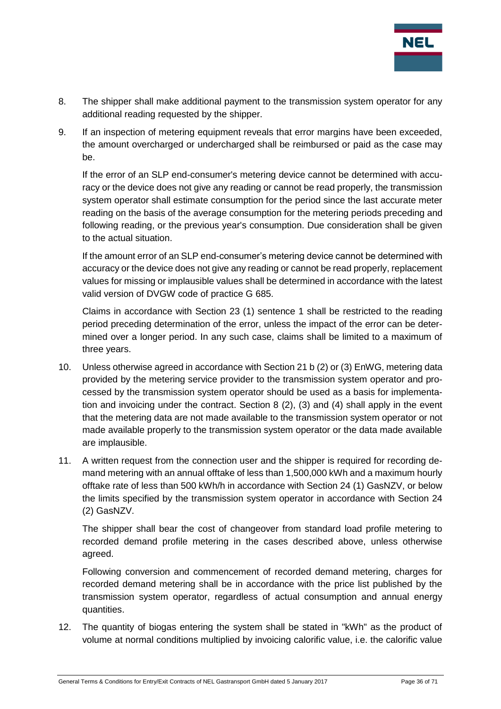

- 8. The shipper shall make additional payment to the transmission system operator for any additional reading requested by the shipper.
- 9. If an inspection of metering equipment reveals that error margins have been exceeded, the amount overcharged or undercharged shall be reimbursed or paid as the case may be.

If the error of an SLP end-consumer's metering device cannot be determined with accuracy or the device does not give any reading or cannot be read properly, the transmission system operator shall estimate consumption for the period since the last accurate meter reading on the basis of the average consumption for the metering periods preceding and following reading, or the previous year's consumption. Due consideration shall be given to the actual situation.

If the amount error of an SLP end-consumer's metering device cannot be determined with accuracy or the device does not give any reading or cannot be read properly, replacement values for missing or implausible values shall be determined in accordance with the latest valid version of DVGW code of practice G 685.

Claims in accordance with Section 23 (1) sentence 1 shall be restricted to the reading period preceding determination of the error, unless the impact of the error can be determined over a longer period. In any such case, claims shall be limited to a maximum of three years.

- 10. Unless otherwise agreed in accordance with Section 21 b (2) or (3) EnWG, metering data provided by the metering service provider to the transmission system operator and processed by the transmission system operator should be used as a basis for implementation and invoicing under the contract. Section 8 (2), (3) and (4) shall apply in the event that the metering data are not made available to the transmission system operator or not made available properly to the transmission system operator or the data made available are implausible.
- 11. A written request from the connection user and the shipper is required for recording demand metering with an annual offtake of less than 1,500,000 kWh and a maximum hourly offtake rate of less than 500 kWh/h in accordance with Section 24 (1) GasNZV, or below the limits specified by the transmission system operator in accordance with Section 24 (2) GasNZV.

The shipper shall bear the cost of changeover from standard load profile metering to recorded demand profile metering in the cases described above, unless otherwise agreed.

Following conversion and commencement of recorded demand metering, charges for recorded demand metering shall be in accordance with the price list published by the transmission system operator, regardless of actual consumption and annual energy quantities.

12. The quantity of biogas entering the system shall be stated in "kWh" as the product of volume at normal conditions multiplied by invoicing calorific value, i.e. the calorific value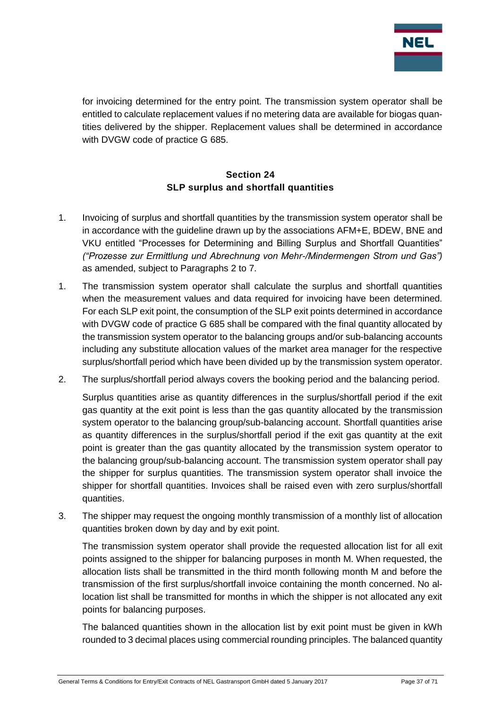

for invoicing determined for the entry point. The transmission system operator shall be entitled to calculate replacement values if no metering data are available for biogas quantities delivered by the shipper. Replacement values shall be determined in accordance with DVGW code of practice G 685.

## **Section 24 SLP surplus and shortfall quantities**

- <span id="page-36-0"></span>1. Invoicing of surplus and shortfall quantities by the transmission system operator shall be in accordance with the guideline drawn up by the associations AFM+E, BDEW, BNE and VKU entitled "Processes for Determining and Billing Surplus and Shortfall Quantities" *("Prozesse zur Ermittlung und Abrechnung von Mehr-/Mindermengen Strom und Gas")* as amended, subject to Paragraphs 2 to 7.
- 1. The transmission system operator shall calculate the surplus and shortfall quantities when the measurement values and data required for invoicing have been determined. For each SLP exit point, the consumption of the SLP exit points determined in accordance with DVGW code of practice G 685 shall be compared with the final quantity allocated by the transmission system operator to the balancing groups and/or sub-balancing accounts including any substitute allocation values of the market area manager for the respective surplus/shortfall period which have been divided up by the transmission system operator.
- 2. The surplus/shortfall period always covers the booking period and the balancing period.

Surplus quantities arise as quantity differences in the surplus/shortfall period if the exit gas quantity at the exit point is less than the gas quantity allocated by the transmission system operator to the balancing group/sub-balancing account. Shortfall quantities arise as quantity differences in the surplus/shortfall period if the exit gas quantity at the exit point is greater than the gas quantity allocated by the transmission system operator to the balancing group/sub-balancing account. The transmission system operator shall pay the shipper for surplus quantities. The transmission system operator shall invoice the shipper for shortfall quantities. Invoices shall be raised even with zero surplus/shortfall quantities.

3. The shipper may request the ongoing monthly transmission of a monthly list of allocation quantities broken down by day and by exit point.

The transmission system operator shall provide the requested allocation list for all exit points assigned to the shipper for balancing purposes in month M. When requested, the allocation lists shall be transmitted in the third month following month M and before the transmission of the first surplus/shortfall invoice containing the month concerned. No allocation list shall be transmitted for months in which the shipper is not allocated any exit points for balancing purposes.

The balanced quantities shown in the allocation list by exit point must be given in kWh rounded to 3 decimal places using commercial rounding principles. The balanced quantity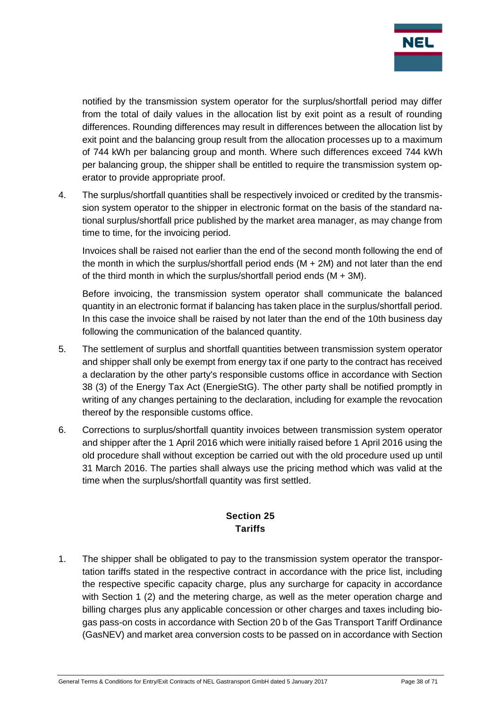

notified by the transmission system operator for the surplus/shortfall period may differ from the total of daily values in the allocation list by exit point as a result of rounding differences. Rounding differences may result in differences between the allocation list by exit point and the balancing group result from the allocation processes up to a maximum of 744 kWh per balancing group and month. Where such differences exceed 744 kWh per balancing group, the shipper shall be entitled to require the transmission system operator to provide appropriate proof.

4. The surplus/shortfall quantities shall be respectively invoiced or credited by the transmission system operator to the shipper in electronic format on the basis of the standard national surplus/shortfall price published by the market area manager, as may change from time to time, for the invoicing period.

Invoices shall be raised not earlier than the end of the second month following the end of the month in which the surplus/shortfall period ends (M + 2M) and not later than the end of the third month in which the surplus/shortfall period ends  $(M + 3M)$ .

Before invoicing, the transmission system operator shall communicate the balanced quantity in an electronic format if balancing has taken place in the surplus/shortfall period. In this case the invoice shall be raised by not later than the end of the 10th business day following the communication of the balanced quantity.

- 5. The settlement of surplus and shortfall quantities between transmission system operator and shipper shall only be exempt from energy tax if one party to the contract has received a declaration by the other party's responsible customs office in accordance with Section 38 (3) of the Energy Tax Act (EnergieStG). The other party shall be notified promptly in writing of any changes pertaining to the declaration, including for example the revocation thereof by the responsible customs office.
- 6. Corrections to surplus/shortfall quantity invoices between transmission system operator and shipper after the 1 April 2016 which were initially raised before 1 April 2016 using the old procedure shall without exception be carried out with the old procedure used up until 31 March 2016. The parties shall always use the pricing method which was valid at the time when the surplus/shortfall quantity was first settled.

## **Section 25 Tariffs**

<span id="page-37-0"></span>1. The shipper shall be obligated to pay to the transmission system operator the transportation tariffs stated in the respective contract in accordance with the price list, including the respective specific capacity charge, plus any surcharge for capacity in accordance with Section 1 (2) and the metering charge, as well as the meter operation charge and billing charges plus any applicable concession or other charges and taxes including biogas pass-on costs in accordance with Section 20 b of the Gas Transport Tariff Ordinance (GasNEV) and market area conversion costs to be passed on in accordance with Section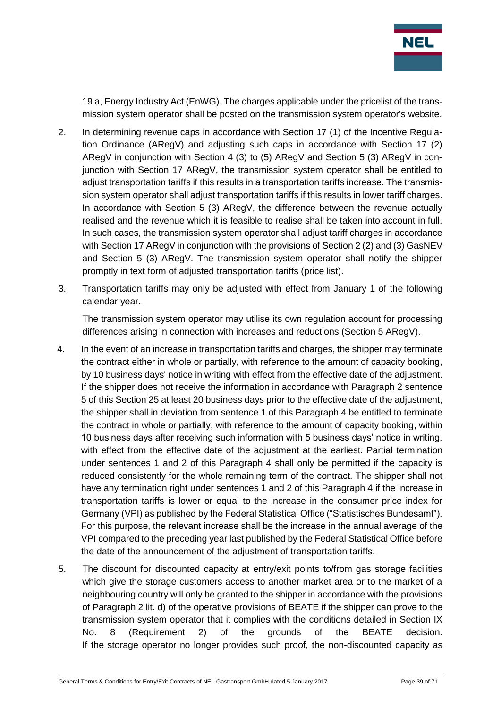

19 a, Energy Industry Act (EnWG). The charges applicable under the pricelist of the transmission system operator shall be posted on the transmission system operator's website.

- 2. In determining revenue caps in accordance with Section 17 (1) of the Incentive Regulation Ordinance (ARegV) and adjusting such caps in accordance with Section 17 (2) ARegV in conjunction with Section 4 (3) to (5) ARegV and Section 5 (3) ARegV in conjunction with Section 17 ARegV, the transmission system operator shall be entitled to adjust transportation tariffs if this results in a transportation tariffs increase. The transmission system operator shall adjust transportation tariffs if this results in lower tariff charges. In accordance with Section 5 (3) ARegV, the difference between the revenue actually realised and the revenue which it is feasible to realise shall be taken into account in full. In such cases, the transmission system operator shall adjust tariff charges in accordance with Section 17 ARegV in conjunction with the provisions of Section 2 (2) and (3) GasNEV and Section 5 (3) ARegV. The transmission system operator shall notify the shipper promptly in text form of adjusted transportation tariffs (price list).
- 3. Transportation tariffs may only be adjusted with effect from January 1 of the following calendar year.

The transmission system operator may utilise its own regulation account for processing differences arising in connection with increases and reductions (Section 5 ARegV).

- 4. In the event of an increase in transportation tariffs and charges, the shipper may terminate the contract either in whole or partially, with reference to the amount of capacity booking, by 10 business days' notice in writing with effect from the effective date of the adjustment. If the shipper does not receive the information in accordance with Paragraph 2 sentence 5 of this Section 25 at least 20 business days prior to the effective date of the adjustment, the shipper shall in deviation from sentence 1 of this Paragraph 4 be entitled to terminate the contract in whole or partially, with reference to the amount of capacity booking, within 10 business days after receiving such information with 5 business days' notice in writing, with effect from the effective date of the adjustment at the earliest. Partial termination under sentences 1 and 2 of this Paragraph 4 shall only be permitted if the capacity is reduced consistently for the whole remaining term of the contract. The shipper shall not have any termination right under sentences 1 and 2 of this Paragraph 4 if the increase in transportation tariffs is lower or equal to the increase in the consumer price index for Germany (VPI) as published by the Federal Statistical Office ("Statistisches Bundesamt"). For this purpose, the relevant increase shall be the increase in the annual average of the VPI compared to the preceding year last published by the Federal Statistical Office before the date of the announcement of the adjustment of transportation tariffs.
- 5. The discount for discounted capacity at entry/exit points to/from gas storage facilities which give the storage customers access to another market area or to the market of a neighbouring country will only be granted to the shipper in accordance with the provisions of Paragraph 2 lit. d) of the operative provisions of BEATE if the shipper can prove to the transmission system operator that it complies with the conditions detailed in Section IX No. 8 (Requirement 2) of the grounds of the BEATE decision. If the storage operator no longer provides such proof, the non-discounted capacity as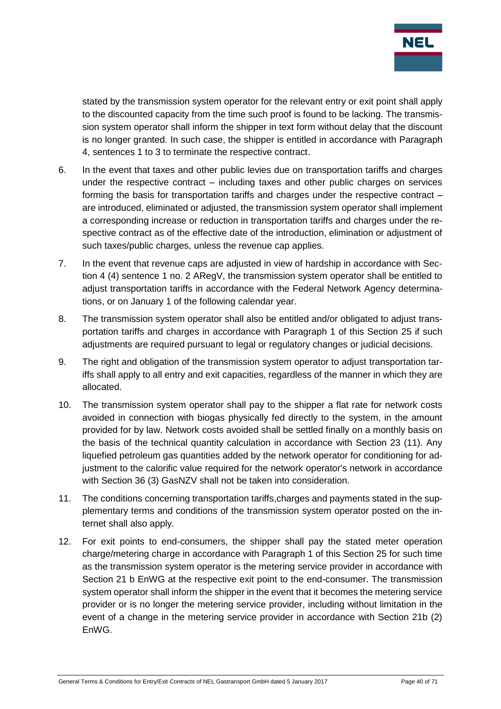

stated by the transmission system operator for the relevant entry or exit point shall apply to the discounted capacity from the time such proof is found to be lacking. The transmission system operator shall inform the shipper in text form without delay that the discount is no longer granted. In such case, the shipper is entitled in accordance with Paragraph 4, sentences 1 to 3 to terminate the respective contract.

- 6. In the event that taxes and other public levies due on transportation tariffs and charges under the respective contract – including taxes and other public charges on services forming the basis for transportation tariffs and charges under the respective contract – are introduced, eliminated or adjusted, the transmission system operator shall implement a corresponding increase or reduction in transportation tariffs and charges under the respective contract as of the effective date of the introduction, elimination or adjustment of such taxes/public charges, unless the revenue cap applies.
- 7. In the event that revenue caps are adjusted in view of hardship in accordance with Section 4 (4) sentence 1 no. 2 ARegV, the transmission system operator shall be entitled to adjust transportation tariffs in accordance with the Federal Network Agency determinations, or on January 1 of the following calendar year.
- 8. The transmission system operator shall also be entitled and/or obligated to adjust transportation tariffs and charges in accordance with Paragraph 1 of this Section 25 if such adjustments are required pursuant to legal or regulatory changes or judicial decisions.
- 9. The right and obligation of the transmission system operator to adjust transportation tariffs shall apply to all entry and exit capacities, regardless of the manner in which they are allocated.
- 10. The transmission system operator shall pay to the shipper a flat rate for network costs avoided in connection with biogas physically fed directly to the system, in the amount provided for by law. Network costs avoided shall be settled finally on a monthly basis on the basis of the technical quantity calculation in accordance with Section 23 (11). Any liquefied petroleum gas quantities added by the network operator for conditioning for adjustment to the calorific value required for the network operator's network in accordance with Section 36 (3) GasNZV shall not be taken into consideration.
- 11. The conditions concerning transportation tariffs,charges and payments stated in the supplementary terms and conditions of the transmission system operator posted on the internet shall also apply.
- 12. For exit points to end-consumers, the shipper shall pay the stated meter operation charge/metering charge in accordance with Paragraph 1 of this Section 25 for such time as the transmission system operator is the metering service provider in accordance with Section 21 b EnWG at the respective exit point to the end-consumer. The transmission system operator shall inform the shipper in the event that it becomes the metering service provider or is no longer the metering service provider, including without limitation in the event of a change in the metering service provider in accordance with Section 21b (2) EnWG.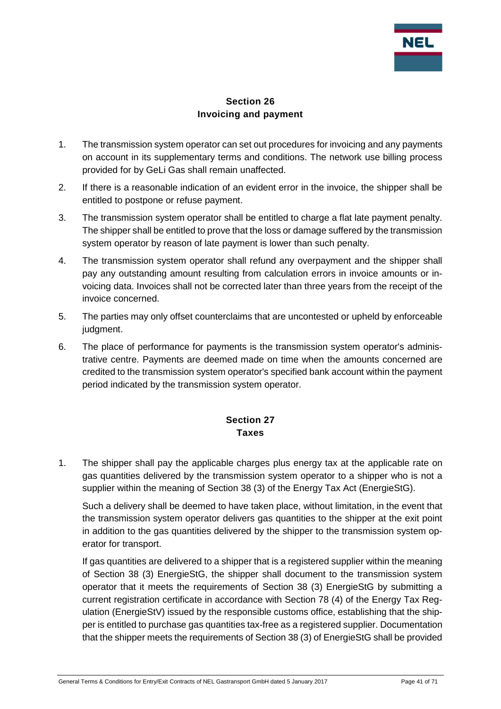

## **Section 26 Invoicing and payment**

- <span id="page-40-0"></span>1. The transmission system operator can set out procedures for invoicing and any payments on account in its supplementary terms and conditions. The network use billing process provided for by GeLi Gas shall remain unaffected.
- 2. If there is a reasonable indication of an evident error in the invoice, the shipper shall be entitled to postpone or refuse payment.
- 3. The transmission system operator shall be entitled to charge a flat late payment penalty. The shipper shall be entitled to prove that the loss or damage suffered by the transmission system operator by reason of late payment is lower than such penalty.
- 4. The transmission system operator shall refund any overpayment and the shipper shall pay any outstanding amount resulting from calculation errors in invoice amounts or invoicing data. Invoices shall not be corrected later than three years from the receipt of the invoice concerned.
- 5. The parties may only offset counterclaims that are uncontested or upheld by enforceable judament.
- 6. The place of performance for payments is the transmission system operator's administrative centre. Payments are deemed made on time when the amounts concerned are credited to the transmission system operator's specified bank account within the payment period indicated by the transmission system operator.

## **Section 27 Taxes**

<span id="page-40-1"></span>1. The shipper shall pay the applicable charges plus energy tax at the applicable rate on gas quantities delivered by the transmission system operator to a shipper who is not a supplier within the meaning of Section 38 (3) of the Energy Tax Act (EnergieStG).

Such a delivery shall be deemed to have taken place, without limitation, in the event that the transmission system operator delivers gas quantities to the shipper at the exit point in addition to the gas quantities delivered by the shipper to the transmission system operator for transport.

If gas quantities are delivered to a shipper that is a registered supplier within the meaning of Section 38 (3) EnergieStG, the shipper shall document to the transmission system operator that it meets the requirements of Section 38 (3) EnergieStG by submitting a current registration certificate in accordance with Section 78 (4) of the Energy Tax Regulation (EnergieStV) issued by the responsible customs office, establishing that the shipper is entitled to purchase gas quantities tax-free as a registered supplier. Documentation that the shipper meets the requirements of Section 38 (3) of EnergieStG shall be provided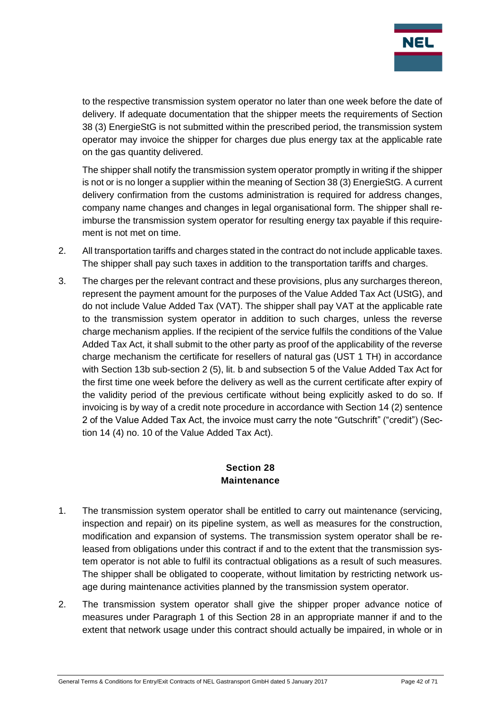

to the respective transmission system operator no later than one week before the date of delivery. If adequate documentation that the shipper meets the requirements of Section 38 (3) EnergieStG is not submitted within the prescribed period, the transmission system operator may invoice the shipper for charges due plus energy tax at the applicable rate on the gas quantity delivered.

The shipper shall notify the transmission system operator promptly in writing if the shipper is not or is no longer a supplier within the meaning of Section 38 (3) EnergieStG. A current delivery confirmation from the customs administration is required for address changes, company name changes and changes in legal organisational form. The shipper shall reimburse the transmission system operator for resulting energy tax payable if this requirement is not met on time.

- 2. All transportation tariffs and charges stated in the contract do not include applicable taxes. The shipper shall pay such taxes in addition to the transportation tariffs and charges.
- 3. The charges per the relevant contract and these provisions, plus any surcharges thereon, represent the payment amount for the purposes of the Value Added Tax Act (UStG), and do not include Value Added Tax (VAT). The shipper shall pay VAT at the applicable rate to the transmission system operator in addition to such charges, unless the reverse charge mechanism applies. If the recipient of the service fulfils the conditions of the Value Added Tax Act, it shall submit to the other party as proof of the applicability of the reverse charge mechanism the certificate for resellers of natural gas (UST 1 TH) in accordance with Section 13b sub-section 2 (5), lit. b and subsection 5 of the Value Added Tax Act for the first time one week before the delivery as well as the current certificate after expiry of the validity period of the previous certificate without being explicitly asked to do so. If invoicing is by way of a credit note procedure in accordance with Section 14 (2) sentence 2 of the Value Added Tax Act, the invoice must carry the note "Gutschrift" ("credit") (Section 14 (4) no. 10 of the Value Added Tax Act).

#### **Section 28 Maintenance**

- <span id="page-41-0"></span>1. The transmission system operator shall be entitled to carry out maintenance (servicing, inspection and repair) on its pipeline system, as well as measures for the construction, modification and expansion of systems. The transmission system operator shall be released from obligations under this contract if and to the extent that the transmission system operator is not able to fulfil its contractual obligations as a result of such measures. The shipper shall be obligated to cooperate, without limitation by restricting network usage during maintenance activities planned by the transmission system operator.
- 2. The transmission system operator shall give the shipper proper advance notice of measures under Paragraph 1 of this Section 28 in an appropriate manner if and to the extent that network usage under this contract should actually be impaired, in whole or in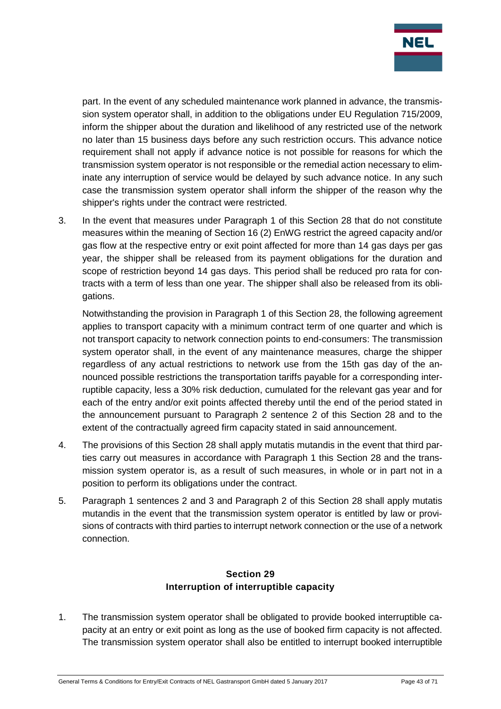

part. In the event of any scheduled maintenance work planned in advance, the transmission system operator shall, in addition to the obligations under EU Regulation 715/2009, inform the shipper about the duration and likelihood of any restricted use of the network no later than 15 business days before any such restriction occurs. This advance notice requirement shall not apply if advance notice is not possible for reasons for which the transmission system operator is not responsible or the remedial action necessary to eliminate any interruption of service would be delayed by such advance notice. In any such case the transmission system operator shall inform the shipper of the reason why the shipper's rights under the contract were restricted.

3. In the event that measures under Paragraph 1 of this Section 28 that do not constitute measures within the meaning of Section 16 (2) EnWG restrict the agreed capacity and/or gas flow at the respective entry or exit point affected for more than 14 gas days per gas year, the shipper shall be released from its payment obligations for the duration and scope of restriction beyond 14 gas days. This period shall be reduced pro rata for contracts with a term of less than one year. The shipper shall also be released from its obligations.

Notwithstanding the provision in Paragraph 1 of this Section 28, the following agreement applies to transport capacity with a minimum contract term of one quarter and which is not transport capacity to network connection points to end-consumers: The transmission system operator shall, in the event of any maintenance measures, charge the shipper regardless of any actual restrictions to network use from the 15th gas day of the announced possible restrictions the transportation tariffs payable for a corresponding interruptible capacity, less a 30% risk deduction, cumulated for the relevant gas year and for each of the entry and/or exit points affected thereby until the end of the period stated in the announcement pursuant to Paragraph 2 sentence 2 of this Section 28 and to the extent of the contractually agreed firm capacity stated in said announcement.

- 4. The provisions of this Section 28 shall apply mutatis mutandis in the event that third parties carry out measures in accordance with Paragraph 1 this Section 28 and the transmission system operator is, as a result of such measures, in whole or in part not in a position to perform its obligations under the contract.
- 5. Paragraph 1 sentences 2 and 3 and Paragraph 2 of this Section 28 shall apply mutatis mutandis in the event that the transmission system operator is entitled by law or provisions of contracts with third parties to interrupt network connection or the use of a network connection.

## **Section 29 Interruption of interruptible capacity**

<span id="page-42-0"></span>1. The transmission system operator shall be obligated to provide booked interruptible capacity at an entry or exit point as long as the use of booked firm capacity is not affected. The transmission system operator shall also be entitled to interrupt booked interruptible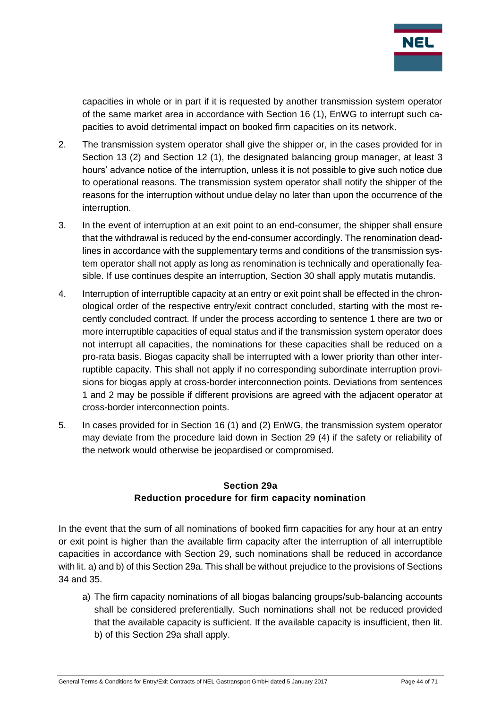

capacities in whole or in part if it is requested by another transmission system operator of the same market area in accordance with Section 16 (1), EnWG to interrupt such capacities to avoid detrimental impact on booked firm capacities on its network.

- 2. The transmission system operator shall give the shipper or, in the cases provided for in Section 13 (2) and Section 12 (1), the designated balancing group manager, at least 3 hours' advance notice of the interruption, unless it is not possible to give such notice due to operational reasons. The transmission system operator shall notify the shipper of the reasons for the interruption without undue delay no later than upon the occurrence of the interruption.
- 3. In the event of interruption at an exit point to an end-consumer, the shipper shall ensure that the withdrawal is reduced by the end-consumer accordingly. The renomination deadlines in accordance with the supplementary terms and conditions of the transmission system operator shall not apply as long as renomination is technically and operationally feasible. If use continues despite an interruption, Section 30 shall apply mutatis mutandis.
- 4. Interruption of interruptible capacity at an entry or exit point shall be effected in the chronological order of the respective entry/exit contract concluded, starting with the most recently concluded contract. If under the process according to sentence 1 there are two or more interruptible capacities of equal status and if the transmission system operator does not interrupt all capacities, the nominations for these capacities shall be reduced on a pro-rata basis. Biogas capacity shall be interrupted with a lower priority than other interruptible capacity. This shall not apply if no corresponding subordinate interruption provisions for biogas apply at cross-border interconnection points. Deviations from sentences 1 and 2 may be possible if different provisions are agreed with the adjacent operator at cross-border interconnection points.
- 5. In cases provided for in Section 16 (1) and (2) EnWG, the transmission system operator may deviate from the procedure laid down in Section 29 (4) if the safety or reliability of the network would otherwise be jeopardised or compromised.

## **Section 29a Reduction procedure for firm capacity nomination**

<span id="page-43-0"></span>In the event that the sum of all nominations of booked firm capacities for any hour at an entry or exit point is higher than the available firm capacity after the interruption of all interruptible capacities in accordance with Section 29, such nominations shall be reduced in accordance with lit. a) and b) of this Section 29a. This shall be without prejudice to the provisions of Sections 34 and 35.

a) The firm capacity nominations of all biogas balancing groups/sub-balancing accounts shall be considered preferentially. Such nominations shall not be reduced provided that the available capacity is sufficient. If the available capacity is insufficient, then lit. b) of this Section 29a shall apply.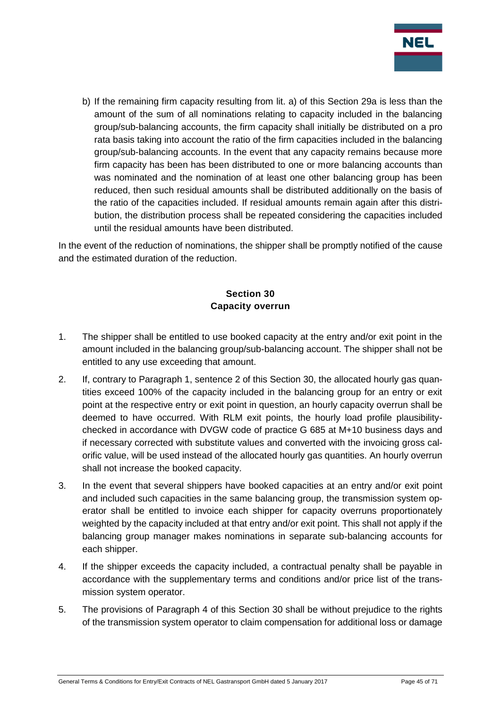

b) If the remaining firm capacity resulting from lit. a) of this Section 29a is less than the amount of the sum of all nominations relating to capacity included in the balancing group/sub-balancing accounts, the firm capacity shall initially be distributed on a pro rata basis taking into account the ratio of the firm capacities included in the balancing group/sub-balancing accounts. In the event that any capacity remains because more firm capacity has been has been distributed to one or more balancing accounts than was nominated and the nomination of at least one other balancing group has been reduced, then such residual amounts shall be distributed additionally on the basis of the ratio of the capacities included. If residual amounts remain again after this distribution, the distribution process shall be repeated considering the capacities included until the residual amounts have been distributed.

In the event of the reduction of nominations, the shipper shall be promptly notified of the cause and the estimated duration of the reduction.

## **Section 30 Capacity overrun**

- <span id="page-44-0"></span>1. The shipper shall be entitled to use booked capacity at the entry and/or exit point in the amount included in the balancing group/sub-balancing account. The shipper shall not be entitled to any use exceeding that amount.
- 2. If, contrary to Paragraph 1, sentence 2 of this Section 30, the allocated hourly gas quantities exceed 100% of the capacity included in the balancing group for an entry or exit point at the respective entry or exit point in question, an hourly capacity overrun shall be deemed to have occurred. With RLM exit points, the hourly load profile plausibilitychecked in accordance with DVGW code of practice G 685 at M+10 business days and if necessary corrected with substitute values and converted with the invoicing gross calorific value, will be used instead of the allocated hourly gas quantities. An hourly overrun shall not increase the booked capacity.
- 3. In the event that several shippers have booked capacities at an entry and/or exit point and included such capacities in the same balancing group, the transmission system operator shall be entitled to invoice each shipper for capacity overruns proportionately weighted by the capacity included at that entry and/or exit point. This shall not apply if the balancing group manager makes nominations in separate sub-balancing accounts for each shipper.
- 4. If the shipper exceeds the capacity included, a contractual penalty shall be payable in accordance with the supplementary terms and conditions and/or price list of the transmission system operator.
- 5. The provisions of Paragraph 4 of this Section 30 shall be without prejudice to the rights of the transmission system operator to claim compensation for additional loss or damage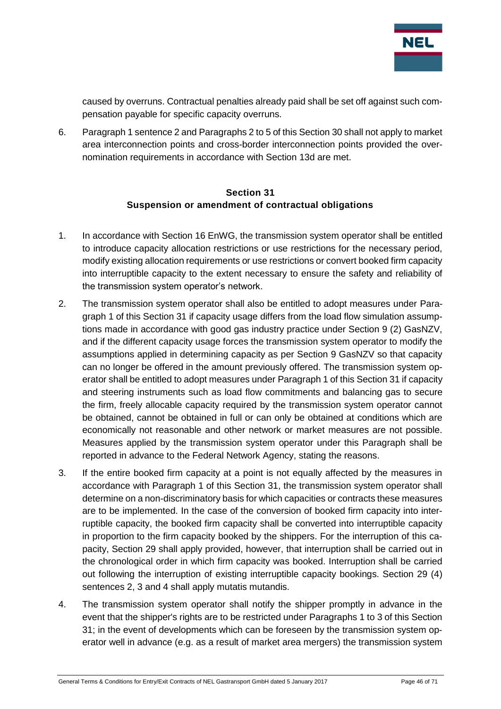

caused by overruns. Contractual penalties already paid shall be set off against such compensation payable for specific capacity overruns.

6. Paragraph 1 sentence 2 and Paragraphs 2 to 5 of this Section 30 shall not apply to market area interconnection points and cross-border interconnection points provided the overnomination requirements in accordance with Section 13d are met.

#### **Section 31 Suspension or amendment of contractual obligations**

- <span id="page-45-0"></span>1. In accordance with Section 16 EnWG, the transmission system operator shall be entitled to introduce capacity allocation restrictions or use restrictions for the necessary period, modify existing allocation requirements or use restrictions or convert booked firm capacity into interruptible capacity to the extent necessary to ensure the safety and reliability of the transmission system operator's network.
- 2. The transmission system operator shall also be entitled to adopt measures under Paragraph 1 of this Section 31 if capacity usage differs from the load flow simulation assumptions made in accordance with good gas industry practice under Section 9 (2) GasNZV, and if the different capacity usage forces the transmission system operator to modify the assumptions applied in determining capacity as per Section 9 GasNZV so that capacity can no longer be offered in the amount previously offered. The transmission system operator shall be entitled to adopt measures under Paragraph 1 of this Section 31 if capacity and steering instruments such as load flow commitments and balancing gas to secure the firm, freely allocable capacity required by the transmission system operator cannot be obtained, cannot be obtained in full or can only be obtained at conditions which are economically not reasonable and other network or market measures are not possible. Measures applied by the transmission system operator under this Paragraph shall be reported in advance to the Federal Network Agency, stating the reasons.
- 3. If the entire booked firm capacity at a point is not equally affected by the measures in accordance with Paragraph 1 of this Section 31, the transmission system operator shall determine on a non-discriminatory basis for which capacities or contracts these measures are to be implemented. In the case of the conversion of booked firm capacity into interruptible capacity, the booked firm capacity shall be converted into interruptible capacity in proportion to the firm capacity booked by the shippers. For the interruption of this capacity, Section 29 shall apply provided, however, that interruption shall be carried out in the chronological order in which firm capacity was booked. Interruption shall be carried out following the interruption of existing interruptible capacity bookings. Section 29 (4) sentences 2, 3 and 4 shall apply mutatis mutandis.
- 4. The transmission system operator shall notify the shipper promptly in advance in the event that the shipper's rights are to be restricted under Paragraphs 1 to 3 of this Section 31; in the event of developments which can be foreseen by the transmission system operator well in advance (e.g. as a result of market area mergers) the transmission system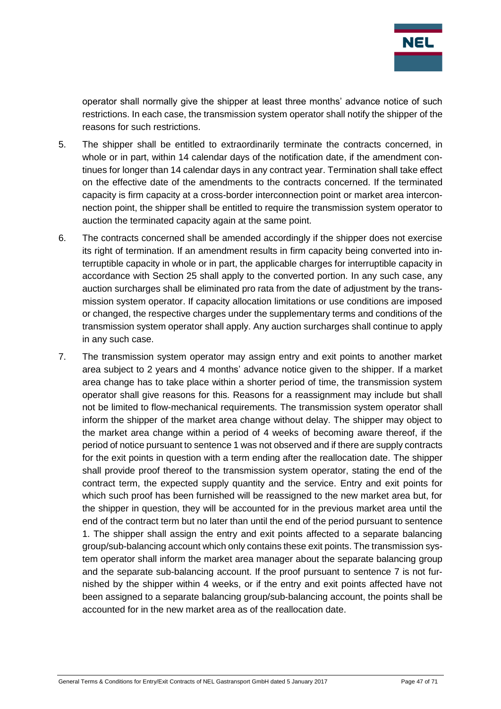

operator shall normally give the shipper at least three months' advance notice of such restrictions. In each case, the transmission system operator shall notify the shipper of the reasons for such restrictions.

- 5. The shipper shall be entitled to extraordinarily terminate the contracts concerned, in whole or in part, within 14 calendar days of the notification date, if the amendment continues for longer than 14 calendar days in any contract year. Termination shall take effect on the effective date of the amendments to the contracts concerned. If the terminated capacity is firm capacity at a cross-border interconnection point or market area interconnection point, the shipper shall be entitled to require the transmission system operator to auction the terminated capacity again at the same point.
- 6. The contracts concerned shall be amended accordingly if the shipper does not exercise its right of termination. If an amendment results in firm capacity being converted into interruptible capacity in whole or in part, the applicable charges for interruptible capacity in accordance with Section 25 shall apply to the converted portion. In any such case, any auction surcharges shall be eliminated pro rata from the date of adjustment by the transmission system operator. If capacity allocation limitations or use conditions are imposed or changed, the respective charges under the supplementary terms and conditions of the transmission system operator shall apply. Any auction surcharges shall continue to apply in any such case.
- 7. The transmission system operator may assign entry and exit points to another market area subject to 2 years and 4 months' advance notice given to the shipper. If a market area change has to take place within a shorter period of time, the transmission system operator shall give reasons for this. Reasons for a reassignment may include but shall not be limited to flow-mechanical requirements. The transmission system operator shall inform the shipper of the market area change without delay. The shipper may object to the market area change within a period of 4 weeks of becoming aware thereof, if the period of notice pursuant to sentence 1 was not observed and if there are supply contracts for the exit points in question with a term ending after the reallocation date. The shipper shall provide proof thereof to the transmission system operator, stating the end of the contract term, the expected supply quantity and the service. Entry and exit points for which such proof has been furnished will be reassigned to the new market area but, for the shipper in question, they will be accounted for in the previous market area until the end of the contract term but no later than until the end of the period pursuant to sentence 1. The shipper shall assign the entry and exit points affected to a separate balancing group/sub-balancing account which only contains these exit points. The transmission system operator shall inform the market area manager about the separate balancing group and the separate sub-balancing account. If the proof pursuant to sentence 7 is not furnished by the shipper within 4 weeks, or if the entry and exit points affected have not been assigned to a separate balancing group/sub-balancing account, the points shall be accounted for in the new market area as of the reallocation date.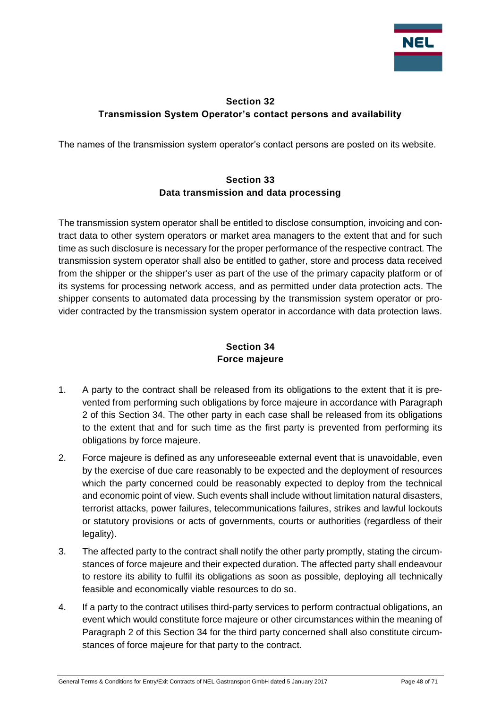

## <span id="page-47-0"></span>**Section 32 Transmission System Operator's contact persons and availability**

<span id="page-47-1"></span>The names of the transmission system operator's contact persons are posted on its website.

## **Section 33 Data transmission and data processing**

The transmission system operator shall be entitled to disclose consumption, invoicing and contract data to other system operators or market area managers to the extent that and for such time as such disclosure is necessary for the proper performance of the respective contract. The transmission system operator shall also be entitled to gather, store and process data received from the shipper or the shipper's user as part of the use of the primary capacity platform or of its systems for processing network access, and as permitted under data protection acts. The shipper consents to automated data processing by the transmission system operator or provider contracted by the transmission system operator in accordance with data protection laws.

## **Section 34 Force majeure**

- <span id="page-47-2"></span>1. A party to the contract shall be released from its obligations to the extent that it is prevented from performing such obligations by force majeure in accordance with Paragraph 2 of this Section 34. The other party in each case shall be released from its obligations to the extent that and for such time as the first party is prevented from performing its obligations by force majeure.
- 2. Force majeure is defined as any unforeseeable external event that is unavoidable, even by the exercise of due care reasonably to be expected and the deployment of resources which the party concerned could be reasonably expected to deploy from the technical and economic point of view. Such events shall include without limitation natural disasters, terrorist attacks, power failures, telecommunications failures, strikes and lawful lockouts or statutory provisions or acts of governments, courts or authorities (regardless of their legality).
- 3. The affected party to the contract shall notify the other party promptly, stating the circumstances of force majeure and their expected duration. The affected party shall endeavour to restore its ability to fulfil its obligations as soon as possible, deploying all technically feasible and economically viable resources to do so.
- 4. If a party to the contract utilises third-party services to perform contractual obligations, an event which would constitute force majeure or other circumstances within the meaning of Paragraph 2 of this Section 34 for the third party concerned shall also constitute circumstances of force majeure for that party to the contract.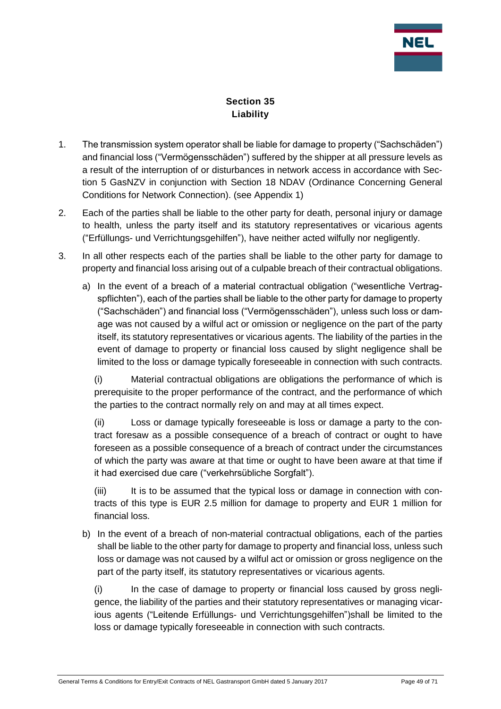

## **Section 35 Liability**

- <span id="page-48-0"></span>1. The transmission system operator shall be liable for damage to property ("Sachschäden") and financial loss ("Vermögensschäden") suffered by the shipper at all pressure levels as a result of the interruption of or disturbances in network access in accordance with Section 5 GasNZV in conjunction with Section 18 NDAV (Ordinance Concerning General Conditions for Network Connection). (see Appendix 1)
- 2. Each of the parties shall be liable to the other party for death, personal injury or damage to health, unless the party itself and its statutory representatives or vicarious agents ("Erfüllungs- und Verrichtungsgehilfen"), have neither acted wilfully nor negligently.
- 3. In all other respects each of the parties shall be liable to the other party for damage to property and financial loss arising out of a culpable breach of their contractual obligations.
	- a) In the event of a breach of a material contractual obligation ("wesentliche Vertragspflichten"), each of the parties shall be liable to the other party for damage to property ("Sachschäden") and financial loss ("Vermögensschäden"), unless such loss or damage was not caused by a wilful act or omission or negligence on the part of the party itself, its statutory representatives or vicarious agents. The liability of the parties in the event of damage to property or financial loss caused by slight negligence shall be limited to the loss or damage typically foreseeable in connection with such contracts.

(i) Material contractual obligations are obligations the performance of which is prerequisite to the proper performance of the contract, and the performance of which the parties to the contract normally rely on and may at all times expect.

(ii) Loss or damage typically foreseeable is loss or damage a party to the contract foresaw as a possible consequence of a breach of contract or ought to have foreseen as a possible consequence of a breach of contract under the circumstances of which the party was aware at that time or ought to have been aware at that time if it had exercised due care ("verkehrsübliche Sorgfalt").

(iii) It is to be assumed that the typical loss or damage in connection with contracts of this type is EUR 2.5 million for damage to property and EUR 1 million for financial loss.

b) In the event of a breach of non-material contractual obligations, each of the parties shall be liable to the other party for damage to property and financial loss, unless such loss or damage was not caused by a wilful act or omission or gross negligence on the part of the party itself, its statutory representatives or vicarious agents.

(i) In the case of damage to property or financial loss caused by gross negligence, the liability of the parties and their statutory representatives or managing vicarious agents ("Leitende Erfüllungs- und Verrichtungsgehilfen")shall be limited to the loss or damage typically foreseeable in connection with such contracts.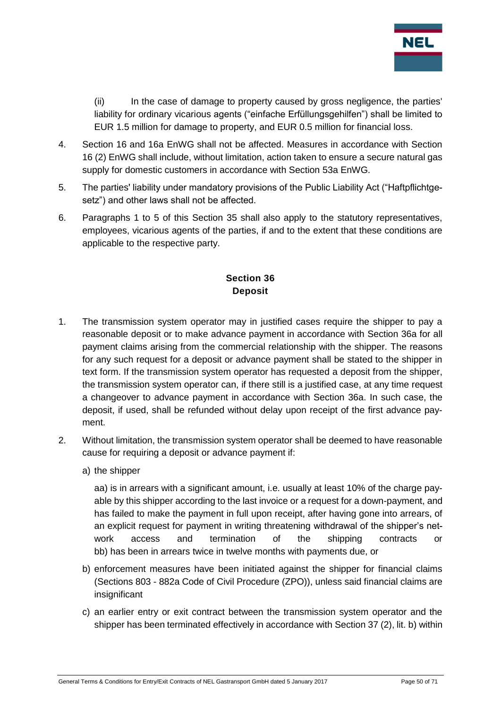

(ii) In the case of damage to property caused by gross negligence, the parties' liability for ordinary vicarious agents ("einfache Erfüllungsgehilfen") shall be limited to EUR 1.5 million for damage to property, and EUR 0.5 million for financial loss.

- 4. Section 16 and 16a EnWG shall not be affected. Measures in accordance with Section 16 (2) EnWG shall include, without limitation, action taken to ensure a secure natural gas supply for domestic customers in accordance with Section 53a EnWG.
- 5. The parties' liability under mandatory provisions of the Public Liability Act ("Haftpflichtgesetz") and other laws shall not be affected.
- 6. Paragraphs 1 to 5 of this Section 35 shall also apply to the statutory representatives, employees, vicarious agents of the parties, if and to the extent that these conditions are applicable to the respective party.

## **Section 36 Deposit**

- <span id="page-49-0"></span>1. The transmission system operator may in justified cases require the shipper to pay a reasonable deposit or to make advance payment in accordance with Section 36a for all payment claims arising from the commercial relationship with the shipper. The reasons for any such request for a deposit or advance payment shall be stated to the shipper in text form. If the transmission system operator has requested a deposit from the shipper, the transmission system operator can, if there still is a justified case, at any time request a changeover to advance payment in accordance with Section 36a. In such case, the deposit, if used, shall be refunded without delay upon receipt of the first advance payment.
- 2. Without limitation, the transmission system operator shall be deemed to have reasonable cause for requiring a deposit or advance payment if:
	- a) the shipper

aa) is in arrears with a significant amount, i.e. usually at least 10% of the charge payable by this shipper according to the last invoice or a request for a down-payment, and has failed to make the payment in full upon receipt, after having gone into arrears, of an explicit request for payment in writing threatening withdrawal of the shipper's network access and termination of the shipping contracts or bb) has been in arrears twice in twelve months with payments due, or

- b) enforcement measures have been initiated against the shipper for financial claims (Sections 803 - 882a Code of Civil Procedure (ZPO)), unless said financial claims are insignificant
- c) an earlier entry or exit contract between the transmission system operator and the shipper has been terminated effectively in accordance with Section 37 (2), lit. b) within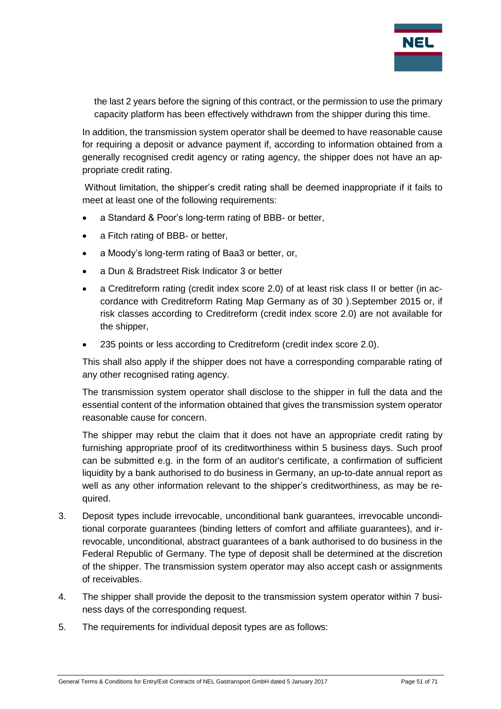

the last 2 years before the signing of this contract, or the permission to use the primary capacity platform has been effectively withdrawn from the shipper during this time.

In addition, the transmission system operator shall be deemed to have reasonable cause for requiring a deposit or advance payment if, according to information obtained from a generally recognised credit agency or rating agency, the shipper does not have an appropriate credit rating.

Without limitation, the shipper's credit rating shall be deemed inappropriate if it fails to meet at least one of the following requirements:

- a Standard & Poor's long-term rating of BBB- or better,
- a Fitch rating of BBB- or better,
- a Moody's long-term rating of Baa3 or better, or,
- a Dun & Bradstreet Risk Indicator 3 or better
- a Creditreform rating (credit index score 2.0) of at least risk class II or better (in accordance with Creditreform Rating Map Germany as of 30 ).September 2015 or, if risk classes according to Creditreform (credit index score 2.0) are not available for the shipper,
- 235 points or less according to Creditreform (credit index score 2.0).

This shall also apply if the shipper does not have a corresponding comparable rating of any other recognised rating agency.

The transmission system operator shall disclose to the shipper in full the data and the essential content of the information obtained that gives the transmission system operator reasonable cause for concern.

The shipper may rebut the claim that it does not have an appropriate credit rating by furnishing appropriate proof of its creditworthiness within 5 business days. Such proof can be submitted e.g. in the form of an auditor's certificate, a confirmation of sufficient liquidity by a bank authorised to do business in Germany, an up-to-date annual report as well as any other information relevant to the shipper's creditworthiness, as may be required.

- 3. Deposit types include irrevocable, unconditional bank guarantees, irrevocable unconditional corporate guarantees (binding letters of comfort and affiliate guarantees), and irrevocable, unconditional, abstract guarantees of a bank authorised to do business in the Federal Republic of Germany. The type of deposit shall be determined at the discretion of the shipper. The transmission system operator may also accept cash or assignments of receivables.
- 4. The shipper shall provide the deposit to the transmission system operator within 7 business days of the corresponding request.
- 5. The requirements for individual deposit types are as follows: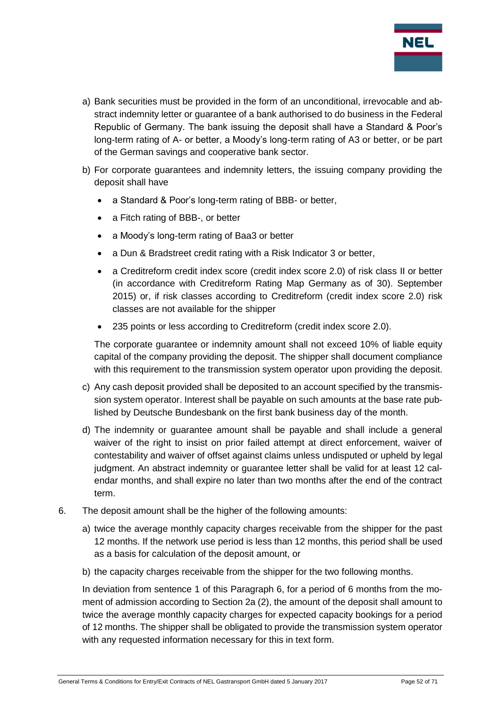

- a) Bank securities must be provided in the form of an unconditional, irrevocable and abstract indemnity letter or guarantee of a bank authorised to do business in the Federal Republic of Germany. The bank issuing the deposit shall have a Standard & Poor's long-term rating of A- or better, a Moody's long-term rating of A3 or better, or be part of the German savings and cooperative bank sector.
- b) For corporate guarantees and indemnity letters, the issuing company providing the deposit shall have
	- a Standard & Poor's long-term rating of BBB- or better,
	- a Fitch rating of BBB-, or better
	- a Moody's long-term rating of Baa3 or better
	- a Dun & Bradstreet credit rating with a Risk Indicator 3 or better,
	- a Creditreform credit index score (credit index score 2.0) of risk class II or better (in accordance with Creditreform Rating Map Germany as of 30). September 2015) or, if risk classes according to Creditreform (credit index score 2.0) risk classes are not available for the shipper
	- 235 points or less according to Creditreform (credit index score 2.0).

The corporate guarantee or indemnity amount shall not exceed 10% of liable equity capital of the company providing the deposit. The shipper shall document compliance with this requirement to the transmission system operator upon providing the deposit.

- c) Any cash deposit provided shall be deposited to an account specified by the transmission system operator. Interest shall be payable on such amounts at the base rate published by Deutsche Bundesbank on the first bank business day of the month.
- d) The indemnity or guarantee amount shall be payable and shall include a general waiver of the right to insist on prior failed attempt at direct enforcement, waiver of contestability and waiver of offset against claims unless undisputed or upheld by legal judgment. An abstract indemnity or guarantee letter shall be valid for at least 12 calendar months, and shall expire no later than two months after the end of the contract term.
- 6. The deposit amount shall be the higher of the following amounts:
	- a) twice the average monthly capacity charges receivable from the shipper for the past 12 months. If the network use period is less than 12 months, this period shall be used as a basis for calculation of the deposit amount, or
	- b) the capacity charges receivable from the shipper for the two following months.

In deviation from sentence 1 of this Paragraph 6, for a period of 6 months from the moment of admission according to Section 2a (2), the amount of the deposit shall amount to twice the average monthly capacity charges for expected capacity bookings for a period of 12 months. The shipper shall be obligated to provide the transmission system operator with any requested information necessary for this in text form.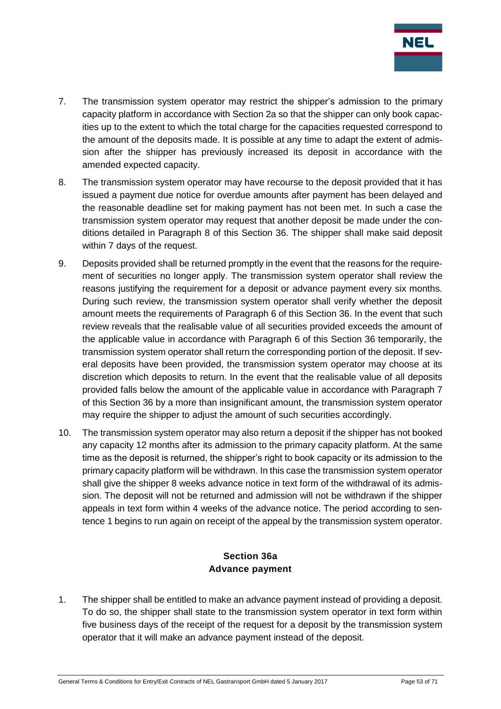

- 7. The transmission system operator may restrict the shipper's admission to the primary capacity platform in accordance with Section 2a so that the shipper can only book capacities up to the extent to which the total charge for the capacities requested correspond to the amount of the deposits made. It is possible at any time to adapt the extent of admission after the shipper has previously increased its deposit in accordance with the amended expected capacity.
- 8. The transmission system operator may have recourse to the deposit provided that it has issued a payment due notice for overdue amounts after payment has been delayed and the reasonable deadline set for making payment has not been met. In such a case the transmission system operator may request that another deposit be made under the conditions detailed in Paragraph 8 of this Section 36. The shipper shall make said deposit within 7 days of the request.
- 9. Deposits provided shall be returned promptly in the event that the reasons for the requirement of securities no longer apply. The transmission system operator shall review the reasons justifying the requirement for a deposit or advance payment every six months. During such review, the transmission system operator shall verify whether the deposit amount meets the requirements of Paragraph 6 of this Section 36. In the event that such review reveals that the realisable value of all securities provided exceeds the amount of the applicable value in accordance with Paragraph 6 of this Section 36 temporarily, the transmission system operator shall return the corresponding portion of the deposit. If several deposits have been provided, the transmission system operator may choose at its discretion which deposits to return. In the event that the realisable value of all deposits provided falls below the amount of the applicable value in accordance with Paragraph 7 of this Section 36 by a more than insignificant amount, the transmission system operator may require the shipper to adjust the amount of such securities accordingly.
- 10. The transmission system operator may also return a deposit if the shipper has not booked any capacity 12 months after its admission to the primary capacity platform. At the same time as the deposit is returned, the shipper's right to book capacity or its admission to the primary capacity platform will be withdrawn. In this case the transmission system operator shall give the shipper 8 weeks advance notice in text form of the withdrawal of its admission. The deposit will not be returned and admission will not be withdrawn if the shipper appeals in text form within 4 weeks of the advance notice. The period according to sentence 1 begins to run again on receipt of the appeal by the transmission system operator.

#### **Section 36a Advance payment**

<span id="page-52-0"></span>1. The shipper shall be entitled to make an advance payment instead of providing a deposit. To do so, the shipper shall state to the transmission system operator in text form within five business days of the receipt of the request for a deposit by the transmission system operator that it will make an advance payment instead of the deposit.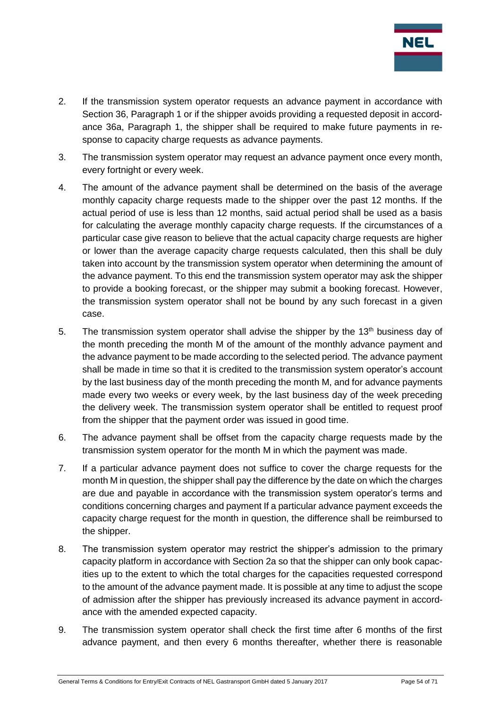

- 2. If the transmission system operator requests an advance payment in accordance with Section 36, Paragraph 1 or if the shipper avoids providing a requested deposit in accordance 36a, Paragraph 1, the shipper shall be required to make future payments in response to capacity charge requests as advance payments.
- 3. The transmission system operator may request an advance payment once every month, every fortnight or every week.
- 4. The amount of the advance payment shall be determined on the basis of the average monthly capacity charge requests made to the shipper over the past 12 months. If the actual period of use is less than 12 months, said actual period shall be used as a basis for calculating the average monthly capacity charge requests. If the circumstances of a particular case give reason to believe that the actual capacity charge requests are higher or lower than the average capacity charge requests calculated, then this shall be duly taken into account by the transmission system operator when determining the amount of the advance payment. To this end the transmission system operator may ask the shipper to provide a booking forecast, or the shipper may submit a booking forecast. However, the transmission system operator shall not be bound by any such forecast in a given case.
- 5. The transmission system operator shall advise the shipper by the 13<sup>th</sup> business day of the month preceding the month M of the amount of the monthly advance payment and the advance payment to be made according to the selected period. The advance payment shall be made in time so that it is credited to the transmission system operator's account by the last business day of the month preceding the month M, and for advance payments made every two weeks or every week, by the last business day of the week preceding the delivery week. The transmission system operator shall be entitled to request proof from the shipper that the payment order was issued in good time.
- 6. The advance payment shall be offset from the capacity charge requests made by the transmission system operator for the month M in which the payment was made.
- 7. If a particular advance payment does not suffice to cover the charge requests for the month M in question, the shipper shall pay the difference by the date on which the charges are due and payable in accordance with the transmission system operator's terms and conditions concerning charges and payment If a particular advance payment exceeds the capacity charge request for the month in question, the difference shall be reimbursed to the shipper.
- 8. The transmission system operator may restrict the shipper's admission to the primary capacity platform in accordance with Section 2a so that the shipper can only book capacities up to the extent to which the total charges for the capacities requested correspond to the amount of the advance payment made. It is possible at any time to adjust the scope of admission after the shipper has previously increased its advance payment in accordance with the amended expected capacity.
- 9. The transmission system operator shall check the first time after 6 months of the first advance payment, and then every 6 months thereafter, whether there is reasonable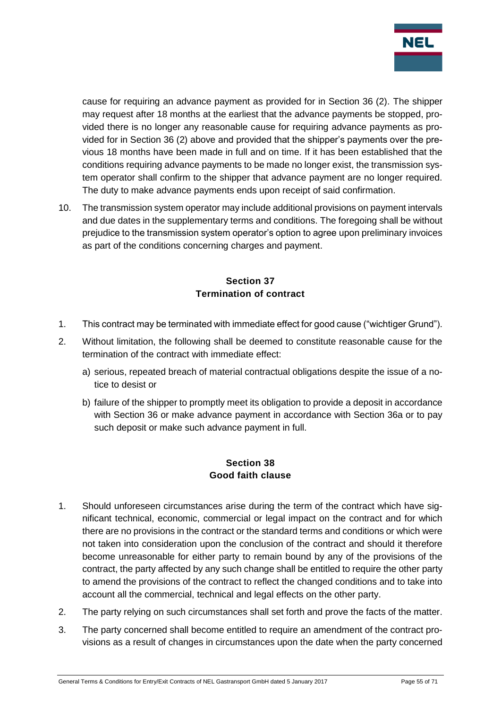

cause for requiring an advance payment as provided for in Section 36 (2). The shipper may request after 18 months at the earliest that the advance payments be stopped, provided there is no longer any reasonable cause for requiring advance payments as provided for in Section 36 (2) above and provided that the shipper's payments over the previous 18 months have been made in full and on time. If it has been established that the conditions requiring advance payments to be made no longer exist, the transmission system operator shall confirm to the shipper that advance payment are no longer required. The duty to make advance payments ends upon receipt of said confirmation.

10. The transmission system operator may include additional provisions on payment intervals and due dates in the supplementary terms and conditions. The foregoing shall be without prejudice to the transmission system operator's option to agree upon preliminary invoices as part of the conditions concerning charges and payment.

## **Section 37 Termination of contract**

- <span id="page-54-0"></span>1. This contract may be terminated with immediate effect for good cause ("wichtiger Grund").
- 2. Without limitation, the following shall be deemed to constitute reasonable cause for the termination of the contract with immediate effect:
	- a) serious, repeated breach of material contractual obligations despite the issue of a notice to desist or
	- b) failure of the shipper to promptly meet its obligation to provide a deposit in accordance with Section 36 or make advance payment in accordance with Section 36a or to pay such deposit or make such advance payment in full.

## **Section 38 Good faith clause**

- <span id="page-54-1"></span>1. Should unforeseen circumstances arise during the term of the contract which have significant technical, economic, commercial or legal impact on the contract and for which there are no provisions in the contract or the standard terms and conditions or which were not taken into consideration upon the conclusion of the contract and should it therefore become unreasonable for either party to remain bound by any of the provisions of the contract, the party affected by any such change shall be entitled to require the other party to amend the provisions of the contract to reflect the changed conditions and to take into account all the commercial, technical and legal effects on the other party.
- 2. The party relying on such circumstances shall set forth and prove the facts of the matter.
- 3. The party concerned shall become entitled to require an amendment of the contract provisions as a result of changes in circumstances upon the date when the party concerned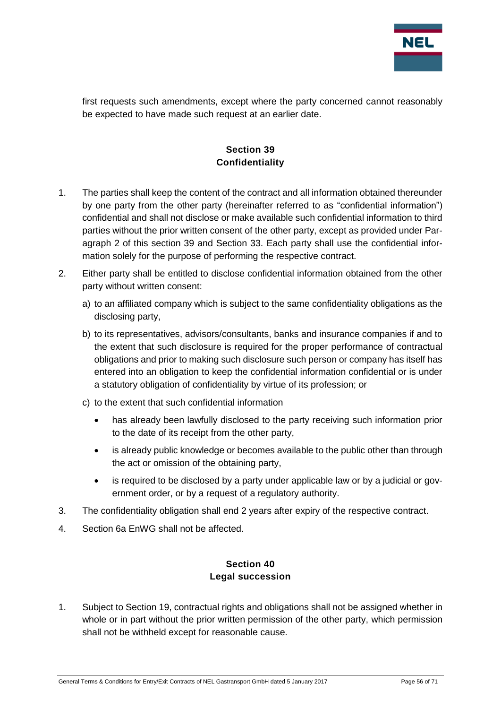

first requests such amendments, except where the party concerned cannot reasonably be expected to have made such request at an earlier date.

## **Section 39 Confidentiality**

- <span id="page-55-0"></span>1. The parties shall keep the content of the contract and all information obtained thereunder by one party from the other party (hereinafter referred to as "confidential information") confidential and shall not disclose or make available such confidential information to third parties without the prior written consent of the other party, except as provided under Paragraph 2 of this section 39 and Section 33. Each party shall use the confidential information solely for the purpose of performing the respective contract.
- 2. Either party shall be entitled to disclose confidential information obtained from the other party without written consent:
	- a) to an affiliated company which is subject to the same confidentiality obligations as the disclosing party,
	- b) to its representatives, advisors/consultants, banks and insurance companies if and to the extent that such disclosure is required for the proper performance of contractual obligations and prior to making such disclosure such person or company has itself has entered into an obligation to keep the confidential information confidential or is under a statutory obligation of confidentiality by virtue of its profession; or
	- c) to the extent that such confidential information
		- has already been lawfully disclosed to the party receiving such information prior to the date of its receipt from the other party,
		- is already public knowledge or becomes available to the public other than through the act or omission of the obtaining party,
		- is required to be disclosed by a party under applicable law or by a judicial or government order, or by a request of a regulatory authority.
- 3. The confidentiality obligation shall end 2 years after expiry of the respective contract.
- <span id="page-55-1"></span>4. Section 6a EnWG shall not be affected.

#### **Section 40 Legal succession**

1. Subject to Section 19, contractual rights and obligations shall not be assigned whether in whole or in part without the prior written permission of the other party, which permission shall not be withheld except for reasonable cause.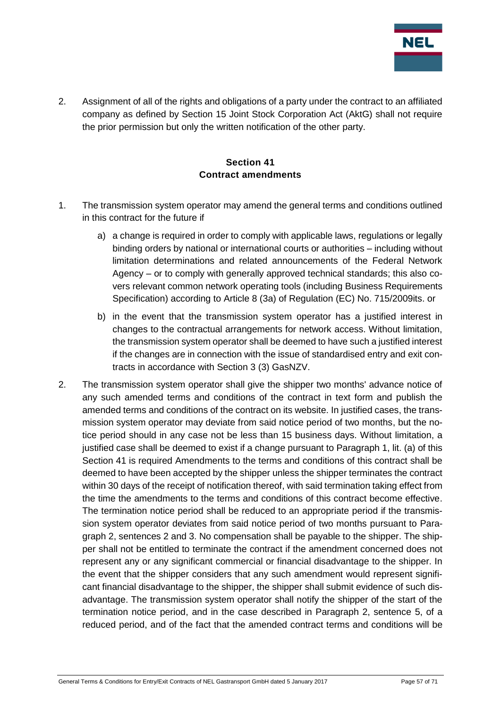

2. Assignment of all of the rights and obligations of a party under the contract to an affiliated company as defined by Section 15 Joint Stock Corporation Act (AktG) shall not require the prior permission but only the written notification of the other party.

#### **Section 41 Contract amendments**

- <span id="page-56-0"></span>1. The transmission system operator may amend the general terms and conditions outlined in this contract for the future if
	- a) a change is required in order to comply with applicable laws, requiations or legally binding orders by national or international courts or authorities – including without limitation determinations and related announcements of the Federal Network Agency – or to comply with generally approved technical standards; this also covers relevant common network operating tools (including Business Requirements Specification) according to Article 8 (3a) of Regulation (EC) No. 715/2009its. or
	- b) in the event that the transmission system operator has a justified interest in changes to the contractual arrangements for network access. Without limitation, the transmission system operator shall be deemed to have such a justified interest if the changes are in connection with the issue of standardised entry and exit contracts in accordance with Section 3 (3) GasNZV.
- 2. The transmission system operator shall give the shipper two months' advance notice of any such amended terms and conditions of the contract in text form and publish the amended terms and conditions of the contract on its website. In justified cases, the transmission system operator may deviate from said notice period of two months, but the notice period should in any case not be less than 15 business days. Without limitation, a justified case shall be deemed to exist if a change pursuant to Paragraph 1, lit. (a) of this Section 41 is required Amendments to the terms and conditions of this contract shall be deemed to have been accepted by the shipper unless the shipper terminates the contract within 30 days of the receipt of notification thereof, with said termination taking effect from the time the amendments to the terms and conditions of this contract become effective. The termination notice period shall be reduced to an appropriate period if the transmission system operator deviates from said notice period of two months pursuant to Paragraph 2, sentences 2 and 3. No compensation shall be payable to the shipper. The shipper shall not be entitled to terminate the contract if the amendment concerned does not represent any or any significant commercial or financial disadvantage to the shipper. In the event that the shipper considers that any such amendment would represent significant financial disadvantage to the shipper, the shipper shall submit evidence of such disadvantage. The transmission system operator shall notify the shipper of the start of the termination notice period, and in the case described in Paragraph 2, sentence 5, of a reduced period, and of the fact that the amended contract terms and conditions will be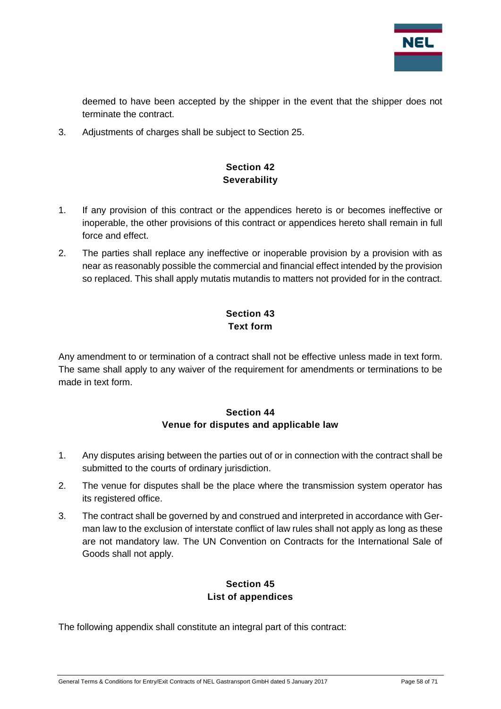

deemed to have been accepted by the shipper in the event that the shipper does not terminate the contract.

<span id="page-57-0"></span>3. Adjustments of charges shall be subject to Section 25.

## **Section 42 Severability**

- 1. If any provision of this contract or the appendices hereto is or becomes ineffective or inoperable, the other provisions of this contract or appendices hereto shall remain in full force and effect.
- 2. The parties shall replace any ineffective or inoperable provision by a provision with as near as reasonably possible the commercial and financial effect intended by the provision so replaced. This shall apply mutatis mutandis to matters not provided for in the contract.

## **Section 43 Text form**

<span id="page-57-1"></span>Any amendment to or termination of a contract shall not be effective unless made in text form. The same shall apply to any waiver of the requirement for amendments or terminations to be made in text form.

#### **Section 44 Venue for disputes and applicable law**

- <span id="page-57-2"></span>1. Any disputes arising between the parties out of or in connection with the contract shall be submitted to the courts of ordinary jurisdiction.
- 2. The venue for disputes shall be the place where the transmission system operator has its registered office.
- 3. The contract shall be governed by and construed and interpreted in accordance with German law to the exclusion of interstate conflict of law rules shall not apply as long as these are not mandatory law. The UN Convention on Contracts for the International Sale of Goods shall not apply.

## **Section 45 List of appendices**

<span id="page-57-3"></span>The following appendix shall constitute an integral part of this contract: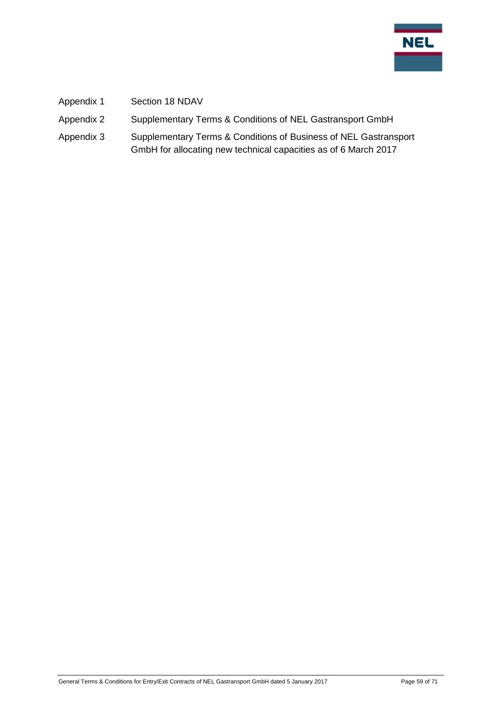

- Appendix 1 Section 18 NDAV
- Appendix 2 Supplementary Terms & Conditions of NEL Gastransport GmbH
- Appendix 3 Supplementary Terms & Conditions of Business of NEL Gastransport GmbH for allocating new technical capacities as of 6 March 2017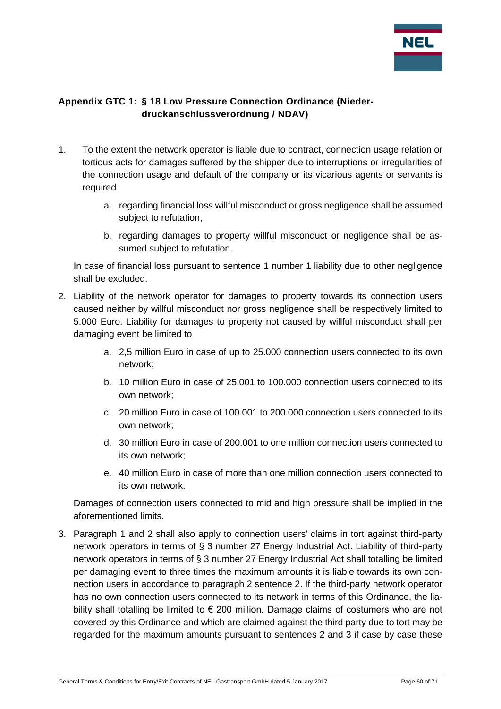

## <span id="page-59-0"></span>**Appendix GTC 1: § 18 Low Pressure Connection Ordinance (Niederdruckanschlussverordnung / NDAV)**

- 1. To the extent the network operator is liable due to contract, connection usage relation or tortious acts for damages suffered by the shipper due to interruptions or irregularities of the connection usage and default of the company or its vicarious agents or servants is required
	- a. regarding financial loss willful misconduct or gross negligence shall be assumed subject to refutation,
	- b. regarding damages to property willful misconduct or negligence shall be assumed subject to refutation.

In case of financial loss pursuant to sentence 1 number 1 liability due to other negligence shall be excluded.

- 2. Liability of the network operator for damages to property towards its connection users caused neither by willful misconduct nor gross negligence shall be respectively limited to 5.000 Euro. Liability for damages to property not caused by willful misconduct shall per damaging event be limited to
	- a. 2,5 million Euro in case of up to 25.000 connection users connected to its own network;
	- b. 10 million Euro in case of 25.001 to 100.000 connection users connected to its own network;
	- c. 20 million Euro in case of 100.001 to 200.000 connection users connected to its own network;
	- d. 30 million Euro in case of 200.001 to one million connection users connected to its own network;
	- e. 40 million Euro in case of more than one million connection users connected to its own network.

Damages of connection users connected to mid and high pressure shall be implied in the aforementioned limits.

3. Paragraph 1 and 2 shall also apply to connection users' claims in tort against third-party network operators in terms of § 3 number 27 Energy Industrial Act. Liability of third-party network operators in terms of § 3 number 27 Energy Industrial Act shall totalling be limited per damaging event to three times the maximum amounts it is liable towards its own connection users in accordance to paragraph 2 sentence 2. If the third-party network operator has no own connection users connected to its network in terms of this Ordinance, the liability shall totalling be limited to  $\epsilon$  200 million. Damage claims of costumers who are not covered by this Ordinance and which are claimed against the third party due to tort may be regarded for the maximum amounts pursuant to sentences 2 and 3 if case by case these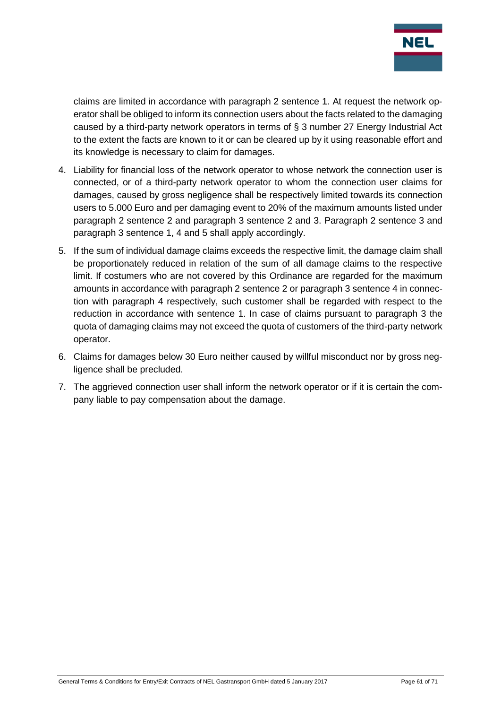

claims are limited in accordance with paragraph 2 sentence 1. At request the network operator shall be obliged to inform its connection users about the facts related to the damaging caused by a third-party network operators in terms of § 3 number 27 Energy Industrial Act to the extent the facts are known to it or can be cleared up by it using reasonable effort and its knowledge is necessary to claim for damages.

- 4. Liability for financial loss of the network operator to whose network the connection user is connected, or of a third-party network operator to whom the connection user claims for damages, caused by gross negligence shall be respectively limited towards its connection users to 5.000 Euro and per damaging event to 20% of the maximum amounts listed under paragraph 2 sentence 2 and paragraph 3 sentence 2 and 3. Paragraph 2 sentence 3 and paragraph 3 sentence 1, 4 and 5 shall apply accordingly.
- 5. If the sum of individual damage claims exceeds the respective limit, the damage claim shall be proportionately reduced in relation of the sum of all damage claims to the respective limit. If costumers who are not covered by this Ordinance are regarded for the maximum amounts in accordance with paragraph 2 sentence 2 or paragraph 3 sentence 4 in connection with paragraph 4 respectively, such customer shall be regarded with respect to the reduction in accordance with sentence 1. In case of claims pursuant to paragraph 3 the quota of damaging claims may not exceed the quota of customers of the third-party network operator.
- 6. Claims for damages below 30 Euro neither caused by willful misconduct nor by gross negligence shall be precluded.
- 7. The aggrieved connection user shall inform the network operator or if it is certain the company liable to pay compensation about the damage.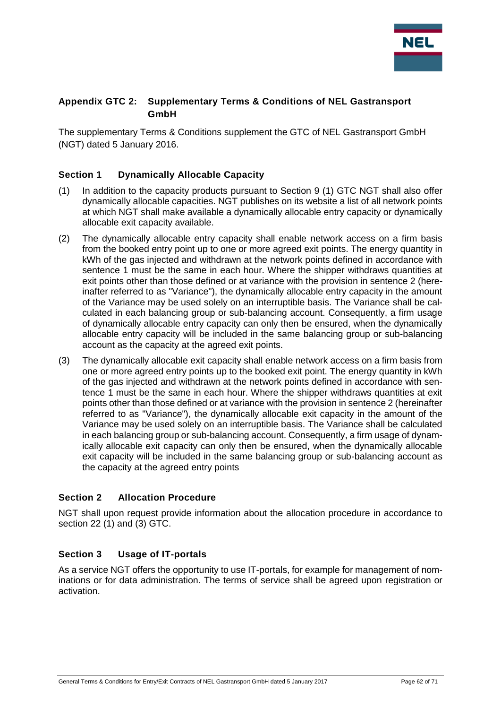

#### <span id="page-61-0"></span>**Appendix GTC 2: Supplementary Terms & Conditions of NEL Gastransport GmbH**

The supplementary Terms & Conditions supplement the GTC of NEL Gastransport GmbH (NGT) dated 5 January 2016.

#### <span id="page-61-1"></span>**Section 1 Dynamically Allocable Capacity**

- (1) In addition to the capacity products pursuant to Section 9 (1) GTC NGT shall also offer dynamically allocable capacities. NGT publishes on its website a list of all network points at which NGT shall make available a dynamically allocable entry capacity or dynamically allocable exit capacity available.
- (2) The dynamically allocable entry capacity shall enable network access on a firm basis from the booked entry point up to one or more agreed exit points. The energy quantity in kWh of the gas injected and withdrawn at the network points defined in accordance with sentence 1 must be the same in each hour. Where the shipper withdraws quantities at exit points other than those defined or at variance with the provision in sentence 2 (hereinafter referred to as "Variance"), the dynamically allocable entry capacity in the amount of the Variance may be used solely on an interruptible basis. The Variance shall be calculated in each balancing group or sub-balancing account. Consequently, a firm usage of dynamically allocable entry capacity can only then be ensured, when the dynamically allocable entry capacity will be included in the same balancing group or sub-balancing account as the capacity at the agreed exit points.
- (3) The dynamically allocable exit capacity shall enable network access on a firm basis from one or more agreed entry points up to the booked exit point. The energy quantity in kWh of the gas injected and withdrawn at the network points defined in accordance with sentence 1 must be the same in each hour. Where the shipper withdraws quantities at exit points other than those defined or at variance with the provision in sentence 2 (hereinafter referred to as "Variance"), the dynamically allocable exit capacity in the amount of the Variance may be used solely on an interruptible basis. The Variance shall be calculated in each balancing group or sub-balancing account. Consequently, a firm usage of dynamically allocable exit capacity can only then be ensured, when the dynamically allocable exit capacity will be included in the same balancing group or sub-balancing account as the capacity at the agreed entry points

#### <span id="page-61-2"></span>**Section 2 Allocation Procedure**

NGT shall upon request provide information about the allocation procedure in accordance to section 22 (1) and (3) GTC.

#### <span id="page-61-3"></span>**Section 3 Usage of IT-portals**

As a service NGT offers the opportunity to use IT-portals, for example for management of nominations or for data administration. The terms of service shall be agreed upon registration or activation.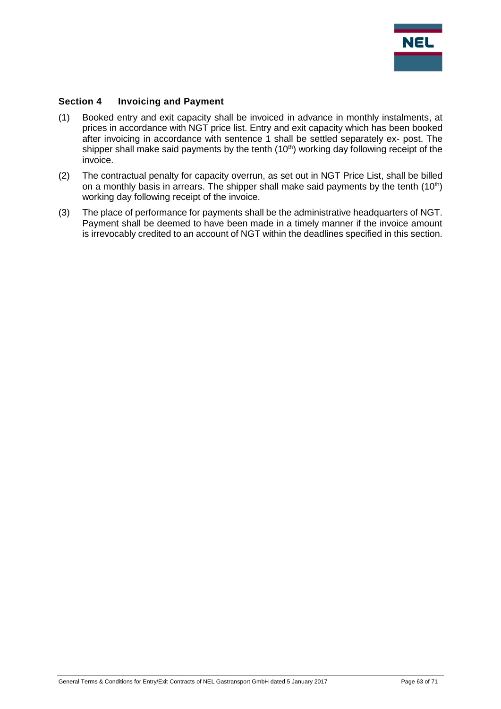

#### <span id="page-62-0"></span>**Section 4 Invoicing and Payment**

- (1) Booked entry and exit capacity shall be invoiced in advance in monthly instalments, at prices in accordance with NGT price list. Entry and exit capacity which has been booked after invoicing in accordance with sentence 1 shall be settled separately ex- post. The shipper shall make said payments by the tenth (10<sup>th</sup>) working day following receipt of the invoice.
- (2) The contractual penalty for capacity overrun, as set out in NGT Price List, shall be billed on a monthly basis in arrears. The shipper shall make said payments by the tenth  $(10<sup>th</sup>)$ working day following receipt of the invoice.
- (3) The place of performance for payments shall be the administrative headquarters of NGT. Payment shall be deemed to have been made in a timely manner if the invoice amount is irrevocably credited to an account of NGT within the deadlines specified in this section.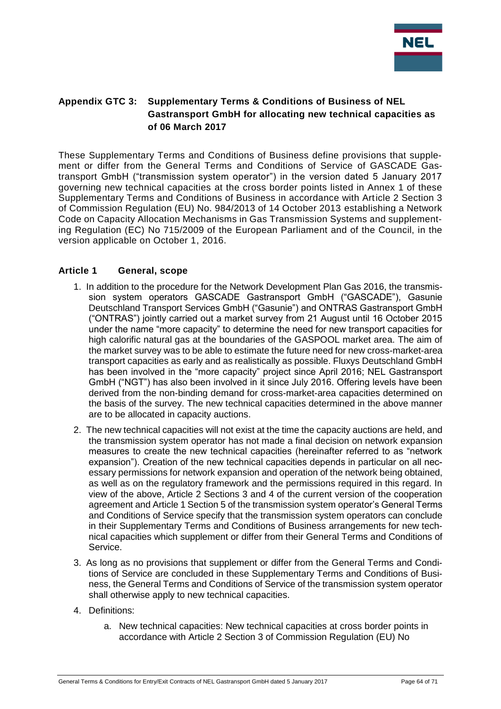

#### <span id="page-63-0"></span>**Appendix GTC 3: Supplementary Terms & Conditions of Business of NEL Gastransport GmbH for allocating new technical capacities as of 06 March 2017**

These Supplementary Terms and Conditions of Business define provisions that supplement or differ from the General Terms and Conditions of Service of GASCADE Gastransport GmbH ("transmission system operator") in the version dated 5 January 2017 governing new technical capacities at the cross border points listed in Annex 1 of these Supplementary Terms and Conditions of Business in accordance with Article 2 Section 3 of Commission Regulation (EU) No. 984/2013 of 14 October 2013 establishing a Network Code on Capacity Allocation Mechanisms in Gas Transmission Systems and supplementing Regulation (EC) No 715/2009 of the European Parliament and of the Council, in the version applicable on October 1, 2016.

#### <span id="page-63-1"></span>**Article 1 General, scope**

- 1. In addition to the procedure for the Network Development Plan Gas 2016, the transmission system operators GASCADE Gastransport GmbH ("GASCADE"), Gasunie Deutschland Transport Services GmbH ("Gasunie") and ONTRAS Gastransport GmbH ("ONTRAS") jointly carried out a market survey from 21 August until 16 October 2015 under the name "more capacity" to determine the need for new transport capacities for high calorific natural gas at the boundaries of the GASPOOL market area. The aim of the market survey was to be able to estimate the future need for new cross-market-area transport capacities as early and as realistically as possible. Fluxys Deutschland GmbH has been involved in the "more capacity" project since April 2016; NEL Gastransport GmbH ("NGT") has also been involved in it since July 2016. Offering levels have been derived from the non-binding demand for cross-market-area capacities determined on the basis of the survey. The new technical capacities determined in the above manner are to be allocated in capacity auctions.
- 2. The new technical capacities will not exist at the time the capacity auctions are held, and the transmission system operator has not made a final decision on network expansion measures to create the new technical capacities (hereinafter referred to as "network expansion"). Creation of the new technical capacities depends in particular on all necessary permissions for network expansion and operation of the network being obtained, as well as on the regulatory framework and the permissions required in this regard. In view of the above, Article 2 Sections 3 and 4 of the current version of the cooperation agreement and Article 1 Section 5 of the transmission system operator's General Terms and Conditions of Service specify that the transmission system operators can conclude in their Supplementary Terms and Conditions of Business arrangements for new technical capacities which supplement or differ from their General Terms and Conditions of Service.
- 3. As long as no provisions that supplement or differ from the General Terms and Conditions of Service are concluded in these Supplementary Terms and Conditions of Business, the General Terms and Conditions of Service of the transmission system operator shall otherwise apply to new technical capacities.
- 4. Definitions:
	- a. New technical capacities: New technical capacities at cross border points in accordance with Article 2 Section 3 of Commission Regulation (EU) No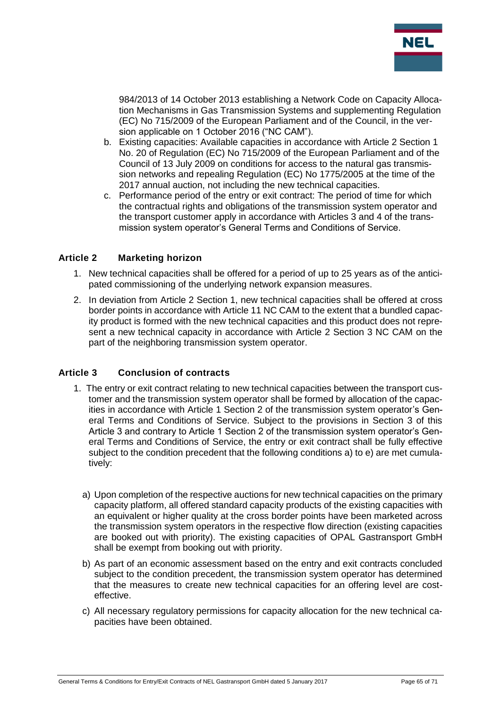

984/2013 of 14 October 2013 establishing a Network Code on Capacity Allocation Mechanisms in Gas Transmission Systems and supplementing Regulation (EC) No 715/2009 of the European Parliament and of the Council, in the version applicable on 1 October 2016 ("NC CAM").

- b. Existing capacities: Available capacities in accordance with Article 2 Section 1 No. 20 of Regulation (EC) No 715/2009 of the European Parliament and of the Council of 13 July 2009 on conditions for access to the natural gas transmission networks and repealing Regulation (EC) No 1775/2005 at the time of the 2017 annual auction, not including the new technical capacities.
- c. Performance period of the entry or exit contract: The period of time for which the contractual rights and obligations of the transmission system operator and the transport customer apply in accordance with Articles 3 and 4 of the transmission system operator's General Terms and Conditions of Service.

#### <span id="page-64-0"></span>**Article 2 Marketing horizon**

- 1. New technical capacities shall be offered for a period of up to 25 years as of the anticipated commissioning of the underlying network expansion measures.
- 2. In deviation from Article 2 Section 1, new technical capacities shall be offered at cross border points in accordance with Article 11 NC CAM to the extent that a bundled capacity product is formed with the new technical capacities and this product does not represent a new technical capacity in accordance with Article 2 Section 3 NC CAM on the part of the neighboring transmission system operator.

#### <span id="page-64-1"></span>**Article 3 Conclusion of contracts**

- 1. The entry or exit contract relating to new technical capacities between the transport customer and the transmission system operator shall be formed by allocation of the capacities in accordance with Article 1 Section 2 of the transmission system operator's General Terms and Conditions of Service. Subject to the provisions in Section 3 of this Article 3 and contrary to Article 1 Section 2 of the transmission system operator's General Terms and Conditions of Service, the entry or exit contract shall be fully effective subject to the condition precedent that the following conditions a) to e) are met cumulatively:
	- a) Upon completion of the respective auctions for new technical capacities on the primary capacity platform, all offered standard capacity products of the existing capacities with an equivalent or higher quality at the cross border points have been marketed across the transmission system operators in the respective flow direction (existing capacities are booked out with priority). The existing capacities of OPAL Gastransport GmbH shall be exempt from booking out with priority.
	- b) As part of an economic assessment based on the entry and exit contracts concluded subject to the condition precedent, the transmission system operator has determined that the measures to create new technical capacities for an offering level are costeffective.
	- c) All necessary regulatory permissions for capacity allocation for the new technical capacities have been obtained.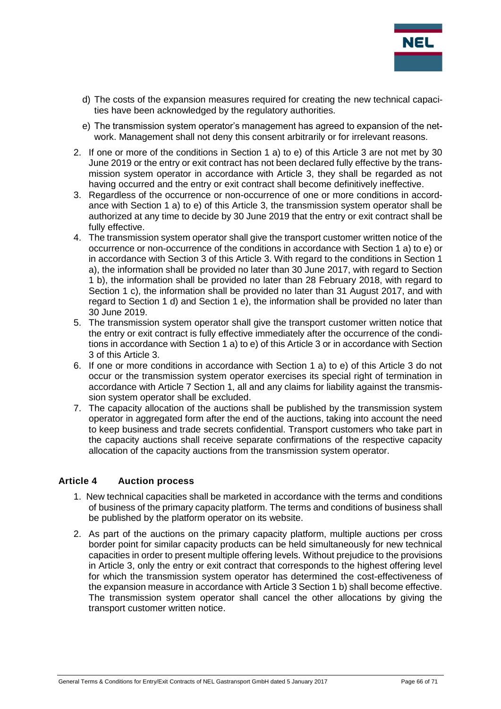

- d) The costs of the expansion measures required for creating the new technical capacities have been acknowledged by the regulatory authorities.
- e) The transmission system operator's management has agreed to expansion of the network. Management shall not deny this consent arbitrarily or for irrelevant reasons.
- 2. If one or more of the conditions in Section 1 a) to e) of this Article 3 are not met by 30 June 2019 or the entry or exit contract has not been declared fully effective by the transmission system operator in accordance with Article 3, they shall be regarded as not having occurred and the entry or exit contract shall become definitively ineffective.
- 3. Regardless of the occurrence or non-occurrence of one or more conditions in accordance with Section 1 a) to e) of this Article 3, the transmission system operator shall be authorized at any time to decide by 30 June 2019 that the entry or exit contract shall be fully effective.
- 4. The transmission system operator shall give the transport customer written notice of the occurrence or non-occurrence of the conditions in accordance with Section 1 a) to e) or in accordance with Section 3 of this Article 3. With regard to the conditions in Section 1 a), the information shall be provided no later than 30 June 2017, with regard to Section 1 b), the information shall be provided no later than 28 February 2018, with regard to Section 1 c), the information shall be provided no later than 31 August 2017, and with regard to Section 1 d) and Section 1 e), the information shall be provided no later than 30 June 2019.
- 5. The transmission system operator shall give the transport customer written notice that the entry or exit contract is fully effective immediately after the occurrence of the conditions in accordance with Section 1 a) to e) of this Article 3 or in accordance with Section 3 of this Article 3.
- 6. If one or more conditions in accordance with Section 1 a) to e) of this Article 3 do not occur or the transmission system operator exercises its special right of termination in accordance with Article 7 Section 1, all and any claims for liability against the transmission system operator shall be excluded.
- 7. The capacity allocation of the auctions shall be published by the transmission system operator in aggregated form after the end of the auctions, taking into account the need to keep business and trade secrets confidential. Transport customers who take part in the capacity auctions shall receive separate confirmations of the respective capacity allocation of the capacity auctions from the transmission system operator.

#### <span id="page-65-0"></span>**Article 4 Auction process**

- 1. New technical capacities shall be marketed in accordance with the terms and conditions of business of the primary capacity platform. The terms and conditions of business shall be published by the platform operator on its website.
- 2. As part of the auctions on the primary capacity platform, multiple auctions per cross border point for similar capacity products can be held simultaneously for new technical capacities in order to present multiple offering levels. Without prejudice to the provisions in Article 3, only the entry or exit contract that corresponds to the highest offering level for which the transmission system operator has determined the cost-effectiveness of the expansion measure in accordance with Article 3 Section 1 b) shall become effective. The transmission system operator shall cancel the other allocations by giving the transport customer written notice.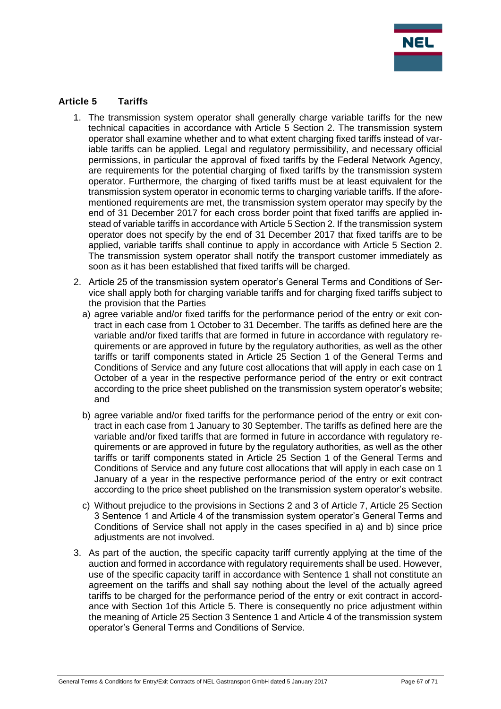

#### <span id="page-66-0"></span>**Article 5 Tariffs**

- 1. The transmission system operator shall generally charge variable tariffs for the new technical capacities in accordance with Article 5 Section 2. The transmission system operator shall examine whether and to what extent charging fixed tariffs instead of variable tariffs can be applied. Legal and regulatory permissibility, and necessary official permissions, in particular the approval of fixed tariffs by the Federal Network Agency, are requirements for the potential charging of fixed tariffs by the transmission system operator. Furthermore, the charging of fixed tariffs must be at least equivalent for the transmission system operator in economic terms to charging variable tariffs. If the aforementioned requirements are met, the transmission system operator may specify by the end of 31 December 2017 for each cross border point that fixed tariffs are applied instead of variable tariffs in accordance with Article 5 Section 2. If the transmission system operator does not specify by the end of 31 December 2017 that fixed tariffs are to be applied, variable tariffs shall continue to apply in accordance with Article 5 Section 2. The transmission system operator shall notify the transport customer immediately as soon as it has been established that fixed tariffs will be charged.
- 2. Article 25 of the transmission system operator's General Terms and Conditions of Service shall apply both for charging variable tariffs and for charging fixed tariffs subject to the provision that the Parties
	- a) agree variable and/or fixed tariffs for the performance period of the entry or exit contract in each case from 1 October to 31 December. The tariffs as defined here are the variable and/or fixed tariffs that are formed in future in accordance with regulatory requirements or are approved in future by the regulatory authorities, as well as the other tariffs or tariff components stated in Article 25 Section 1 of the General Terms and Conditions of Service and any future cost allocations that will apply in each case on 1 October of a year in the respective performance period of the entry or exit contract according to the price sheet published on the transmission system operator's website; and
	- b) agree variable and/or fixed tariffs for the performance period of the entry or exit contract in each case from 1 January to 30 September. The tariffs as defined here are the variable and/or fixed tariffs that are formed in future in accordance with regulatory requirements or are approved in future by the regulatory authorities, as well as the other tariffs or tariff components stated in Article 25 Section 1 of the General Terms and Conditions of Service and any future cost allocations that will apply in each case on 1 January of a year in the respective performance period of the entry or exit contract according to the price sheet published on the transmission system operator's website.
	- c) Without prejudice to the provisions in Sections 2 and 3 of Article 7, Article 25 Section 3 Sentence 1 and Article 4 of the transmission system operator's General Terms and Conditions of Service shall not apply in the cases specified in a) and b) since price adiustments are not involved.
- 3. As part of the auction, the specific capacity tariff currently applying at the time of the auction and formed in accordance with regulatory requirements shall be used. However, use of the specific capacity tariff in accordance with Sentence 1 shall not constitute an agreement on the tariffs and shall say nothing about the level of the actually agreed tariffs to be charged for the performance period of the entry or exit contract in accordance with Section 1of this Article 5. There is consequently no price adjustment within the meaning of Article 25 Section 3 Sentence 1 and Article 4 of the transmission system operator's General Terms and Conditions of Service.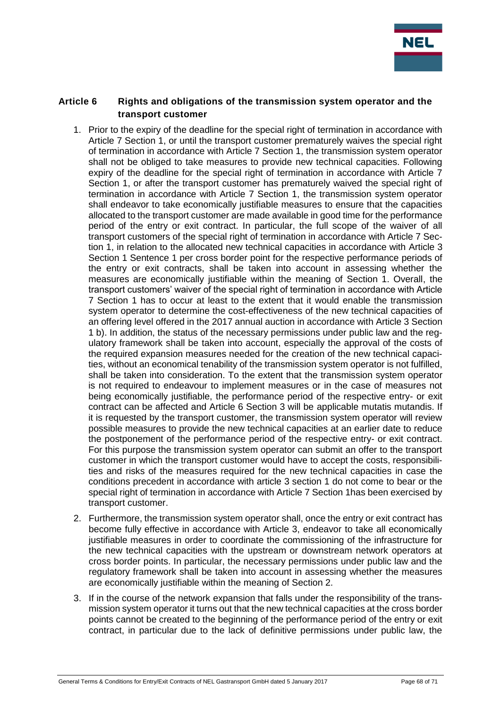

#### <span id="page-67-0"></span>**Article 6 Rights and obligations of the transmission system operator and the transport customer**

- 1. Prior to the expiry of the deadline for the special right of termination in accordance with Article 7 Section 1, or until the transport customer prematurely waives the special right of termination in accordance with Article 7 Section 1, the transmission system operator shall not be obliged to take measures to provide new technical capacities. Following expiry of the deadline for the special right of termination in accordance with Article 7 Section 1, or after the transport customer has prematurely waived the special right of termination in accordance with Article 7 Section 1, the transmission system operator shall endeavor to take economically justifiable measures to ensure that the capacities allocated to the transport customer are made available in good time for the performance period of the entry or exit contract. In particular, the full scope of the waiver of all transport customers of the special right of termination in accordance with Article 7 Section 1, in relation to the allocated new technical capacities in accordance with Article 3 Section 1 Sentence 1 per cross border point for the respective performance periods of the entry or exit contracts, shall be taken into account in assessing whether the measures are economically justifiable within the meaning of Section 1. Overall, the transport customers' waiver of the special right of termination in accordance with Article 7 Section 1 has to occur at least to the extent that it would enable the transmission system operator to determine the cost-effectiveness of the new technical capacities of an offering level offered in the 2017 annual auction in accordance with Article 3 Section 1 b). In addition, the status of the necessary permissions under public law and the regulatory framework shall be taken into account, especially the approval of the costs of the required expansion measures needed for the creation of the new technical capacities, without an economical tenability of the transmission system operator is not fulfilled, shall be taken into consideration. To the extent that the transmission system operator is not required to endeavour to implement measures or in the case of measures not being economically justifiable, the performance period of the respective entry- or exit contract can be affected and Article 6 Section 3 will be applicable mutatis mutandis. If it is requested by the transport customer, the transmission system operator will review possible measures to provide the new technical capacities at an earlier date to reduce the postponement of the performance period of the respective entry- or exit contract. For this purpose the transmission system operator can submit an offer to the transport customer in which the transport customer would have to accept the costs, responsibilities and risks of the measures required for the new technical capacities in case the conditions precedent in accordance with article 3 section 1 do not come to bear or the special right of termination in accordance with Article 7 Section 1has been exercised by transport customer.
- 2. Furthermore, the transmission system operator shall, once the entry or exit contract has become fully effective in accordance with Article 3, endeavor to take all economically justifiable measures in order to coordinate the commissioning of the infrastructure for the new technical capacities with the upstream or downstream network operators at cross border points. In particular, the necessary permissions under public law and the regulatory framework shall be taken into account in assessing whether the measures are economically justifiable within the meaning of Section 2.
- 3. If in the course of the network expansion that falls under the responsibility of the transmission system operator it turns out that the new technical capacities at the cross border points cannot be created to the beginning of the performance period of the entry or exit contract, in particular due to the lack of definitive permissions under public law, the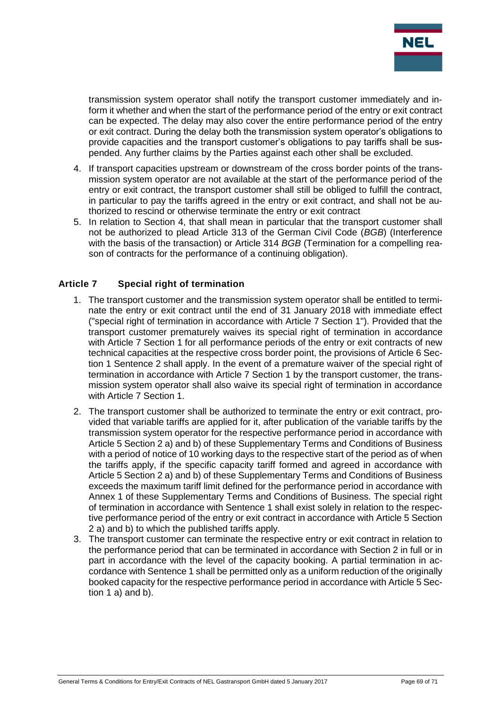

transmission system operator shall notify the transport customer immediately and inform it whether and when the start of the performance period of the entry or exit contract can be expected. The delay may also cover the entire performance period of the entry or exit contract. During the delay both the transmission system operator's obligations to provide capacities and the transport customer's obligations to pay tariffs shall be suspended. Any further claims by the Parties against each other shall be excluded.

- 4. If transport capacities upstream or downstream of the cross border points of the transmission system operator are not available at the start of the performance period of the entry or exit contract, the transport customer shall still be obliged to fulfill the contract, in particular to pay the tariffs agreed in the entry or exit contract, and shall not be authorized to rescind or otherwise terminate the entry or exit contract
- 5. In relation to Section 4, that shall mean in particular that the transport customer shall not be authorized to plead Article 313 of the German Civil Code (*BGB*) (Interference with the basis of the transaction) or Article 314 *BGB* (Termination for a compelling reason of contracts for the performance of a continuing obligation).

#### <span id="page-68-0"></span>**Article 7 Special right of termination**

- 1. The transport customer and the transmission system operator shall be entitled to terminate the entry or exit contract until the end of 31 January 2018 with immediate effect ("special right of termination in accordance with Article 7 Section 1"). Provided that the transport customer prematurely waives its special right of termination in accordance with Article 7 Section 1 for all performance periods of the entry or exit contracts of new technical capacities at the respective cross border point, the provisions of Article 6 Section 1 Sentence 2 shall apply. In the event of a premature waiver of the special right of termination in accordance with Article 7 Section 1 by the transport customer, the transmission system operator shall also waive its special right of termination in accordance with Article 7 Section 1.
- 2. The transport customer shall be authorized to terminate the entry or exit contract, provided that variable tariffs are applied for it, after publication of the variable tariffs by the transmission system operator for the respective performance period in accordance with Article 5 Section 2 a) and b) of these Supplementary Terms and Conditions of Business with a period of notice of 10 working days to the respective start of the period as of when the tariffs apply, if the specific capacity tariff formed and agreed in accordance with Article 5 Section 2 a) and b) of these Supplementary Terms and Conditions of Business exceeds the maximum tariff limit defined for the performance period in accordance with Annex 1 of these Supplementary Terms and Conditions of Business. The special right of termination in accordance with Sentence 1 shall exist solely in relation to the respective performance period of the entry or exit contract in accordance with Article 5 Section 2 a) and b) to which the published tariffs apply.
- 3. The transport customer can terminate the respective entry or exit contract in relation to the performance period that can be terminated in accordance with Section 2 in full or in part in accordance with the level of the capacity booking. A partial termination in accordance with Sentence 1 shall be permitted only as a uniform reduction of the originally booked capacity for the respective performance period in accordance with Article 5 Section 1 a) and b).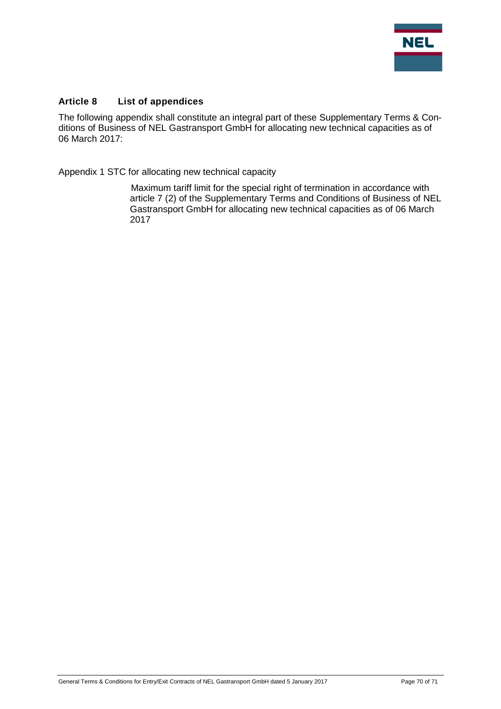

#### <span id="page-69-0"></span>**Article 8 List of appendices**

The following appendix shall constitute an integral part of these Supplementary Terms & Conditions of Business of NEL Gastransport GmbH for allocating new technical capacities as of 06 March 2017:

Appendix 1 STC for allocating new technical capacity

Maximum tariff limit for the special right of termination in accordance with article 7 (2) of the Supplementary Terms and Conditions of Business of NEL Gastransport GmbH for allocating new technical capacities as of 06 March 2017